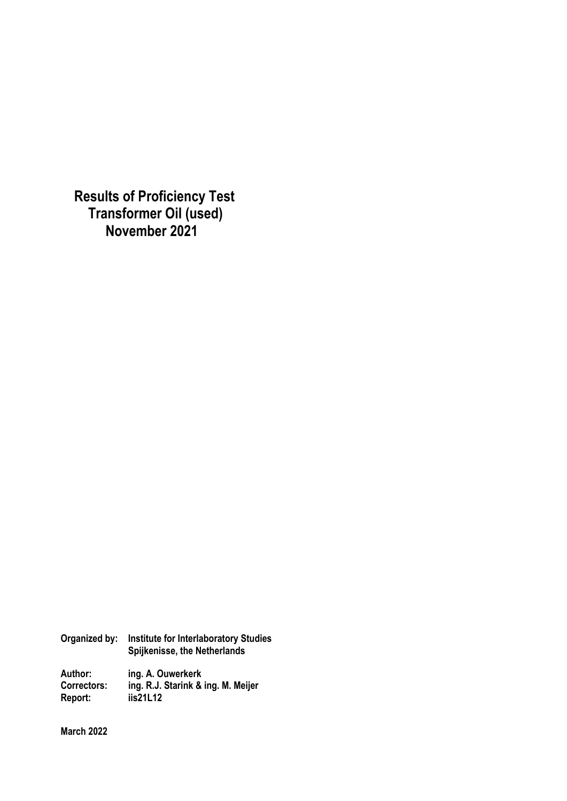**Results of Proficiency Test Transformer Oil (used) November 2021** 

| Organized by:      | <b>Institute for Interlaboratory Studies</b><br>Spijkenisse, the Netherlands |
|--------------------|------------------------------------------------------------------------------|
| Author:            | ing. A. Ouwerkerk                                                            |
| <b>Correctors:</b> | ing. R.J. Starink & ing. M. Meijer                                           |
| Report:            | $i$ is $21$ L12                                                              |

**March 2022**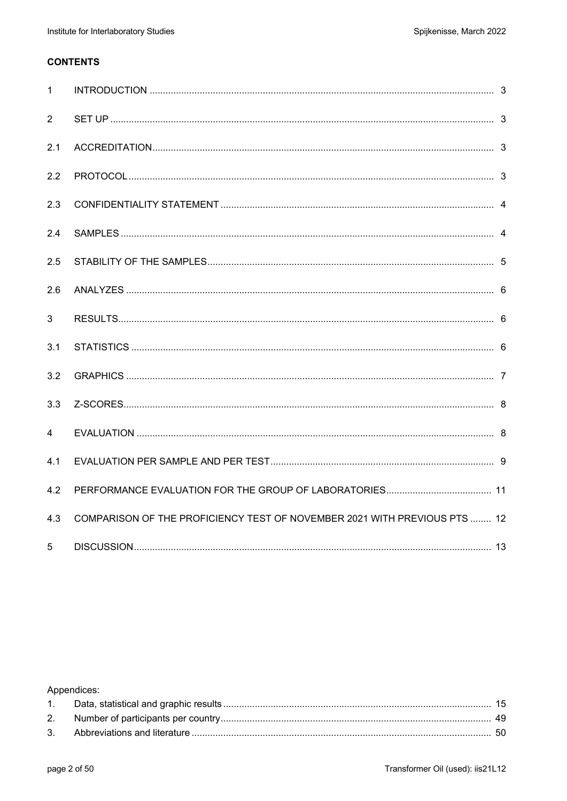# **CONTENTS**

| $\mathbf{1}$   |                                                                           |  |
|----------------|---------------------------------------------------------------------------|--|
| $\overline{2}$ |                                                                           |  |
| 2.1            |                                                                           |  |
| 2.2            |                                                                           |  |
| 2.3            |                                                                           |  |
| 2.4            |                                                                           |  |
| 2.5            |                                                                           |  |
| 2.6            |                                                                           |  |
| 3              |                                                                           |  |
| 3.1            |                                                                           |  |
| 3.2            |                                                                           |  |
| 3.3            |                                                                           |  |
| $\overline{4}$ |                                                                           |  |
| 4.1            |                                                                           |  |
| 4.2            |                                                                           |  |
| 4.3            | COMPARISON OF THE PROFICIENCY TEST OF NOVEMBER 2021 WITH PREVIOUS PTS  12 |  |
| 5              |                                                                           |  |

## Appendices: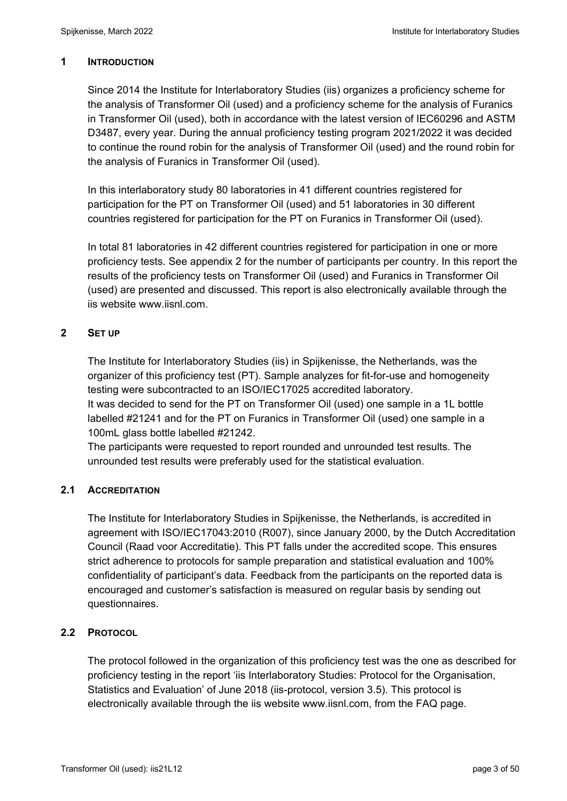### **1 INTRODUCTION**

Since 2014 the Institute for Interlaboratory Studies (iis) organizes a proficiency scheme for the analysis of Transformer Oil (used) and a proficiency scheme for the analysis of Furanics in Transformer Oil (used), both in accordance with the latest version of IEC60296 and ASTM D3487, every year. During the annual proficiency testing program 2021/2022 it was decided to continue the round robin for the analysis of Transformer Oil (used) and the round robin for the analysis of Furanics in Transformer Oil (used).

In this interlaboratory study 80 laboratories in 41 different countries registered for participation for the PT on Transformer Oil (used) and 51 laboratories in 30 different countries registered for participation for the PT on Furanics in Transformer Oil (used).

In total 81 laboratories in 42 different countries registered for participation in one or more proficiency tests. See appendix 2 for the number of participants per country. In this report the results of the proficiency tests on Transformer Oil (used) and Furanics in Transformer Oil (used) are presented and discussed. This report is also electronically available through the iis website www.iisnl.com.

## **2 SET UP**

The Institute for Interlaboratory Studies (iis) in Spijkenisse, the Netherlands, was the organizer of this proficiency test (PT). Sample analyzes for fit-for-use and homogeneity testing were subcontracted to an ISO/IEC17025 accredited laboratory. It was decided to send for the PT on Transformer Oil (used) one sample in a 1L bottle labelled #21241 and for the PT on Furanics in Transformer Oil (used) one sample in a

100mL glass bottle labelled #21242. The participants were requested to report rounded and unrounded test results. The

unrounded test results were preferably used for the statistical evaluation.

## **2.1 ACCREDITATION**

The Institute for Interlaboratory Studies in Spijkenisse, the Netherlands, is accredited in agreement with ISO/IEC17043:2010 (R007), since January 2000, by the Dutch Accreditation Council (Raad voor Accreditatie). This PT falls under the accredited scope. This ensures strict adherence to protocols for sample preparation and statistical evaluation and 100% confidentiality of participant's data. Feedback from the participants on the reported data is encouraged and customer's satisfaction is measured on regular basis by sending out questionnaires.

## **2.2 PROTOCOL**

The protocol followed in the organization of this proficiency test was the one as described for proficiency testing in the report 'iis Interlaboratory Studies: Protocol for the Organisation, Statistics and Evaluation' of June 2018 (iis-protocol, version 3.5). This protocol is electronically available through the iis website www.iisnl.com, from the FAQ page.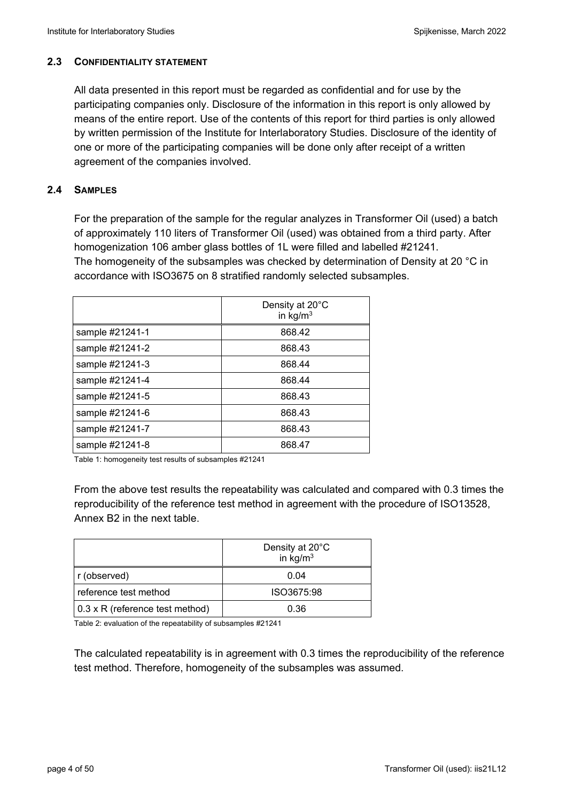### **2.3 CONFIDENTIALITY STATEMENT**

All data presented in this report must be regarded as confidential and for use by the participating companies only. Disclosure of the information in this report is only allowed by means of the entire report. Use of the contents of this report for third parties is only allowed by written permission of the Institute for Interlaboratory Studies. Disclosure of the identity of one or more of the participating companies will be done only after receipt of a written agreement of the companies involved.

## **2.4 SAMPLES**

For the preparation of the sample for the regular analyzes in Transformer Oil (used) a batch of approximately 110 liters of Transformer Oil (used) was obtained from a third party. After homogenization 106 amber glass bottles of 1L were filled and labelled #21241. The homogeneity of the subsamples was checked by determination of Density at 20 °C in accordance with ISO3675 on 8 stratified randomly selected subsamples.

|                 | Density at 20°C<br>in kg/ $m3$ |
|-----------------|--------------------------------|
| sample #21241-1 | 868.42                         |
| sample #21241-2 | 868.43                         |
| sample #21241-3 | 868.44                         |
| sample #21241-4 | 868.44                         |
| sample #21241-5 | 868.43                         |
| sample #21241-6 | 868.43                         |
| sample #21241-7 | 868.43                         |
| sample #21241-8 | 868.47                         |

Table 1: homogeneity test results of subsamples #21241

From the above test results the repeatability was calculated and compared with 0.3 times the reproducibility of the reference test method in agreement with the procedure of ISO13528, Annex B2 in the next table.

|                                 | Density at 20°C<br>in $\text{kg/m}^3$ |  |  |
|---------------------------------|---------------------------------------|--|--|
| r (observed)                    | 0.04                                  |  |  |
| reference test method           | ISO3675:98                            |  |  |
| 0.3 x R (reference test method) | 0.36                                  |  |  |

Table 2: evaluation of the repeatability of subsamples #21241

The calculated repeatability is in agreement with 0.3 times the reproducibility of the reference test method. Therefore, homogeneity of the subsamples was assumed.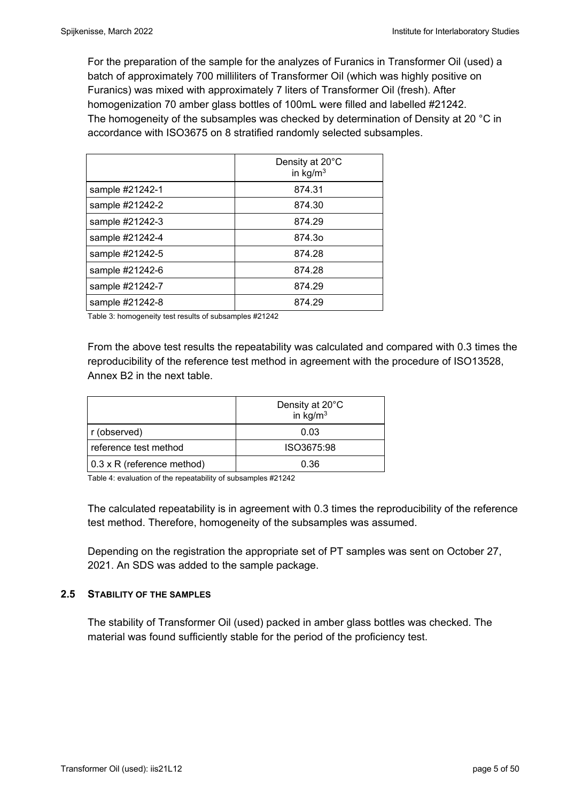For the preparation of the sample for the analyzes of Furanics in Transformer Oil (used) a batch of approximately 700 milliliters of Transformer Oil (which was highly positive on Furanics) was mixed with approximately 7 liters of Transformer Oil (fresh). After homogenization 70 amber glass bottles of 100mL were filled and labelled #21242. The homogeneity of the subsamples was checked by determination of Density at 20 °C in accordance with ISO3675 on 8 stratified randomly selected subsamples.

|                 | Density at 20°C<br>in $kg/m3$ |
|-----------------|-------------------------------|
| sample #21242-1 | 874.31                        |
| sample #21242-2 | 874.30                        |
| sample #21242-3 | 874.29                        |
| sample #21242-4 | 874.30                        |
| sample #21242-5 | 874.28                        |
| sample #21242-6 | 874.28                        |
| sample #21242-7 | 874.29                        |
| sample #21242-8 | 874.29                        |

Table 3: homogeneity test results of subsamples #21242

From the above test results the repeatability was calculated and compared with 0.3 times the reproducibility of the reference test method in agreement with the procedure of ISO13528, Annex B2 in the next table.

|                            | Density at 20°C<br>in $\text{kg/m}^3$ |
|----------------------------|---------------------------------------|
| r (observed)               | 0.03                                  |
| reference test method      | ISO3675:98                            |
| 0.3 x R (reference method) | 0.36                                  |

Table 4: evaluation of the repeatability of subsamples #21242

The calculated repeatability is in agreement with 0.3 times the reproducibility of the reference test method. Therefore, homogeneity of the subsamples was assumed.

Depending on the registration the appropriate set of PT samples was sent on October 27, 2021. An SDS was added to the sample package.

### **2.5 STABILITY OF THE SAMPLES**

The stability of Transformer Oil (used) packed in amber glass bottles was checked. The material was found sufficiently stable for the period of the proficiency test.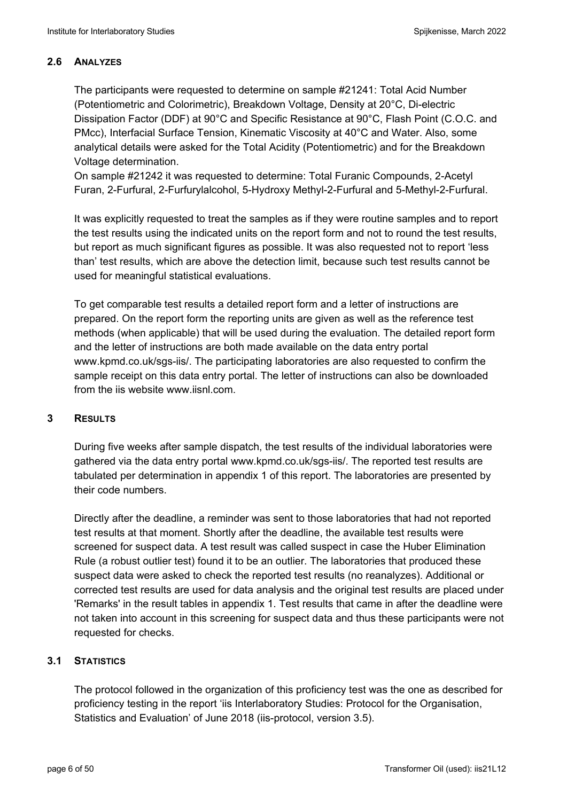### **2.6 ANALYZES**

The participants were requested to determine on sample #21241: Total Acid Number (Potentiometric and Colorimetric), Breakdown Voltage, Density at 20°C, Di-electric Dissipation Factor (DDF) at 90°C and Specific Resistance at 90°C, Flash Point (C.O.C. and PMcc), Interfacial Surface Tension, Kinematic Viscosity at 40°C and Water. Also, some analytical details were asked for the Total Acidity (Potentiometric) and for the Breakdown Voltage determination.

On sample #21242 it was requested to determine: Total Furanic Compounds, 2-Acetyl Furan, 2-Furfural, 2-Furfurylalcohol, 5-Hydroxy Methyl-2-Furfural and 5-Methyl-2-Furfural.

It was explicitly requested to treat the samples as if they were routine samples and to report the test results using the indicated units on the report form and not to round the test results, but report as much significant figures as possible. It was also requested not to report 'less than' test results, which are above the detection limit, because such test results cannot be used for meaningful statistical evaluations.

To get comparable test results a detailed report form and a letter of instructions are prepared. On the report form the reporting units are given as well as the reference test methods (when applicable) that will be used during the evaluation. The detailed report form and the letter of instructions are both made available on the data entry portal www.kpmd.co.uk/sgs-iis/. The participating laboratories are also requested to confirm the sample receipt on this data entry portal. The letter of instructions can also be downloaded from the iis website www.iisnl.com.

### **3 RESULTS**

During five weeks after sample dispatch, the test results of the individual laboratories were gathered via the data entry portal www.kpmd.co.uk/sgs-iis/. The reported test results are tabulated per determination in appendix 1 of this report. The laboratories are presented by their code numbers.

Directly after the deadline, a reminder was sent to those laboratories that had not reported test results at that moment. Shortly after the deadline, the available test results were screened for suspect data. A test result was called suspect in case the Huber Elimination Rule (a robust outlier test) found it to be an outlier. The laboratories that produced these suspect data were asked to check the reported test results (no reanalyzes). Additional or corrected test results are used for data analysis and the original test results are placed under 'Remarks' in the result tables in appendix 1. Test results that came in after the deadline were not taken into account in this screening for suspect data and thus these participants were not requested for checks.

## **3.1 STATISTICS**

The protocol followed in the organization of this proficiency test was the one as described for proficiency testing in the report 'iis Interlaboratory Studies: Protocol for the Organisation, Statistics and Evaluation' of June 2018 (iis-protocol, version 3.5).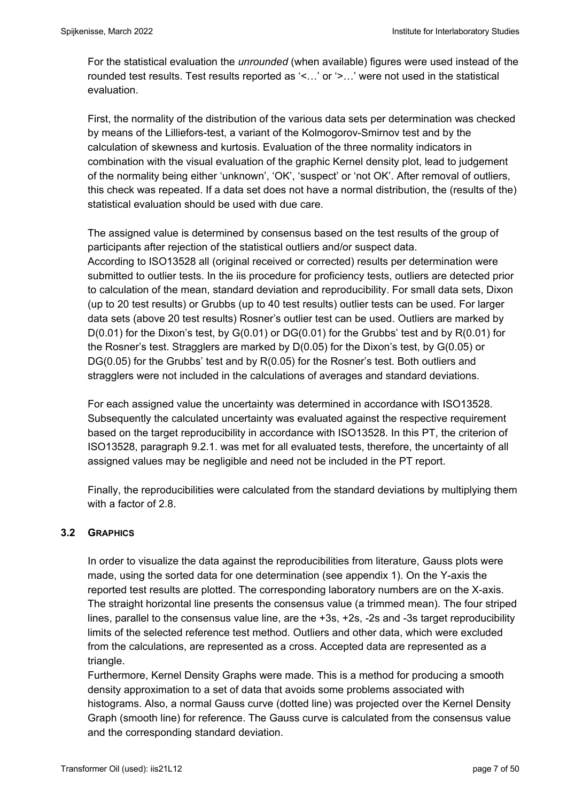For the statistical evaluation the *unrounded* (when available) figures were used instead of the rounded test results. Test results reported as '<…' or '>…' were not used in the statistical evaluation.

First, the normality of the distribution of the various data sets per determination was checked by means of the Lilliefors-test, a variant of the Kolmogorov-Smirnov test and by the calculation of skewness and kurtosis. Evaluation of the three normality indicators in combination with the visual evaluation of the graphic Kernel density plot, lead to judgement of the normality being either 'unknown', 'OK', 'suspect' or 'not OK'. After removal of outliers, this check was repeated. If a data set does not have a normal distribution, the (results of the) statistical evaluation should be used with due care.

The assigned value is determined by consensus based on the test results of the group of participants after rejection of the statistical outliers and/or suspect data. According to ISO13528 all (original received or corrected) results per determination were submitted to outlier tests. In the iis procedure for proficiency tests, outliers are detected prior to calculation of the mean, standard deviation and reproducibility. For small data sets, Dixon (up to 20 test results) or Grubbs (up to 40 test results) outlier tests can be used. For larger data sets (above 20 test results) Rosner's outlier test can be used. Outliers are marked by  $D(0.01)$  for the Dixon's test, by  $G(0.01)$  or  $DG(0.01)$  for the Grubbs' test and by  $R(0.01)$  for the Rosner's test. Stragglers are marked by D(0.05) for the Dixon's test, by G(0.05) or DG(0.05) for the Grubbs' test and by R(0.05) for the Rosner's test. Both outliers and stragglers were not included in the calculations of averages and standard deviations.

For each assigned value the uncertainty was determined in accordance with ISO13528. Subsequently the calculated uncertainty was evaluated against the respective requirement based on the target reproducibility in accordance with ISO13528. In this PT, the criterion of ISO13528, paragraph 9.2.1. was met for all evaluated tests, therefore, the uncertainty of all assigned values may be negligible and need not be included in the PT report.

Finally, the reproducibilities were calculated from the standard deviations by multiplying them with a factor of 2.8.

## **3.2 GRAPHICS**

In order to visualize the data against the reproducibilities from literature, Gauss plots were made, using the sorted data for one determination (see appendix 1). On the Y-axis the reported test results are plotted. The corresponding laboratory numbers are on the X-axis. The straight horizontal line presents the consensus value (a trimmed mean). The four striped lines, parallel to the consensus value line, are the +3s, +2s, -2s and -3s target reproducibility limits of the selected reference test method. Outliers and other data, which were excluded from the calculations, are represented as a cross. Accepted data are represented as a triangle.

Furthermore, Kernel Density Graphs were made. This is a method for producing a smooth density approximation to a set of data that avoids some problems associated with histograms. Also, a normal Gauss curve (dotted line) was projected over the Kernel Density Graph (smooth line) for reference. The Gauss curve is calculated from the consensus value and the corresponding standard deviation.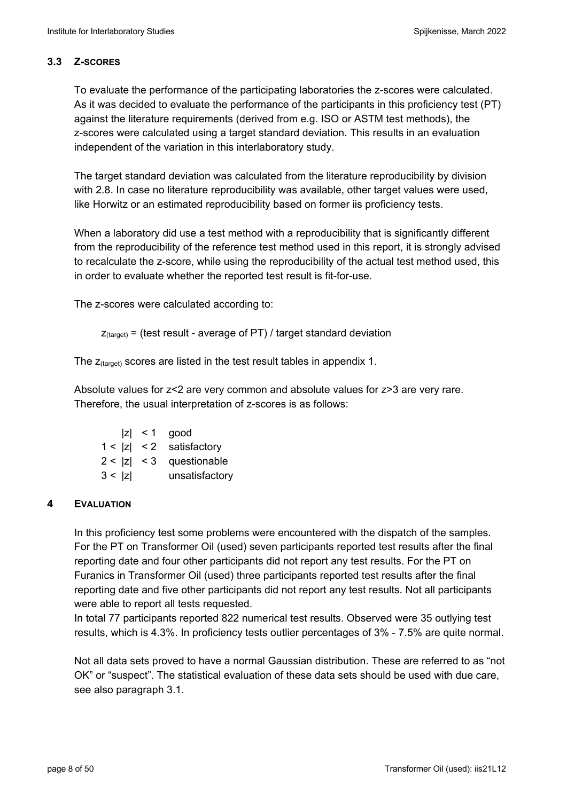## **3.3 Z-SCORES**

To evaluate the performance of the participating laboratories the z-scores were calculated. As it was decided to evaluate the performance of the participants in this proficiency test (PT) against the literature requirements (derived from e.g. ISO or ASTM test methods), the z-scores were calculated using a target standard deviation. This results in an evaluation independent of the variation in this interlaboratory study.

The target standard deviation was calculated from the literature reproducibility by division with 2.8. In case no literature reproducibility was available, other target values were used, like Horwitz or an estimated reproducibility based on former iis proficiency tests.

When a laboratory did use a test method with a reproducibility that is significantly different from the reproducibility of the reference test method used in this report, it is strongly advised to recalculate the z-score, while using the reproducibility of the actual test method used, this in order to evaluate whether the reported test result is fit-for-use.

The z-scores were calculated according to:

```
Z_{\text{target}} = (test result - average of PT) / target standard deviation
```
The  $z_{\text{(target)}}$  scores are listed in the test result tables in appendix 1.

Absolute values for z<2 are very common and absolute values for z>3 are very rare. Therefore, the usual interpretation of z-scores is as follows:

|        | $ z  < 1$ good             |
|--------|----------------------------|
|        | $1 <  z  < 2$ satisfactory |
|        | $2 <  z  < 3$ questionable |
| 3 <  z | unsatisfactory             |

## **4 EVALUATION**

In this proficiency test some problems were encountered with the dispatch of the samples. For the PT on Transformer Oil (used) seven participants reported test results after the final reporting date and four other participants did not report any test results. For the PT on Furanics in Transformer Oil (used) three participants reported test results after the final reporting date and five other participants did not report any test results. Not all participants were able to report all tests requested.

In total 77 participants reported 822 numerical test results. Observed were 35 outlying test results, which is 4.3%. In proficiency tests outlier percentages of 3% - 7.5% are quite normal.

Not all data sets proved to have a normal Gaussian distribution. These are referred to as "not OK" or "suspect". The statistical evaluation of these data sets should be used with due care, see also paragraph 3.1.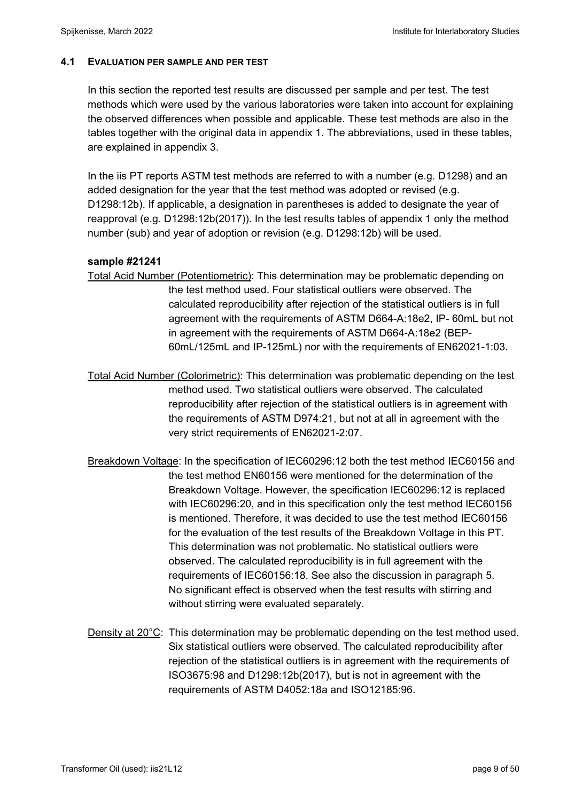## **4.1 EVALUATION PER SAMPLE AND PER TEST**

In this section the reported test results are discussed per sample and per test. The test methods which were used by the various laboratories were taken into account for explaining the observed differences when possible and applicable. These test methods are also in the tables together with the original data in appendix 1. The abbreviations, used in these tables, are explained in appendix 3.

In the iis PT reports ASTM test methods are referred to with a number (e.g. D1298) and an added designation for the year that the test method was adopted or revised (e.g. D1298:12b). If applicable, a designation in parentheses is added to designate the year of reapproval (e.g. D1298:12b(2017)). In the test results tables of appendix 1 only the method number (sub) and year of adoption or revision (e.g. D1298:12b) will be used.

## **sample #21241**

Total Acid Number (Potentiometric): This determination may be problematic depending on the test method used. Four statistical outliers were observed. The calculated reproducibility after rejection of the statistical outliers is in full agreement with the requirements of ASTM D664-A:18e2, IP- 60mL but not in agreement with the requirements of ASTM D664-A:18e2 (BEP-60mL/125mL and IP-125mL) nor with the requirements of EN62021-1:03.

Total Acid Number (Colorimetric): This determination was problematic depending on the test method used. Two statistical outliers were observed. The calculated reproducibility after rejection of the statistical outliers is in agreement with the requirements of ASTM D974:21, but not at all in agreement with the very strict requirements of EN62021-2:07.

- Breakdown Voltage: In the specification of IEC60296:12 both the test method IEC60156 and the test method EN60156 were mentioned for the determination of the Breakdown Voltage. However, the specification IEC60296:12 is replaced with IEC60296:20, and in this specification only the test method IEC60156 is mentioned. Therefore, it was decided to use the test method IEC60156 for the evaluation of the test results of the Breakdown Voltage in this PT. This determination was not problematic. No statistical outliers were observed. The calculated reproducibility is in full agreement with the requirements of IEC60156:18. See also the discussion in paragraph 5. No significant effect is observed when the test results with stirring and without stirring were evaluated separately.
- Density at 20°C: This determination may be problematic depending on the test method used. Six statistical outliers were observed. The calculated reproducibility after rejection of the statistical outliers is in agreement with the requirements of ISO3675:98 and D1298:12b(2017), but is not in agreement with the requirements of ASTM D4052:18a and ISO12185:96.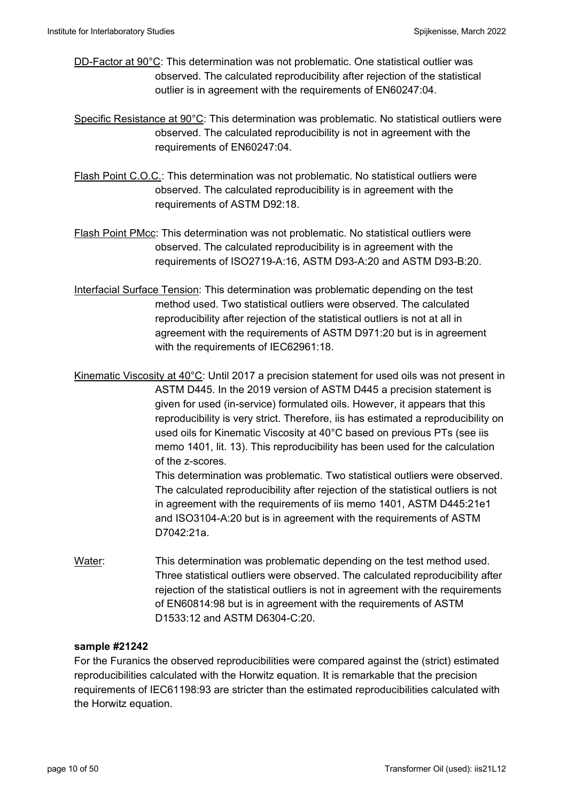- DD-Factor at 90°C: This determination was not problematic. One statistical outlier was observed. The calculated reproducibility after rejection of the statistical outlier is in agreement with the requirements of EN60247:04.
- Specific Resistance at 90°C: This determination was problematic. No statistical outliers were observed. The calculated reproducibility is not in agreement with the requirements of EN60247:04.
- Flash Point C.O.C.: This determination was not problematic. No statistical outliers were observed. The calculated reproducibility is in agreement with the requirements of ASTM D92:18.
- Flash Point PMcc: This determination was not problematic. No statistical outliers were observed. The calculated reproducibility is in agreement with the requirements of ISO2719-A:16, ASTM D93-A:20 and ASTM D93-B:20.
- Interfacial Surface Tension: This determination was problematic depending on the test method used. Two statistical outliers were observed. The calculated reproducibility after rejection of the statistical outliers is not at all in agreement with the requirements of ASTM D971:20 but is in agreement with the requirements of IEC62961:18.

Kinematic Viscosity at 40°C: Until 2017 a precision statement for used oils was not present in ASTM D445. In the 2019 version of ASTM D445 a precision statement is given for used (in-service) formulated oils. However, it appears that this reproducibility is very strict. Therefore, iis has estimated a reproducibility on used oils for Kinematic Viscosity at 40°C based on previous PTs (see iis memo 1401, lit. 13). This reproducibility has been used for the calculation of the z-scores.

 This determination was problematic. Two statistical outliers were observed. The calculated reproducibility after rejection of the statistical outliers is not in agreement with the requirements of iis memo 1401, ASTM D445:21e1 and ISO3104-A:20 but is in agreement with the requirements of ASTM D7042:21a.

Water: This determination was problematic depending on the test method used. Three statistical outliers were observed. The calculated reproducibility after rejection of the statistical outliers is not in agreement with the requirements of EN60814:98 but is in agreement with the requirements of ASTM D1533:12 and ASTM D6304-C:20.

### **sample #21242**

For the Furanics the observed reproducibilities were compared against the (strict) estimated reproducibilities calculated with the Horwitz equation. It is remarkable that the precision requirements of IEC61198:93 are stricter than the estimated reproducibilities calculated with the Horwitz equation.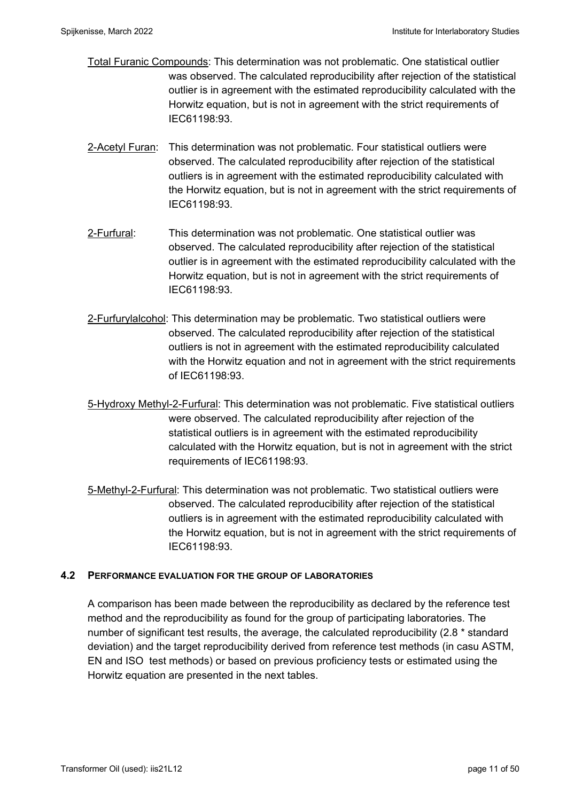- Total Furanic Compounds: This determination was not problematic. One statistical outlier was observed. The calculated reproducibility after rejection of the statistical outlier is in agreement with the estimated reproducibility calculated with the Horwitz equation, but is not in agreement with the strict requirements of IEC61198:93.
- 2-Acetyl Furan: This determination was not problematic. Four statistical outliers were observed. The calculated reproducibility after rejection of the statistical outliers is in agreement with the estimated reproducibility calculated with the Horwitz equation, but is not in agreement with the strict requirements of IEC61198:93.
- 2-Furfural: This determination was not problematic. One statistical outlier was observed. The calculated reproducibility after rejection of the statistical outlier is in agreement with the estimated reproducibility calculated with the Horwitz equation, but is not in agreement with the strict requirements of IEC61198:93.
- 2-Furfurylalcohol: This determination may be problematic. Two statistical outliers were observed. The calculated reproducibility after rejection of the statistical outliers is not in agreement with the estimated reproducibility calculated with the Horwitz equation and not in agreement with the strict requirements of IEC61198:93.
- 5-Hydroxy Methyl-2-Furfural: This determination was not problematic. Five statistical outliers were observed. The calculated reproducibility after rejection of the statistical outliers is in agreement with the estimated reproducibility calculated with the Horwitz equation, but is not in agreement with the strict requirements of IEC61198:93.
- 5-Methyl-2-Furfural: This determination was not problematic. Two statistical outliers were observed. The calculated reproducibility after rejection of the statistical outliers is in agreement with the estimated reproducibility calculated with the Horwitz equation, but is not in agreement with the strict requirements of IEC61198:93.

### **4.2 PERFORMANCE EVALUATION FOR THE GROUP OF LABORATORIES**

A comparison has been made between the reproducibility as declared by the reference test method and the reproducibility as found for the group of participating laboratories. The number of significant test results, the average, the calculated reproducibility (2.8 \* standard deviation) and the target reproducibility derived from reference test methods (in casu ASTM, EN and ISO test methods) or based on previous proficiency tests or estimated using the Horwitz equation are presented in the next tables.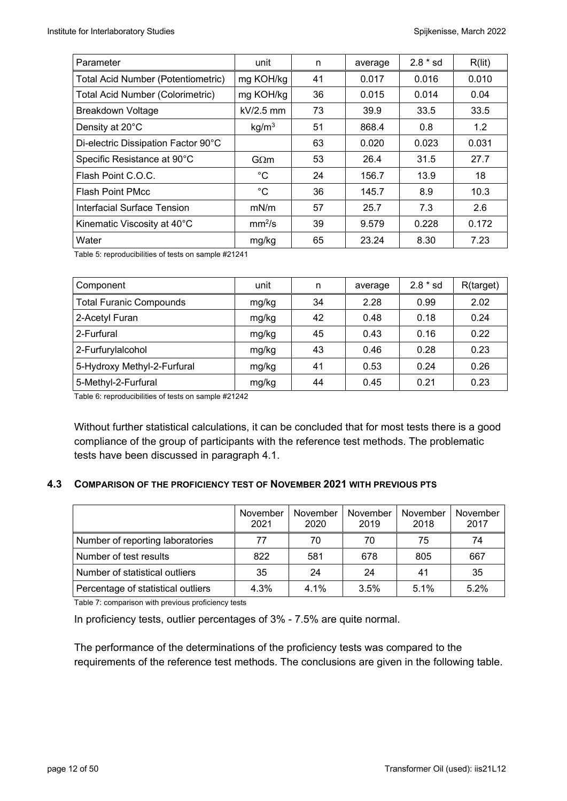| Parameter                               | unit               | n  | average | $2.8 * sd$ | R(lit) |
|-----------------------------------------|--------------------|----|---------|------------|--------|
| Total Acid Number (Potentiometric)      | mg KOH/kg          | 41 | 0.017   | 0.016      | 0.010  |
| <b>Total Acid Number (Colorimetric)</b> | mg KOH/kg          | 36 | 0.015   | 0.014      | 0.04   |
| <b>Breakdown Voltage</b>                | $kV/2.5$ mm        | 73 | 39.9    | 33.5       | 33.5   |
| Density at 20°C                         | kg/m <sup>3</sup>  | 51 | 868.4   | 0.8        | 1.2    |
| Di-electric Dissipation Factor 90°C     |                    | 63 | 0.020   | 0.023      | 0.031  |
| Specific Resistance at 90°C             | $G\Omega m$        | 53 | 26.4    | 31.5       | 27.7   |
| Flash Point C.O.C.                      | °C                 | 24 | 156.7   | 13.9       | 18     |
| Flash Point PMcc                        | °C                 | 36 | 145.7   | 8.9        | 10.3   |
| Interfacial Surface Tension             | mN/m               | 57 | 25.7    | 7.3        | 2.6    |
| Kinematic Viscosity at 40°C             | mm <sup>2</sup> /s | 39 | 9.579   | 0.228      | 0.172  |
| Water                                   | mg/kg              | 65 | 23.24   | 8.30       | 7.23   |

Table 5: reproducibilities of tests on sample #21241

| Component                      | unit  | n  | average | $2.8 * sd$ | R(target) |
|--------------------------------|-------|----|---------|------------|-----------|
| <b>Total Furanic Compounds</b> | mg/kg | 34 | 2.28    | 0.99       | 2.02      |
| 2-Acetyl Furan                 | mg/kg | 42 | 0.48    | 0.18       | 0.24      |
| 2-Furfural                     | mg/kg | 45 | 0.43    | 0.16       | 0.22      |
| 2-Furfurylalcohol              | mg/kg | 43 | 0.46    | 0.28       | 0.23      |
| 5-Hydroxy Methyl-2-Furfural    | mg/kg | 41 | 0.53    | 0.24       | 0.26      |
| 5-Methyl-2-Furfural            | mg/kg | 44 | 0.45    | 0.21       | 0.23      |

Table 6: reproducibilities of tests on sample #21242

Without further statistical calculations, it can be concluded that for most tests there is a good compliance of the group of participants with the reference test methods. The problematic tests have been discussed in paragraph 4.1.

### **4.3 COMPARISON OF THE PROFICIENCY TEST OF NOVEMBER 2021 WITH PREVIOUS PTS**

|                                    | November<br>2021 | November<br>2020 | November<br>2019 | November<br>2018 | November<br>2017 |
|------------------------------------|------------------|------------------|------------------|------------------|------------------|
| Number of reporting laboratories   | 77               | 70               | 70               | 75               | 74               |
| Number of test results             | 822              | 581              | 678              | 805              | 667              |
| l Number of statistical outliers   | 35               | 24               | 24               | 41               | 35               |
| Percentage of statistical outliers | 4.3%             | $4.1\%$          | 3.5%             | $5.1\%$          | 5.2%             |

Table 7: comparison with previous proficiency tests

In proficiency tests, outlier percentages of 3% - 7.5% are quite normal.

The performance of the determinations of the proficiency tests was compared to the requirements of the reference test methods. The conclusions are given in the following table.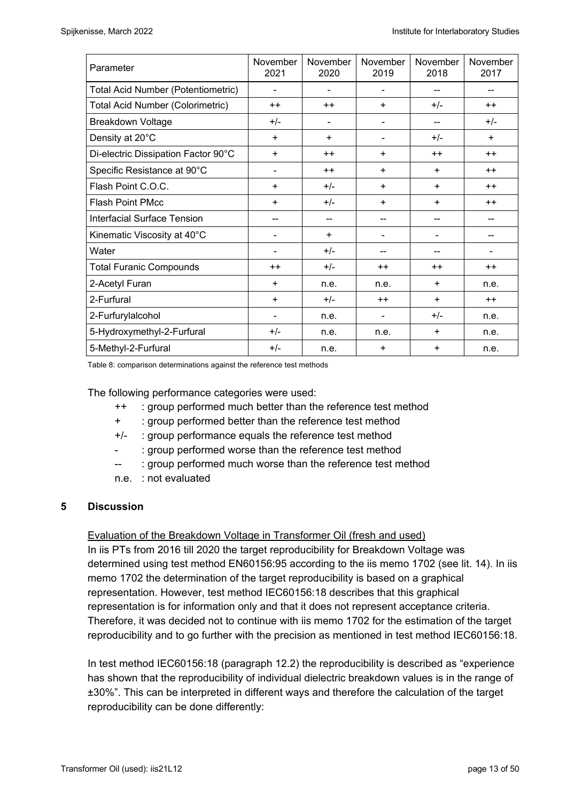| Parameter                               | November<br>2021         | November<br>2020 | November<br>2019 | November<br>2018 | November<br>2017 |
|-----------------------------------------|--------------------------|------------------|------------------|------------------|------------------|
| Total Acid Number (Potentiometric)      | $\blacksquare$           |                  |                  |                  |                  |
| <b>Total Acid Number (Colorimetric)</b> | $++$                     | $++$             | $\ddot{}$        | $+/-$            | $++$             |
| <b>Breakdown Voltage</b>                | $+/-$                    | $\blacksquare$   | $\blacksquare$   | --               | $+/-$            |
| Density at 20°C                         | $+$                      | $\ddot{}$        | -                | $+/-$            | $+$              |
| Di-electric Dissipation Factor 90°C     | $\ddot{}$                | $++$             | $\ddot{}$        | $++$             | $++$             |
| Specific Resistance at 90°C             | $\overline{\phantom{a}}$ | $++$             | $\ddot{}$        | $\ddot{}$        | $++$             |
| Flash Point C.O.C.                      | $+$                      | $+/-$            | $+$              | $+$              | $++$             |
| <b>Flash Point PMcc</b>                 | $\ddot{}$                | $+/-$            | $\ddot{}$        | $\ddot{}$        | $++$             |
| <b>Interfacial Surface Tension</b>      | --                       | --               | --               | --               |                  |
| Kinematic Viscosity at 40°C             |                          | $\ddot{}$        |                  |                  |                  |
| Water                                   |                          | $+/-$            |                  |                  |                  |
| <b>Total Furanic Compounds</b>          | $++$                     | $+/-$            | $++$             | $++$             | $++$             |
| 2-Acetyl Furan                          | $+$                      | n.e.             | n.e.             | $+$              | n.e.             |
| 2-Furfural                              | $+$                      | $+/-$            | $++$             | $+$              | $++$             |
| 2-Furfurylalcohol                       |                          | n.e.             |                  | $+/-$            | n.e.             |
| 5-Hydroxymethyl-2-Furfural              | $+/-$                    | n.e.             | n.e.             | $\ddot{}$        | n.e.             |
| 5-Methyl-2-Furfural                     | $+/-$                    | n.e.             | $\ddot{}$        | ÷                | n.e.             |

Table 8: comparison determinations against the reference test methods

The following performance categories were used:

- ++ : group performed much better than the reference test method
- + : group performed better than the reference test method
- +/- : group performance equals the reference test method
- : group performed worse than the reference test method
- -- : group performed much worse than the reference test method
- n.e. : not evaluated

## **5 Discussion**

### Evaluation of the Breakdown Voltage in Transformer Oil (fresh and used)

In iis PTs from 2016 till 2020 the target reproducibility for Breakdown Voltage was determined using test method EN60156:95 according to the iis memo 1702 (see lit. 14). In iis memo 1702 the determination of the target reproducibility is based on a graphical representation. However, test method IEC60156:18 describes that this graphical representation is for information only and that it does not represent acceptance criteria. Therefore, it was decided not to continue with iis memo 1702 for the estimation of the target reproducibility and to go further with the precision as mentioned in test method IEC60156:18.

In test method IEC60156:18 (paragraph 12.2) the reproducibility is described as "experience has shown that the reproducibility of individual dielectric breakdown values is in the range of ±30%". This can be interpreted in different ways and therefore the calculation of the target reproducibility can be done differently: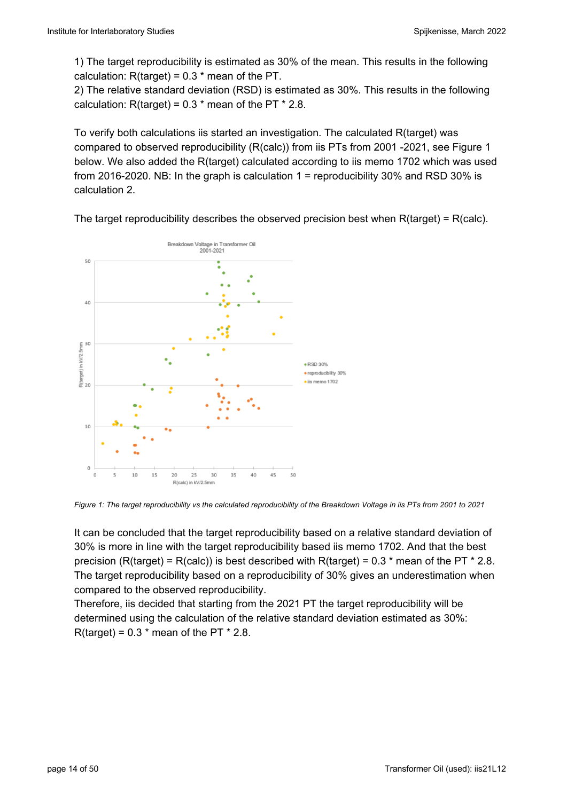1) The target reproducibility is estimated as 30% of the mean. This results in the following calculation:  $R(target) = 0.3$  \* mean of the PT.

2) The relative standard deviation (RSD) is estimated as 30%. This results in the following calculation:  $R(target) = 0.3$  \* mean of the PT  $*$  2.8.

To verify both calculations iis started an investigation. The calculated R(target) was compared to observed reproducibility (R(calc)) from iis PTs from 2001 -2021, see Figure 1 below. We also added the R(target) calculated according to iis memo 1702 which was used from 2016-2020. NB: In the graph is calculation  $1 =$  reproducibility 30% and RSD 30% is calculation 2.



The target reproducibility describes the observed precision best when  $R(target) = R(calc)$ .

*Figure 1: The target reproducibility vs the calculated reproducibility of the Breakdown Voltage in iis PTs from 2001 to 2021* 

It can be concluded that the target reproducibility based on a relative standard deviation of 30% is more in line with the target reproducibility based iis memo 1702. And that the best precision (R(target) = R(calc)) is best described with R(target) =  $0.3$  \* mean of the PT  $*$  2.8. The target reproducibility based on a reproducibility of 30% gives an underestimation when compared to the observed reproducibility.

Therefore, iis decided that starting from the 2021 PT the target reproducibility will be determined using the calculation of the relative standard deviation estimated as 30%:  $R(target) = 0.3$  \* mean of the PT  $*$  2.8.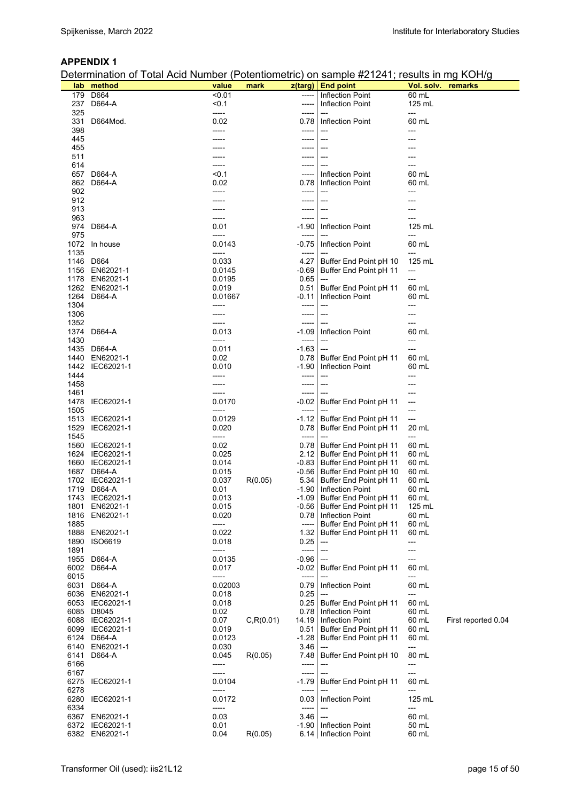#### **APPENDIX 1**

Determination of Total Acid Number (Potentiometric) on sample #21241; results in mg KOH/g

|              | lab method                       | value            | mark       |                  | $z(targ)$ End point                                             | Vol. solv. remarks |                     |
|--------------|----------------------------------|------------------|------------|------------------|-----------------------------------------------------------------|--------------------|---------------------|
|              | 179 D664                         | < 0.01           |            | -----            | <b>Inflection Point</b>                                         | 60 mL              |                     |
| 237          | D664-A                           | < 0.1            |            | -----            | <b>Inflection Point</b>                                         | 125 mL             |                     |
| 325<br>331   | D664Mod.                         | -----<br>0.02    |            | -----<br>0.78    | Inflection Point                                                | ---<br>60 mL       |                     |
| 398          |                                  |                  |            |                  |                                                                 |                    |                     |
| 445          |                                  |                  |            | -----            | ---                                                             |                    |                     |
| 455          |                                  |                  |            | -----            |                                                                 |                    |                     |
| 511          |                                  |                  |            |                  |                                                                 |                    |                     |
| 614          | 657 D664-A                       | < 0.1            |            | -----            | Inflection Point                                                | 60 mL              |                     |
| 862          | D664-A                           | 0.02             |            | 0.78             | Inflection Point                                                | 60 mL              |                     |
| 902          |                                  | -----            |            | -----            | ---                                                             |                    |                     |
| 912          |                                  |                  |            | -----            | ---                                                             |                    |                     |
| 913          |                                  |                  |            | -----            |                                                                 |                    |                     |
| 963          | 974 D664-A                       | -----<br>0.01    |            | -----<br>$-1.90$ | Inflection Point                                                | ---<br>125 mL      |                     |
| 975          |                                  | -----            |            | -----            |                                                                 | ---                |                     |
| 1072         | In house                         | 0.0143           |            | -0.75            | Inflection Point                                                | 60 mL              |                     |
| 1135         |                                  | -----            |            | -----            |                                                                 | ---                |                     |
| 1146 D664    |                                  | 0.033            |            |                  | 4.27 Buffer End Point pH 10                                     | 125 mL             |                     |
|              | 1156 EN62021-1<br>1178 EN62021-1 | 0.0145<br>0.0195 |            | -0.69<br>0.65    | Buffer End Point pH 11<br>$\hspace{0.05cm} \dashrightarrow$     | ---<br>---         |                     |
|              | 1262 EN62021-1                   | 0.019            |            |                  | 0.51 Buffer End Point pH 11                                     | 60 mL              |                     |
| 1264         | D664-A                           | 0.01667          |            | -0.11            | <b>Inflection Point</b>                                         | 60 mL              |                     |
| 1304         |                                  |                  |            | -----            | ---                                                             |                    |                     |
| 1306         |                                  |                  |            | -----            |                                                                 |                    |                     |
| 1352<br>1374 | D664-A                           | 0.013            |            | -----<br>$-1.09$ | <b>Inflection Point</b>                                         | 60 mL              |                     |
| 1430         |                                  | -----            |            | -----            | ---                                                             | ---                |                     |
|              | 1435 D664-A                      | 0.011            |            | $-1.63$          | $---$                                                           | ---                |                     |
| 1440         | EN62021-1                        | 0.02             |            |                  | 0.78   Buffer End Point pH 11                                   | 60 mL              |                     |
| 1442<br>1444 | IEC62021-1                       | 0.010            |            | -----            | -1.90 Inflection Point                                          | 60 mL              |                     |
| 1458         |                                  |                  |            | -----            | ---<br>---                                                      |                    |                     |
| 1461         |                                  | -----            |            | -----            |                                                                 | ---                |                     |
| 1478         | IEC62021-1                       | 0.0170           |            |                  | -0.02   Buffer End Point pH 11                                  | ---                |                     |
| 1505         |                                  | -----            |            | $-----$          | ---                                                             | ---                |                     |
| 1513<br>1529 | IEC62021-1<br>IEC62021-1         | 0.0129<br>0.020  |            |                  | -1.12   Buffer End Point pH 11<br>0.78   Buffer End Point pH 11 | ---<br>20 mL       |                     |
| 1545         |                                  | -----            |            | $-----$          |                                                                 | ---                |                     |
|              | 1560 IEC62021-1                  | 0.02             |            |                  | 0.78   Buffer End Point pH 11                                   | 60 mL              |                     |
| 1624         | IEC62021-1                       | 0.025            |            |                  | 2.12 Buffer End Point pH 11                                     | 60 mL              |                     |
|              | 1660 IEC62021-1<br>1687 D664-A   | 0.014<br>0.015   |            |                  | -0.83 Buffer End Point pH 11<br>-0.56 Buffer End Point pH 10    | 60 mL<br>60 mL     |                     |
|              | 1702 IEC62021-1                  | 0.037            | R(0.05)    |                  | 5.34   Buffer End Point pH 11                                   | 60 mL              |                     |
| 1719         | D664-A                           | 0.01             |            |                  | -1.90   Inflection Point                                        | 60 mL              |                     |
|              | 1743 IEC62021-1                  | 0.013            |            |                  | -1.09   Buffer End Point pH 11                                  | 60 mL              |                     |
|              | 1801 EN62021-1                   | 0.015            |            |                  | -0.56   Buffer End Point pH 11                                  | 125 mL             |                     |
| 1885         | 1816 EN62021-1                   | 0.020<br>-----   |            | $-----$          | 0.78 Inflection Point<br>Buffer End Point pH 11                 | 60 mL<br>60 mL     |                     |
|              | 1888 EN62021-1                   | 0.022            |            |                  | 1.32 Buffer End Point pH 11                                     | 60 mL              |                     |
| 1890         | <b>ISO6619</b>                   | 0.018            |            | $0.25$ ---       |                                                                 | ---                |                     |
| 1891         |                                  | -----            |            | -----            | ---                                                             | ---                |                     |
| 6002         | 1955 D664-A<br>D664-A            | 0.0135<br>0.017  |            | $-0.96$          | ---<br>-0.02   Buffer End Point pH 11                           | ---<br>60 mL       |                     |
| 6015         |                                  | -----            |            | -----            | ---                                                             | ---                |                     |
|              | 6031 D664-A                      | 0.02003          |            | 0.79             | <b>Inflection Point</b>                                         | 60 mL              |                     |
|              | 6036 EN62021-1                   | 0.018            |            | 0.25             | ---                                                             | ---                |                     |
|              | 6053 IEC62021-1                  | 0.018            |            |                  | 0.25 Buffer End Point pH 11                                     | 60 mL              |                     |
|              | 6085 D8045<br>6088 IEC62021-1    | 0.02<br>0.07     | C, R(0.01) |                  | 0.78 Inflection Point<br>14.19   Inflection Point               | 60 mL<br>60 mL     | First reported 0.04 |
|              | 6099 IEC62021-1                  | 0.019            |            | 0.51             | Buffer End Point pH 11                                          | 60 mL              |                     |
|              | 6124 D664-A                      | 0.0123           |            |                  | -1.28 Buffer End Point pH 11                                    | 60 mL              |                     |
|              | 6140 EN62021-1                   | 0.030            |            | 3.46             | $\hspace{0.05cm} \ldots$                                        | ---                |                     |
| 6141         | D664-A                           | 0.045            | R(0.05)    |                  | 7.48 Buffer End Point pH 10                                     | 80 mL              |                     |
| 6166<br>6167 |                                  | -----<br>-----   |            | -----<br>-----   | $\hspace{0.05cm} \ldots$<br>$\overline{\phantom{a}}$            | ---<br>$---$       |                     |
| 6275         | IEC62021-1                       | 0.0104           |            |                  | -1.79   Buffer End Point pH 11                                  | 60 mL              |                     |
| 6278         |                                  | -----            |            | $-----1$         |                                                                 | ---                |                     |
| 6280         | IEC62021-1                       | 0.0172           |            | 0.03             | Inflection Point                                                | 125 mL             |                     |
| 6334         | 6367 EN62021-1                   | -----<br>0.03    |            | 3.46             | ---<br>$\overline{a}$                                           | ---<br>60 mL       |                     |
|              | 6372 IEC62021-1                  | 0.01             |            | $-1.90$          | Inflection Point                                                | 50 mL              |                     |
|              | 6382 EN62021-1                   | 0.04             | R(0.05)    |                  | 6.14 Inflection Point                                           | 60 mL              |                     |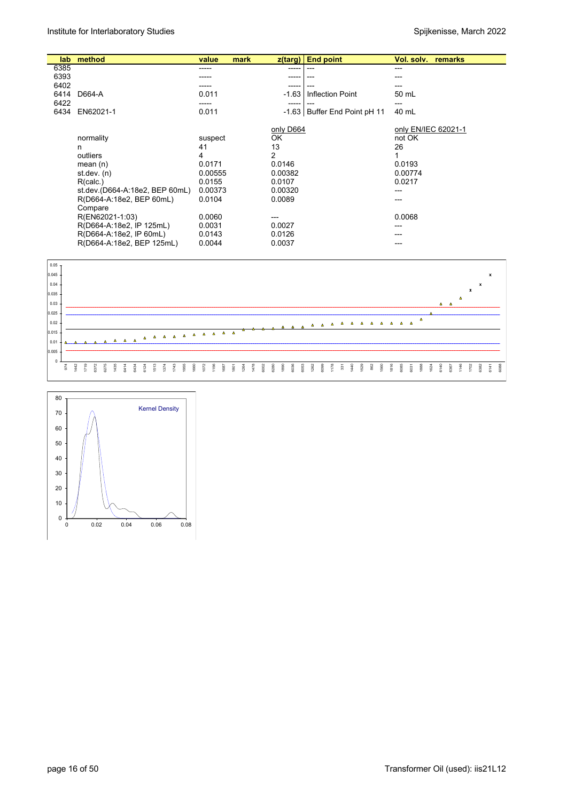| lab  | method                         | value   | mark | $z$ (targ) | <b>End point</b>               | Vol. solv.<br>remarks |
|------|--------------------------------|---------|------|------------|--------------------------------|-----------------------|
| 6385 |                                | -----   |      | -----      | ---                            | ---                   |
| 6393 |                                |         |      |            |                                |                       |
| 6402 |                                |         |      | -----      |                                |                       |
| 6414 | D664-A                         | 0.011   |      | $-1.63$    | Inflection Point               | 50 mL                 |
| 6422 |                                |         |      |            |                                |                       |
|      |                                |         |      | -----      |                                |                       |
| 6434 | EN62021-1                      | 0.011   |      |            | -1.63   Buffer End Point pH 11 | 40 mL                 |
|      |                                |         |      |            |                                |                       |
|      |                                |         |      | only D664  |                                | only EN/IEC 62021-1   |
|      | normality                      | suspect |      | OK         |                                | not OK                |
|      | n                              | 41      |      | 13         |                                | 26                    |
|      | outliers                       | 4       |      | 2          |                                |                       |
|      | mean $(n)$                     | 0.0171  |      | 0.0146     |                                | 0.0193                |
|      | st.dev. $(n)$                  | 0.00555 |      | 0.00382    |                                | 0.00774               |
|      | R(calc.)                       | 0.0155  |      | 0.0107     |                                | 0.0217                |
|      | st.dev.(D664-A:18e2, BEP 60mL) | 0.00373 |      | 0.00320    |                                |                       |
|      | R(D664-A:18e2, BEP 60mL)       | 0.0104  |      | 0.0089     |                                |                       |
|      | Compare                        |         |      |            |                                |                       |
|      | R(EN62021-1:03)                | 0.0060  |      |            |                                | 0.0068                |
|      | R(D664-A:18e2, IP 125mL)       | 0.0031  |      | 0.0027     |                                | ---                   |
|      | R(D664-A:18e2, IP 60mL)        | 0.0143  |      | 0.0126     |                                |                       |
|      | R(D664-A:18e2, BEP 125mL)      | 0.0044  |      | 0.0037     |                                |                       |
|      |                                |         |      |            |                                |                       |



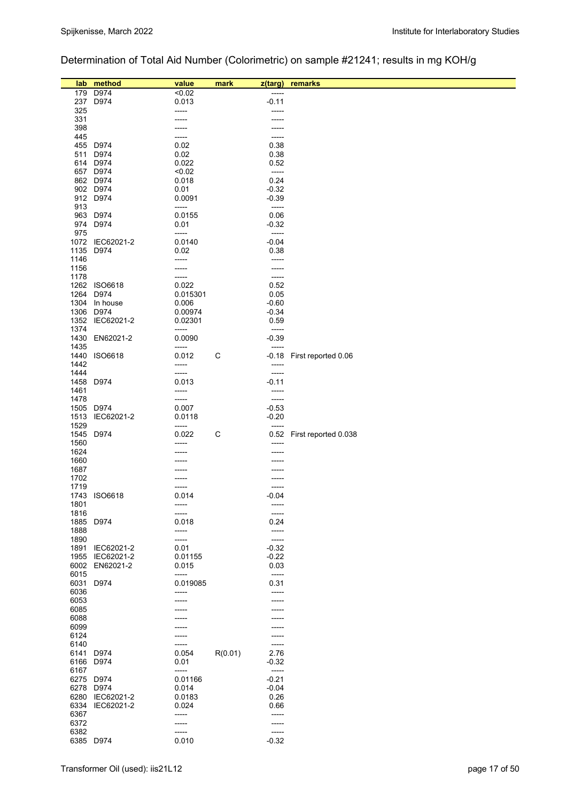# Determination of Total Aid Number (Colorimetric) on sample #21241; results in mg KOH/g

| lab          | method                  | value             | mark    | z(targ)            | remarks                   |
|--------------|-------------------------|-------------------|---------|--------------------|---------------------------|
| 179          | D974                    | < 0.02            |         | -----              |                           |
| 237          | D974                    | 0.013             |         | $-0.11$            |                           |
| 325          |                         | -----             |         | -----              |                           |
| 331          |                         |                   |         | -----              |                           |
| 398<br>445   |                         | -----             |         | -----              |                           |
| 455          | D974                    | 0.02              |         | -----<br>0.38      |                           |
| 511          | D974                    | 0.02              |         | 0.38               |                           |
| 614          | D974                    | 0.022             |         | 0.52               |                           |
| 657          | D974                    | < 0.02            |         | -----              |                           |
|              | 862 D974                | 0.018             |         | 0.24               |                           |
|              | 902 D974<br>912 D974    | 0.01<br>0.0091    |         | $-0.32$<br>$-0.39$ |                           |
| 913          |                         | -----             |         | -----              |                           |
| 963          | D974                    | 0.0155            |         | 0.06               |                           |
| 974          | D974                    | 0.01              |         | $-0.32$            |                           |
| 975          |                         | -----             |         | -----              |                           |
| 1135         | 1072 IEC62021-2<br>D974 | 0.0140<br>0.02    |         | $-0.04$<br>0.38    |                           |
| 1146         |                         | -----             |         | -----              |                           |
| 1156         |                         | -----             |         | -----              |                           |
| 1178         |                         | -----             |         | -----              |                           |
|              | 1262 ISO6618<br>D974    | 0.022<br>0.015301 |         | 0.52               |                           |
| 1264         | 1304 In house           | 0.006             |         | 0.05<br>$-0.60$    |                           |
|              | 1306 D974               | 0.00974           |         | $-0.34$            |                           |
|              | 1352 IEC62021-2         | 0.02301           |         | 0.59               |                           |
| 1374         |                         | -----             |         | -----              |                           |
| 1430<br>1435 | EN62021-2               | 0.0090<br>-----   |         | $-0.39$<br>-----   |                           |
| 1440         | <b>ISO6618</b>          | 0.012             | C       | $-0.18$            | First reported 0.06       |
| 1442         |                         | -----             |         | -----              |                           |
| 1444         |                         | -----             |         | -----              |                           |
| 1458         | D974                    | 0.013             |         | $-0.11$            |                           |
| 1461<br>1478 |                         | -----<br>-----    |         | -----<br>-----     |                           |
| 1505         | D974                    | 0.007             |         | $-0.53$            |                           |
| 1513         | IEC62021-2              | 0.0118            |         | $-0.20$            |                           |
| 1529         |                         | -----             |         | -----              |                           |
| 1545<br>1560 | D974                    | 0.022             | C       | -----              | 0.52 First reported 0.038 |
| 1624         |                         |                   |         | -----              |                           |
| 1660         |                         |                   |         |                    |                           |
| 1687         |                         |                   |         |                    |                           |
| 1702<br>1719 |                         | -----             |         | -----              |                           |
|              | 1743 ISO6618            | 0.014             |         | $-0.04$            |                           |
| 1801         |                         |                   |         |                    |                           |
| 1816         |                         | -----             |         | -----              |                           |
| 1885<br>1888 | D974                    | 0.018<br>-----    |         | 0.24<br>-----      |                           |
| 1890         |                         | -----             |         | -----              |                           |
| 1891         | IEC62021-2              | 0.01              |         | $-0.32$            |                           |
| 1955         | IEC62021-2              | 0.01155           |         | $-0.22$            |                           |
| 6015         | 6002 EN62021-2          | 0.015<br>-----    |         | 0.03<br>-----      |                           |
| 6031         | D974                    | 0.019085          |         | 0.31               |                           |
| 6036         |                         | -----             |         | -----              |                           |
| 6053         |                         |                   |         | -----              |                           |
| 6085         |                         |                   |         |                    |                           |
| 6088<br>6099 |                         |                   |         |                    |                           |
| 6124         |                         |                   |         |                    |                           |
| 6140         |                         | -----             |         | -----              |                           |
| 6141         | D974                    | 0.054             | R(0.01) | 2.76               |                           |
| 6166<br>6167 | D974                    | 0.01<br>-----     |         | $-0.32$<br>-----   |                           |
|              | 6275 D974               | 0.01166           |         | $-0.21$            |                           |
| 6278         | D974                    | 0.014             |         | $-0.04$            |                           |
|              | 6280 IEC62021-2         | 0.0183            |         | 0.26               |                           |
| 6334         | IEC62021-2              | 0.024             |         | 0.66               |                           |
| 6367<br>6372 |                         | -----<br>-----    |         | -----<br>-----     |                           |
| 6382         |                         | -----             |         | -----              |                           |
|              | 6385 D974               | 0.010             |         | $-0.32$            |                           |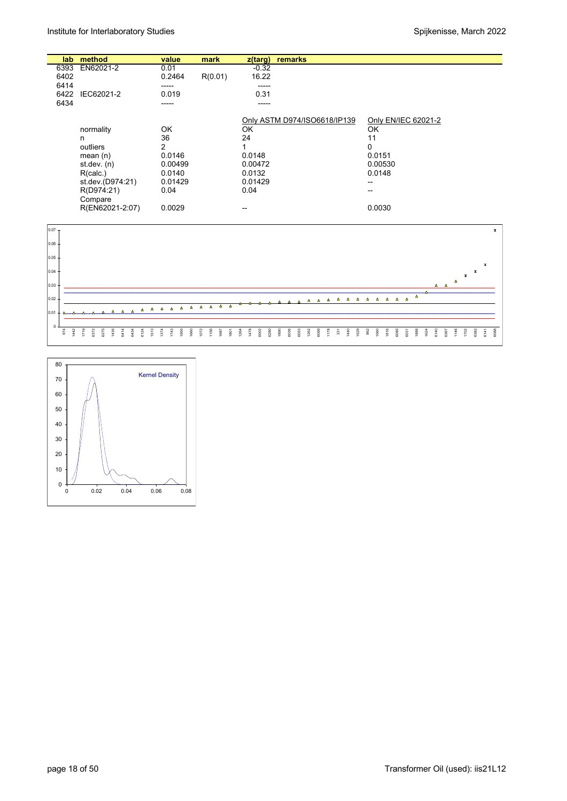| lab.                 | method                                                                                                                              | value                                                                     | mark              | z(targ)                                                               | remarks                                                       |                                                                                                               |                                   |
|----------------------|-------------------------------------------------------------------------------------------------------------------------------------|---------------------------------------------------------------------------|-------------------|-----------------------------------------------------------------------|---------------------------------------------------------------|---------------------------------------------------------------------------------------------------------------|-----------------------------------|
| 6393<br>6402<br>6414 | EN62021-2                                                                                                                           | 0.01<br>0.2464<br>-----                                                   | R(0.01)           | $-0.32$<br>16.22<br>-----                                             |                                                               |                                                                                                               |                                   |
| 6422<br>6434         | IEC62021-2                                                                                                                          | 0.019                                                                     |                   | 0.31                                                                  |                                                               |                                                                                                               |                                   |
|                      | normality<br>n<br>outliers<br>mean $(n)$<br>st.dev. (n)<br>R(calc.)<br>st.dev.(D974:21)<br>R(D974:21)<br>Compare<br>R(EN62021-2:07) | OK<br>36<br>2<br>0.0146<br>0.00499<br>0.0140<br>0.01429<br>0.04<br>0.0029 |                   | OK<br>24<br>1<br>0.0148<br>0.00472<br>0.0132<br>0.01429<br>0.04<br>-- | Only ASTM D974/ISO6618/IP139                                  | Only EN/IEC 62021-2<br>OK<br>11<br>0<br>0.0151<br>0.00530<br>0.0148<br>--<br>0.0030                           |                                   |
| $0.07 -$             |                                                                                                                                     |                                                                           |                   |                                                                       |                                                               |                                                                                                               | $\pmb{\times}$                    |
| 0.06                 |                                                                                                                                     |                                                                           |                   |                                                                       |                                                               |                                                                                                               |                                   |
| 0.05                 |                                                                                                                                     |                                                                           |                   |                                                                       |                                                               |                                                                                                               | $\boldsymbol{\mathsf{x}}$         |
| 0.04<br>0.03         |                                                                                                                                     |                                                                           |                   |                                                                       |                                                               | $\Delta$                                                                                                      | ж<br>$\mathbf x$<br>Δ<br>$\Delta$ |
| 0.02                 |                                                                                                                                     |                                                                           |                   |                                                                       | $\Delta$<br>$\Delta$<br>Δ<br>$\Delta$<br>$\Delta$<br>$\Delta$ | $\Delta$<br>$\begin{array}{ccccccccccccc} \Delta & \Delta & \Delta & \Delta & \Delta \end{array}$<br>$\Delta$ |                                   |
| 0.04                 |                                                                                                                                     |                                                                           | $\Delta$ $\Delta$ |                                                                       |                                                               |                                                                                                               |                                   |

1660 1072 1156 1687 1801 1264 1478 6002 6280 1890 6036 6053 1262 6099 1178 331 1440 1529 862 1560 1816 6085 6031 1888 1624 6140 6367 1146 1702 6382 6141 6088



0 0.01

 974 1442<br>1719<br>1719 6372 6275 1435 6414 6434 6124 1513 1374 1743 1955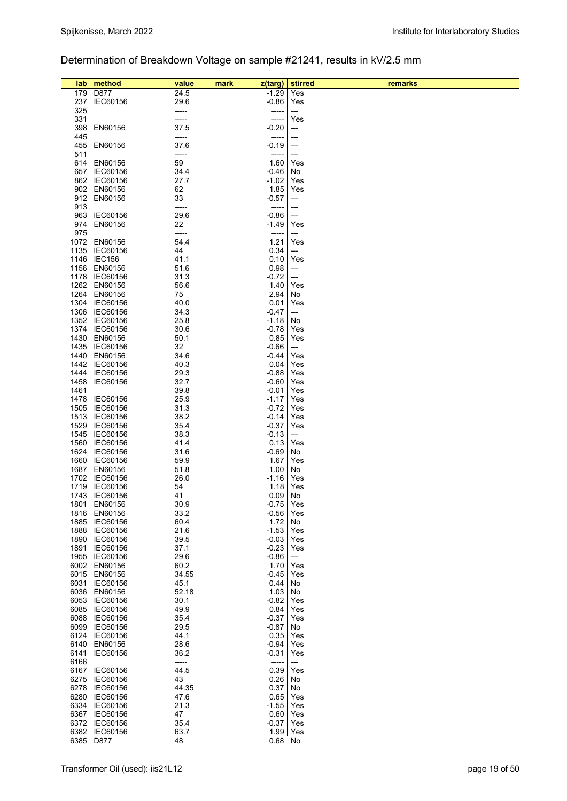# Determination of Breakdown Voltage on sample #21241, results in kV/2.5 mm

| lab  | method        | value         | mark               | stirred<br>remarks |
|------|---------------|---------------|--------------------|--------------------|
| 179  | D877          | 24.5          | z(targ)<br>$-1.29$ |                    |
| 237  | IEC60156      | 29.6          | $-0.86$            | Yes<br>Yes         |
| 325  |               | -----         | -----              | ---                |
| 331  |               | -----         | -----              | Yes                |
| 398  | EN60156       | 37.5          | $-0.20$            |                    |
| 445  |               | -----         | -----              | ---<br>---         |
| 455  | EN60156       | 37.6          | $-0.19$            | ---                |
| 511  |               | -----         | -----              | ---                |
| 614  | EN60156       | 59            | 1.60               | Yes                |
| 657  | IEC60156      | 34.4          | -0.46              | No                 |
|      | 862 IEC60156  | 27.7          | $-1.02$            | Yes                |
| 902  | EN60156       | 62            | 1.85               | Yes                |
| 912  | EN60156       | 33            | -0.57              | ---                |
| 913  |               | -----         | -----              | ---                |
|      | 963 IEC60156  | 29.6          | -0.86              | ---                |
| 974  | EN60156       | 22            | $-1.49$            | Yes                |
| 975  |               | -----         | -----              | ---                |
|      | 1072 EN60156  | 54.4          | 1.21               | Yes                |
|      | 1135 IEC60156 | 44            | 0.34               | ---                |
|      | 1146 IEC156   | 41.1          | 0.10               | Yes                |
|      | 1156 EN60156  | 51.6          | 0.98               | ---                |
|      | 1178 IEC60156 | 31.3          | $-0.72$            | ---                |
|      | 1262 EN60156  | 56.6          | 1.40               | Yes                |
|      | 1264 EN60156  | 75            | 2.94               | No                 |
|      | 1304 IEC60156 | 40.0          | 0.01               | Yes                |
|      | 1306 IEC60156 | 34.3          | -0.47              | ---                |
|      | 1352 IEC60156 | 25.8          | $-1.18$            | No                 |
| 1374 | IEC60156      | 30.6          | $-0.78$            | Yes                |
|      | 1430 EN60156  | 50.1          | 0.85               | Yes                |
|      | 1435 IEC60156 | 32            | $-0.66$            | ---                |
|      | 1440 EN60156  | 34.6          | -0.44              | Yes                |
|      | 1442 IEC60156 | 40.3          | 0.04               | Yes                |
|      | 1444 IEC60156 | 29.3          | $-0.88$            | Yes                |
|      | 1458 IEC60156 | 32.7          | $-0.60$            | Yes                |
| 1461 |               | 39.8          | $-0.01$            | Yes                |
|      | 1478 IEC60156 | 25.9          | $-1.17$            | Yes                |
| 1505 | IEC60156      | 31.3          | $-0.72$            | Yes                |
| 1513 | IEC60156      | 38.2          | $-0.14$            | Yes                |
| 1529 | IEC60156      | 35.4          | $-0.37$            | Yes                |
|      | 1545 IEC60156 | 38.3          | $-0.13$            | ---                |
| 1560 | IEC60156      | 41.4          | 0.13               | Yes                |
| 1624 | IEC60156      | 31.6          | $-0.69$            | No                 |
| 1660 | IEC60156      | 59.9          | 1.67               | Yes                |
|      | 1687 EN60156  | 51.8          | 1.00               | No                 |
|      | 1702 IEC60156 | 26.0          | $-1.16$            | Yes                |
|      | 1719 IEC60156 | 54            | 1.18               | Yes                |
|      | 1743 IEC60156 | 41            | 0.09               | No                 |
|      | 1801 EN60156  | 30.9          | $-0.75$            | Yes                |
|      | 1816 EN60156  | 33.2          | $-0.56$            | Yes                |
|      | 1885 IEC60156 | 60.4          | 1.72               | No                 |
|      | 1888 IEC60156 | 21.6          | $-1.53$            | Yes                |
| 1890 | IEC60156      | 39.5          | $-0.03$            | Yes                |
| 1891 | IEC60156      | 37.1          | $-0.23$            | Yes                |
|      | 1955 IEC60156 | 29.6          | $-0.86$            | ---                |
|      | 6002 EN60156  | 60.2          | 1.70               | Yes                |
|      | 6015 EN60156  | 34.55         | -0.45              | Yes                |
|      | 6031 IEC60156 | 45.1          | 0.44               | No                 |
|      | 6036 EN60156  | 52.18         | 1.03               | No                 |
|      | 6053 IEC60156 | 30.1          | $-0.82$            | Yes                |
|      | 6085 IEC60156 | 49.9          | 0.84               | Yes                |
|      | 6088 IEC60156 | 35.4          | $-0.37$            | Yes                |
|      | 6099 IEC60156 | 29.5          | $-0.87$            | No                 |
|      | 6124 IEC60156 | 44.1          | 0.35               | Yes                |
|      | 6140 EN60156  | 28.6          | $-0.94$            | Yes                |
| 6141 | IEC60156      | 36.2          | $-0.31$            | Yes                |
| 6166 | 6167 IEC60156 | -----<br>44.5 | -----<br>0.39      | ---                |
| 6275 | IEC60156      | 43            |                    | Yes                |
|      | 6278 IEC60156 | 44.35         | 0.26<br>0.37       | No<br>No           |
|      | 6280 IEC60156 | 47.6          | 0.65               | Yes                |
|      | 6334 IEC60156 | 21.3          | $-1.55$            | Yes                |
|      | 6367 IEC60156 | 47            | 0.60               | Yes                |
|      | 6372 IEC60156 | 35.4          | $-0.37$            | Yes                |
|      | 6382 IEC60156 | 63.7          |                    | 1.99 Yes           |
|      | 6385 D877     | 48            | 0.68 No            |                    |
|      |               |               |                    |                    |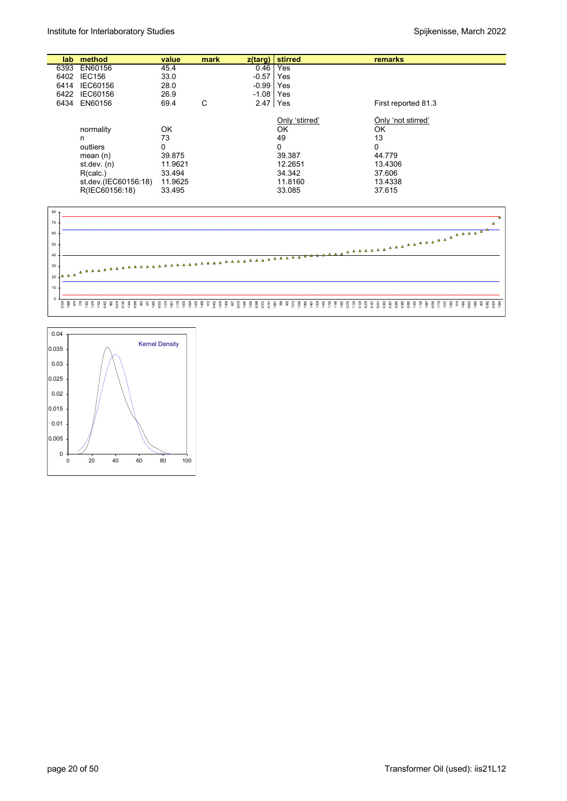|      | lab method           | value   | mark |         | $z$ (targ) stirred | remarks             |
|------|----------------------|---------|------|---------|--------------------|---------------------|
| 6393 | EN60156              | 45.4    |      | 0.46    | Yes                |                     |
| 6402 | <b>IEC156</b>        | 33.0    |      | $-0.57$ | Yes                |                     |
| 6414 | IEC60156             | 28.0    |      | $-0.99$ | Yes                |                     |
| 6422 | IEC60156             | 26.9    |      | $-1.08$ | Yes                |                     |
| 6434 | EN60156              | 69.4    | С    | 2.47    | Yes                | First reported 81.3 |
|      |                      |         |      |         | Only 'stirred'     | Only 'not stirred'  |
|      | normality            | OK      |      |         | OK                 | OK                  |
|      | n                    | 73      |      |         | 49                 | 13                  |
|      | outliers             | 0       |      |         | 0                  | 0                   |
|      | mean $(n)$           | 39.875  |      |         | 39.387             | 44.779              |
|      | st dev. $(n)$        | 11.9621 |      |         | 12.2651            | 13.4306             |
|      | R(calc.)             | 33.494  |      |         | 34.342             | 37.606              |
|      | st.dev.(IEC60156:18) | 11.9625 |      |         | 11.8160            | 13.4338             |
|      | R(IEC60156:18)       | 33.495  |      |         | 33.085             | 37.615              |



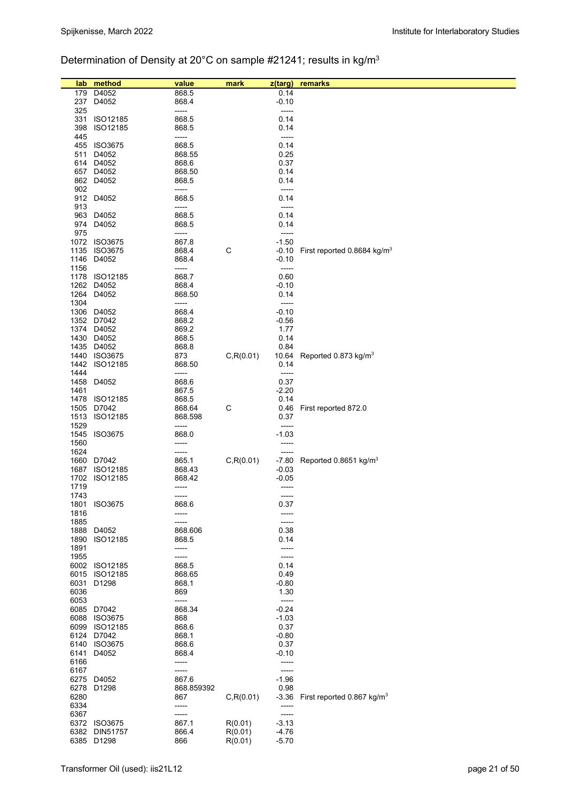# Determination of Density at 20°C on sample #21241; results in kg/m3

| lab<br>179 | method<br>D4052                | value<br>868.5   | mark       | z(targ)<br>0.14    | remarks                                       |
|------------|--------------------------------|------------------|------------|--------------------|-----------------------------------------------|
| 237        | D4052                          | 868.4            |            | $-0.10$            |                                               |
| 325        |                                | -----            |            | -----              |                                               |
| 331        | ISO12185                       | 868.5            |            | 0.14               |                                               |
| 398        | ISO12185                       | 868.5            |            | 0.14               |                                               |
| 445        |                                | -----            |            | -----              |                                               |
|            | 455 ISO3675                    | 868.5            |            | 0.14               |                                               |
| 511        | D4052                          | 868.55           |            | 0.25               |                                               |
|            | 614 D4052                      | 868.6            |            | 0.37               |                                               |
|            | 657 D4052                      | 868.50           |            | 0.14               |                                               |
|            | 862 D4052                      | 868.5            |            | 0.14               |                                               |
| 902        |                                | -----            |            | -----              |                                               |
|            | 912 D4052                      | 868.5            |            | 0.14               |                                               |
| 913        |                                | -----            |            | -----              |                                               |
|            | 963 D4052                      | 868.5            |            | 0.14               |                                               |
|            | 974 D4052                      | 868.5            |            | 0.14               |                                               |
| 975        |                                | -----            |            | -----              |                                               |
|            | 1072 ISO3675                   | 867.8            |            | $-1.50$            |                                               |
|            | 1135 ISO3675                   | 868.4            | C          |                    | -0.10 First reported 0.8684 kg/m <sup>3</sup> |
| 1146       | D4052                          | 868.4            |            | $-0.10$            |                                               |
| 1156       |                                | -----            |            | -----              |                                               |
|            | 1178 ISO12185                  | 868.7            |            | 0.60               |                                               |
|            | 1262 D4052                     | 868.4            |            | $-0.10$            |                                               |
|            | 1264 D4052                     | 868.50           |            | 0.14               |                                               |
| 1304       |                                | -----            |            | -----              |                                               |
|            | 1306 D4052                     | 868.4            |            | $-0.10$            |                                               |
|            | 1352 D7042                     | 868.2<br>869.2   |            | $-0.56$<br>1.77    |                                               |
|            | 1374 D4052<br>1430 D4052       | 868.5            |            | 0.14               |                                               |
|            | 1435 D4052                     | 868.8            |            | 0.84               |                                               |
|            | 1440 ISO3675                   | 873              | C, R(0.01) |                    | 10.64 Reported 0.873 kg/m <sup>3</sup>        |
|            | 1442 ISO12185                  | 868.50           |            | 0.14               |                                               |
| 1444       |                                | -----            |            | -----              |                                               |
|            | 1458 D4052                     | 868.6            |            | 0.37               |                                               |
| 1461       |                                | 867.5            |            | $-2.20$            |                                               |
|            | 1478 ISO12185                  | 868.5            |            | 0.14               |                                               |
| 1505       | D7042                          | 868.64           | C          |                    | 0.46 First reported 872.0                     |
|            | 1513 ISO12185                  | 868.598          |            | 0.37               |                                               |
| 1529       |                                | -----            |            | -----              |                                               |
|            | 1545 ISO3675                   | 868.0            |            | $-1.03$            |                                               |
| 1560       |                                | -----            |            | -----              |                                               |
| 1624       |                                | -----            |            | -----              |                                               |
|            | 1660 D7042                     | 865.1            | C, R(0.01) |                    | $-7.80$ Reported 0.8651 kg/m <sup>3</sup>     |
|            | 1687 ISO12185<br>1702 ISO12185 | 868.43<br>868.42 |            | $-0.03$<br>$-0.05$ |                                               |
| 1719       |                                | -----            |            |                    |                                               |
| 1743       |                                | -----            |            |                    |                                               |
| 1801       | <b>ISO3675</b>                 | 868.6            |            | 0.37               |                                               |
| 1816       |                                | -----            |            | -----              |                                               |
| 1885       |                                |                  |            | -----              |                                               |
| 1888       | D4052                          | 868.606          |            | 0.38               |                                               |
| 1890       | ISO12185                       | 868.5            |            | 0.14               |                                               |
| 1891       |                                | -----            |            | -----              |                                               |
| 1955       |                                | -----            |            | -----              |                                               |
|            | 6002 ISO12185                  | 868.5            |            | 0.14               |                                               |
|            | 6015 ISO12185                  | 868.65           |            | 0.49               |                                               |
| 6031       | D1298                          | 868.1            |            | $-0.80$            |                                               |
| 6036       |                                | 869              |            | 1.30               |                                               |
| 6053       |                                | -----            |            | -----              |                                               |
|            | 6085 D7042                     | 868.34           |            | $-0.24$            |                                               |
| 6088       | <b>ISO3675</b>                 | 868<br>868.6     |            | $-1.03$<br>0.37    |                                               |
|            | 6099 ISO12185<br>6124 D7042    | 868.1            |            | $-0.80$            |                                               |
|            | 6140 ISO3675                   | 868.6            |            | 0.37               |                                               |
| 6141       | D4052                          | 868.4            |            | $-0.10$            |                                               |
| 6166       |                                | -----            |            | -----              |                                               |
| 6167       |                                | -----            |            | -----              |                                               |
| 6275       | D4052                          | 867.6            |            | $-1.96$            |                                               |
| 6278       | D <sub>1298</sub>              | 868.859392       |            | 0.98               |                                               |
| 6280       |                                | 867              | C, R(0.01) |                    | -3.36 First reported 0.867 kg/m <sup>3</sup>  |
| 6334       |                                | -----            |            | -----              |                                               |
| 6367       |                                | -----            |            | -----              |                                               |
|            | 6372 ISO3675                   | 867.1            | R(0.01)    | $-3.13$            |                                               |
|            | 6382 DIN51757                  | 866.4            | R(0.01)    | -4.76              |                                               |
|            | 6385 D1298                     | 866              | R(0.01)    | $-5.70$            |                                               |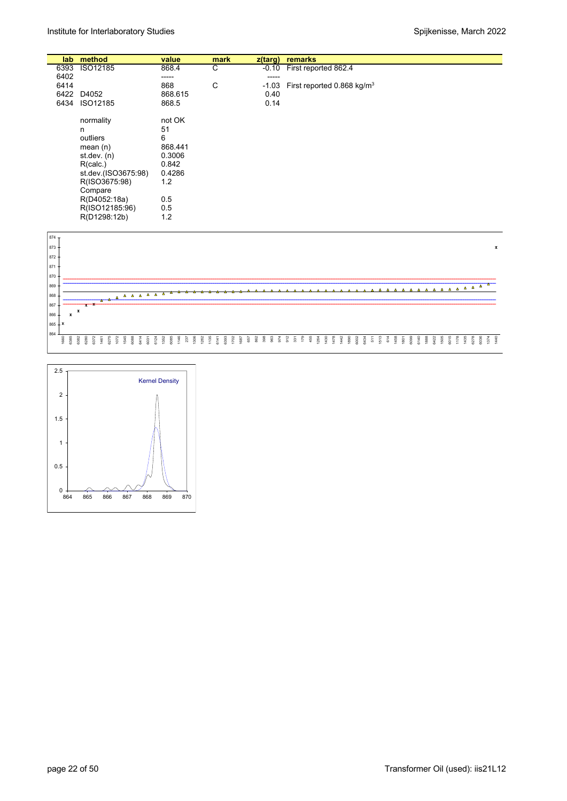|      | lab method          | value   | mark | z(targ) | remarks                                |
|------|---------------------|---------|------|---------|----------------------------------------|
| 6393 | ISO12185            | 868.4   | C    |         | -0.10 First reported 862.4             |
| 6402 |                     | -----   |      | -----   |                                        |
| 6414 |                     | 868     | C    | $-1.03$ | First reported 0.868 kg/m <sup>3</sup> |
| 6422 | D4052               | 868.615 |      | 0.40    |                                        |
| 6434 | ISO12185            | 868.5   |      | 0.14    |                                        |
|      |                     |         |      |         |                                        |
|      | normality           | not OK  |      |         |                                        |
|      | n                   | 51      |      |         |                                        |
|      | outliers            | 6       |      |         |                                        |
|      | mean $(n)$          | 868.441 |      |         |                                        |
|      | st.dev. $(n)$       | 0.3006  |      |         |                                        |
|      | R(calc.)            | 0.842   |      |         |                                        |
|      | st.dev.(ISO3675:98) | 0.4286  |      |         |                                        |
|      | R(ISO3675:98)       | 1.2     |      |         |                                        |
|      | Compare             |         |      |         |                                        |
|      | R(D4052:18a)        | 0.5     |      |         |                                        |
|      | R(ISO12185:96)      | 0.5     |      |         |                                        |
|      | R(D1298:12b)        | 1.2     |      |         |                                        |



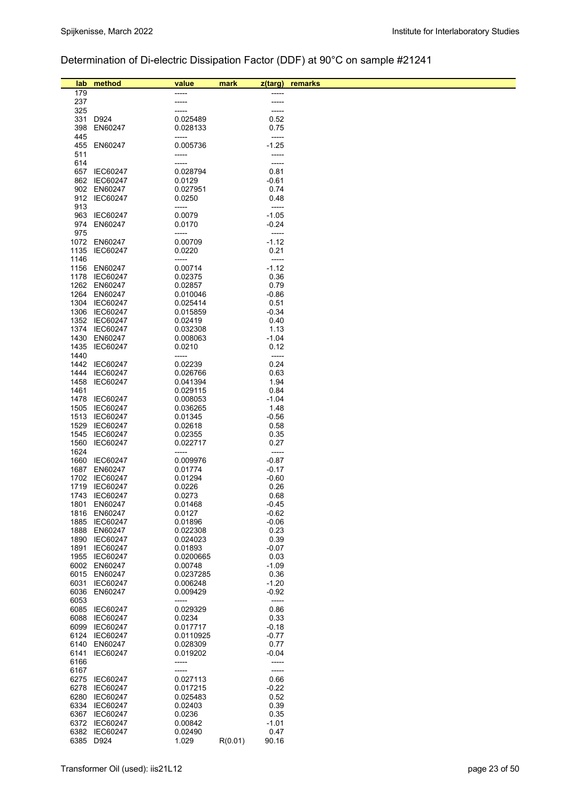## Determination of Di-electric Dissipation Factor (DDF) at 90°C on sample #21241

| lab          |                               | value              |         |                    |         |
|--------------|-------------------------------|--------------------|---------|--------------------|---------|
| 179          | method                        |                    | mark    | z(targ)            | remarks |
| 237          |                               |                    |         | -----              |         |
| 325          |                               |                    |         | -----              |         |
| 331          | D924                          | 0.025489           |         | 0.52               |         |
| 398          | EN60247                       | 0.028133           |         | 0.75               |         |
| 445          |                               | -----              |         | -----              |         |
| 455          | EN60247                       | 0.005736           |         | -1.25              |         |
| 511          |                               | -----              |         | -----              |         |
| 614          |                               | -----              |         | -----              |         |
|              | 657 IEC60247                  | 0.028794           |         | 0.81               |         |
|              | 862 IEC60247                  | 0.0129             |         | -0.61              |         |
|              | 902 EN60247                   | 0.027951           |         | 0.74               |         |
|              | 912 IEC60247                  | 0.0250             |         | 0.48               |         |
| 913<br>963   | IEC60247                      | -----<br>0.0079    |         | -----<br>$-1.05$   |         |
| 974          | EN60247                       | 0.0170             |         | $-0.24$            |         |
| 975          |                               | -----              |         | -----              |         |
|              | 1072 EN60247                  | 0.00709            |         | $-1.12$            |         |
| 1135         | <b>IEC60247</b>               | 0.0220             |         | 0.21               |         |
| 1146         |                               | -----              |         | -----              |         |
| 1156         | EN60247                       | 0.00714            |         | $-1.12$            |         |
| 1178         | IEC60247                      | 0.02375            |         | 0.36               |         |
|              | 1262 EN60247                  | 0.02857            |         | 0.79               |         |
|              | 1264 EN60247                  | 0.010046           |         | -0.86              |         |
|              | 1304 IEC60247                 | 0.025414           |         | 0.51               |         |
|              | 1306 IEC60247                 | 0.015859           |         | -0.34              |         |
|              | 1352 IEC60247                 | 0.02419            |         | 0.40               |         |
|              | 1374 IEC60247<br>1430 EN60247 | 0.032308           |         | 1.13               |         |
| 1435         | IEC60247                      | 0.008063<br>0.0210 |         | $-1.04$<br>0.12    |         |
| 1440         |                               | -----              |         | -----              |         |
|              | 1442 IEC60247                 | 0.02239            |         | 0.24               |         |
| 1444         | IEC60247                      | 0.026766           |         | 0.63               |         |
| 1458         | <b>IEC60247</b>               | 0.041394           |         | 1.94               |         |
| 1461         |                               | 0.029115           |         | 0.84               |         |
| 1478         | IEC60247                      | 0.008053           |         | $-1.04$            |         |
| 1505         | IEC60247                      | 0.036265           |         | 1.48               |         |
| 1513         | IEC60247                      | 0.01345            |         | $-0.56$            |         |
| 1529         | IEC60247                      | 0.02618            |         | 0.58               |         |
| 1545         | <b>IEC60247</b>               | 0.02355            |         | 0.35               |         |
| 1560         | <b>IEC60247</b>               | 0.022717           |         | 0.27               |         |
| 1624         |                               | -----              |         | $-----1$           |         |
| 1660         | IEC60247                      | 0.009976           |         | $-0.87$            |         |
| 1687         | EN60247<br>1702 IEC60247      | 0.01774<br>0.01294 |         | $-0.17$<br>$-0.60$ |         |
| 1719         | IEC60247                      | 0.0226             |         | 0.26               |         |
| 1743         | IEC60247                      | 0.0273             |         | 0.68               |         |
|              | 1801 EN60247                  | 0.01468            |         | $-0.45$            |         |
|              | 1816 EN60247                  | 0.0127             |         | $-0.62$            |         |
| 1885         | <b>IEC60247</b>               | 0.01896            |         | $-0.06$            |         |
| 1888         | EN60247                       | 0.022308           |         | 0.23               |         |
| 1890         | <b>IEC60247</b>               | 0.024023           |         | 0.39               |         |
| 1891         | <b>IEC60247</b>               | 0.01893            |         | $-0.07$            |         |
| 1955         | IEC60247                      | 0.0200665          |         | 0.03               |         |
|              | 6002 EN60247                  | 0.00748            |         | $-1.09$            |         |
|              | 6015 EN60247                  | 0.0237285          |         | 0.36               |         |
| 6031         | <b>IEC60247</b>               | 0.006248           |         | $-1.20$            |         |
| 6036         | EN60247                       | 0.009429           |         | $-0.92$            |         |
| 6053<br>6085 | IEC60247                      | -----<br>0.029329  |         | -----<br>0.86      |         |
| 6088         | <b>IEC60247</b>               | 0.0234             |         | 0.33               |         |
| 6099         | <b>IEC60247</b>               | 0.017717           |         | $-0.18$            |         |
| 6124         | <b>IEC60247</b>               | 0.0110925          |         | $-0.77$            |         |
| 6140         | EN60247                       | 0.028309           |         | 0.77               |         |
| 6141         | <b>IEC60247</b>               | 0.019202           |         | $-0.04$            |         |
| 6166         |                               | -----              |         | -----              |         |
| 6167         |                               | -----              |         | -----              |         |
| 6275         | <b>IEC60247</b>               | 0.027113           |         | 0.66               |         |
| 6278         | <b>IEC60247</b>               | 0.017215           |         | $-0.22$            |         |
| 6280         | <b>IEC60247</b>               | 0.025483           |         | 0.52               |         |
| 6334         | <b>IEC60247</b>               | 0.02403            |         | 0.39               |         |
|              | 6367 IEC60247                 | 0.0236             |         | 0.35               |         |
|              | 6372 IEC60247                 | 0.00842            |         | $-1.01$            |         |
|              | 6382 IEC60247<br>6385 D924    | 0.02490<br>1.029   | R(0.01) | 0.47<br>90.16      |         |
|              |                               |                    |         |                    |         |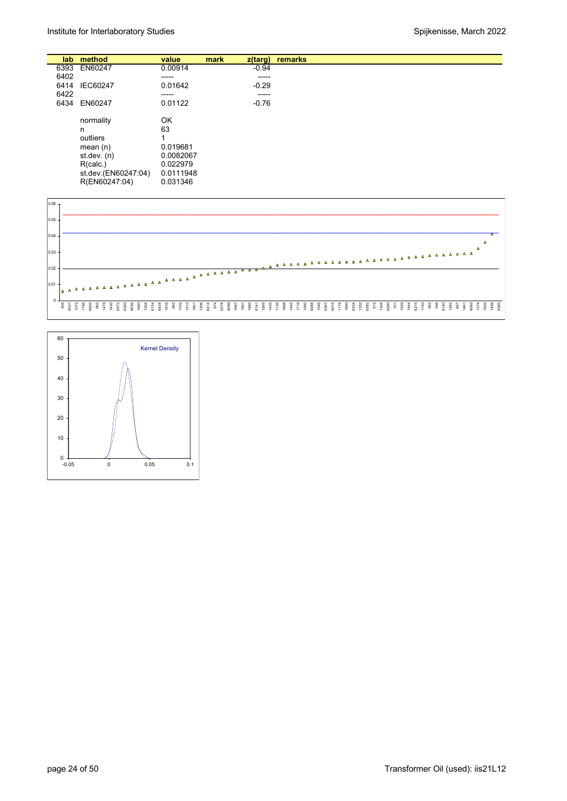|      | lab method                                                                                                    | value                                                                  | mark | $z$ (targ) | remarks |
|------|---------------------------------------------------------------------------------------------------------------|------------------------------------------------------------------------|------|------------|---------|
| 6393 | EN60247                                                                                                       | 0.00914                                                                |      | $-0.94$    |         |
| 6402 |                                                                                                               | -----                                                                  |      | -----      |         |
| 6414 | IEC60247                                                                                                      | 0.01642                                                                |      | $-0.29$    |         |
| 6422 |                                                                                                               | -----                                                                  |      | -----      |         |
| 6434 | EN60247                                                                                                       | 0.01122                                                                |      | $-0.76$    |         |
|      | normality<br>n<br>outliers<br>mean $(n)$<br>st.dev. $(n)$<br>R(calc.)<br>st.dev.(EN60247:04)<br>R(EN60247:04) | OK<br>63<br>0.019681<br>0.0082067<br>0.022979<br>0.0111948<br>0.031346 |      |            |         |



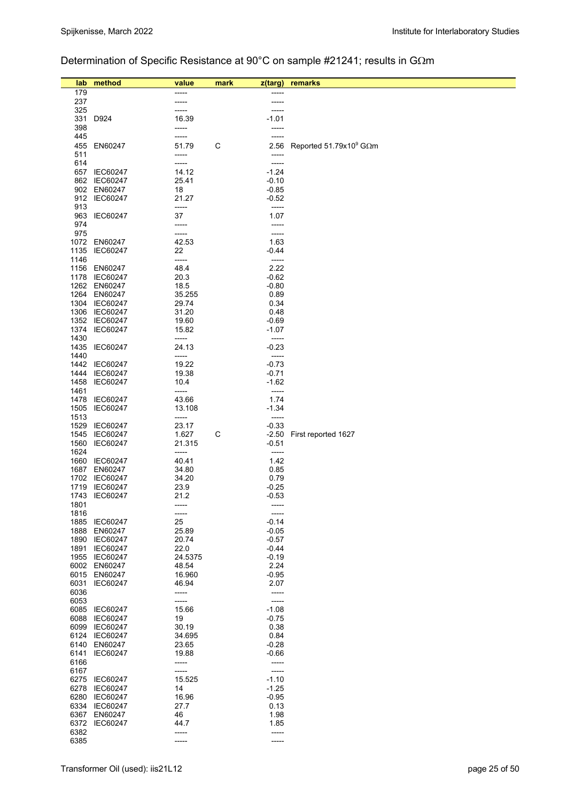# Determination of Specific Resistance at 90°C on sample #21241; results in G $\Omega$ m

| lab          | method                         | value           | mark | z(targ)            | remarks                            |
|--------------|--------------------------------|-----------------|------|--------------------|------------------------------------|
| 179          |                                |                 |      |                    |                                    |
| 237          |                                |                 |      | -----              |                                    |
| 325          |                                | -----           |      | -----              |                                    |
| 331<br>398   | D924                           | 16.39<br>-----  |      | $-1.01$<br>-----   |                                    |
| 445          |                                | -----           |      | -----              |                                    |
| 455          | EN60247                        | 51.79           | C    | 2.56               | Reported 51.79x10 <sup>9</sup> GΩm |
| 511          |                                | -----           |      | -----              |                                    |
| 614          |                                | -----           |      | -----              |                                    |
|              | 657 IEC60247                   | 14.12           |      | $-1.24$            |                                    |
|              | 862 IEC60247<br>902 EN60247    | 25.41<br>18     |      | $-0.10$<br>$-0.85$ |                                    |
|              | 912 IEC60247                   | 21.27           |      | $-0.52$            |                                    |
| 913          |                                | -----           |      | -----              |                                    |
|              | 963 IEC60247                   | 37              |      | 1.07               |                                    |
| 974          |                                | -----           |      | -----              |                                    |
| 975          | 1072 EN60247                   | -----<br>42.53  |      | -----<br>1.63      |                                    |
| 1135         | <b>IEC60247</b>                | 22              |      | $-0.44$            |                                    |
| 1146         |                                | -----           |      | -----              |                                    |
| 1156         | EN60247                        | 48.4            |      | 2.22               |                                    |
|              | 1178 IEC60247                  | 20.3            |      | $-0.62$            |                                    |
| 1264         | 1262 EN60247<br>EN60247        | 18.5<br>35.255  |      | $-0.80$<br>0.89    |                                    |
|              | 1304 IEC60247                  | 29.74           |      | 0.34               |                                    |
|              | 1306 IEC60247                  | 31.20           |      | 0.48               |                                    |
|              | 1352 IEC60247                  | 19.60           |      | $-0.69$            |                                    |
| 1374         | IEC60247                       | 15.82           |      | $-1.07$            |                                    |
| 1430         | 1435 IEC60247                  | -----<br>24.13  |      | -----<br>$-0.23$   |                                    |
| 1440         |                                | -----           |      | -----              |                                    |
|              | 1442 IEC60247                  | 19.22           |      | $-0.73$            |                                    |
|              | 1444 IEC60247                  | 19.38           |      | $-0.71$            |                                    |
| 1458         | IEC60247                       | 10.4            |      | $-1.62$            |                                    |
| 1461<br>1478 | IEC60247                       | -----<br>43.66  |      | -----<br>1.74      |                                    |
| 1505         | <b>IEC60247</b>                | 13.108          |      | $-1.34$            |                                    |
| 1513         |                                | -----           |      | -----              |                                    |
|              | 1529 IEC60247                  | 23.17           |      | $-0.33$            |                                    |
| 1545         | <b>IEC60247</b>                | 1.627<br>21.315 | C    | $-2.50$<br>$-0.51$ | First reported 1627                |
| 1560<br>1624 | <b>IEC60247</b>                | -----           |      | $-----$            |                                    |
|              | 1660 IEC60247                  | 40.41           |      | 1.42               |                                    |
|              | 1687 EN60247                   | 34.80           |      | 0.85               |                                    |
|              | 1702 IEC60247                  | 34.20           |      | 0.79               |                                    |
|              | 1719 IEC60247<br>1743 IEC60247 | 23.9<br>21.2    |      | $-0.25$<br>$-0.53$ |                                    |
| 1801         |                                |                 |      |                    |                                    |
| 1816         |                                | -----           |      | -----              |                                    |
|              | 1885 IEC60247                  | 25              |      | $-0.14$            |                                    |
| 1888         | EN60247<br>1890 IEC60247       | 25.89           |      | $-0.05$            |                                    |
|              | 1891 IEC60247                  | 20.74<br>22.0   |      | $-0.57$<br>$-0.44$ |                                    |
|              | 1955 IEC60247                  | 24.5375         |      | $-0.19$            |                                    |
|              | 6002 EN60247                   | 48.54           |      | 2.24               |                                    |
|              | 6015 EN60247                   | 16.960          |      | $-0.95$            |                                    |
| 6031         | <b>IEC60247</b>                | 46.94           |      | 2.07               |                                    |
| 6036<br>6053 |                                | -----<br>-----  |      | -----<br>-----     |                                    |
|              | 6085 IEC60247                  | 15.66           |      | $-1.08$            |                                    |
|              | 6088 IEC60247                  | 19              |      | $-0.75$            |                                    |
|              | 6099 IEC60247                  | 30.19           |      | 0.38               |                                    |
|              | 6124 IEC60247<br>6140 EN60247  | 34.695<br>23.65 |      | 0.84<br>$-0.28$    |                                    |
| 6141         | <b>IEC60247</b>                | 19.88           |      | $-0.66$            |                                    |
| 6166         |                                | -----           |      | -----              |                                    |
| 6167         |                                | -----           |      | -----              |                                    |
|              | 6275 IEC60247                  | 15.525          |      | $-1.10$            |                                    |
|              | 6278 IEC60247<br>6280 IEC60247 | 14<br>16.96     |      | $-1.25$<br>$-0.95$ |                                    |
|              | 6334 IEC60247                  | 27.7            |      | 0.13               |                                    |
|              | 6367 EN60247                   | 46              |      | 1.98               |                                    |
|              | 6372 IEC60247                  | 44.7            |      | 1.85               |                                    |
| 6382<br>6385 |                                | -----           |      | -----<br>-----     |                                    |
|              |                                |                 |      |                    |                                    |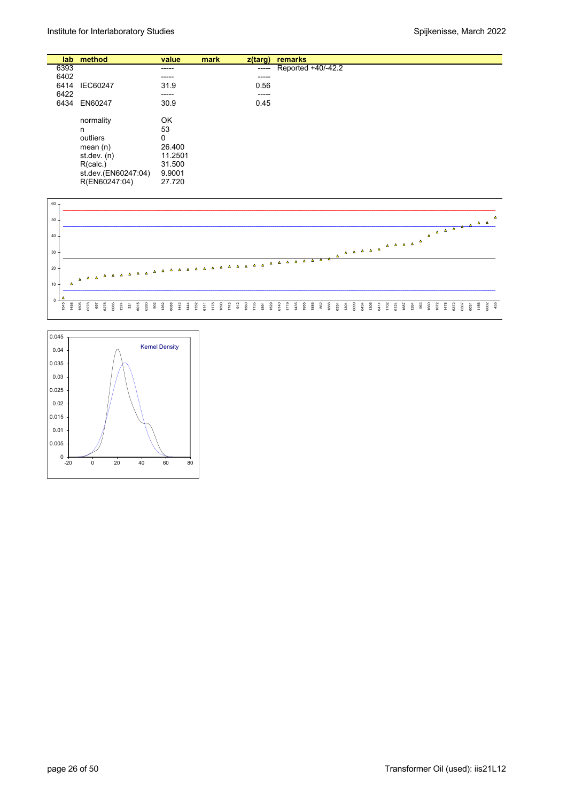|      | lab method          | value   | mark<br>z(targ) | remarks            |
|------|---------------------|---------|-----------------|--------------------|
| 6393 |                     | -----   | $- - - - -$     | Reported +40/-42.2 |
| 6402 |                     | -----   | -----           |                    |
| 6414 | IEC60247            | 31.9    | 0.56            |                    |
| 6422 |                     | -----   | -----           |                    |
| 6434 | EN60247             | 30.9    | 0.45            |                    |
|      |                     |         |                 |                    |
|      | normality           | OK      |                 |                    |
|      | n                   | 53      |                 |                    |
|      | outliers            | 0       |                 |                    |
|      | mean $(n)$          | 26.400  |                 |                    |
|      | st.dev. $(n)$       | 11.2501 |                 |                    |
|      | R(calc.)            | 31.500  |                 |                    |
|      | st.dev.(EN60247:04) | 9.9001  |                 |                    |
|      | R(EN60247:04)       | 27.720  |                 |                    |



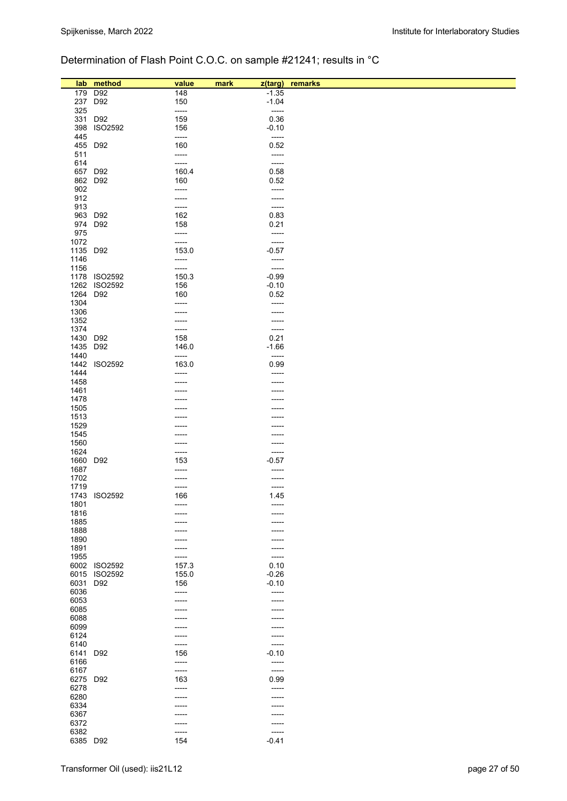## Determination of Flash Point C.O.C. on sample #21241; results in °C

| lab<br>179   | method<br>D92  | value<br>148   | mark<br>z(targ)<br>$-1.35$ | remarks |
|--------------|----------------|----------------|----------------------------|---------|
| 237          | D92            | 150            | $-1.04$                    |         |
| 325          |                | -----          | $\overline{a}$             |         |
| 331          | D92            | 159            | 0.36                       |         |
| 398          | <b>ISO2592</b> | 156            | $-0.10$                    |         |
| 445          |                | -----          | -----                      |         |
| 455          | D92            | 160            | 0.52                       |         |
| 511          |                | -----          | -----                      |         |
| 614          |                | -----          | -----                      |         |
|              | 657 D92        | 160.4          | 0.58                       |         |
|              | 862 D92        | 160            | 0.52                       |         |
| 902          |                | -----          | -----                      |         |
| 912          |                | -----          | -----<br>-----             |         |
| 913          | 963 D92        | -----<br>162   | 0.83                       |         |
| 974          | D92            | 158            | 0.21                       |         |
| 975          |                | -----          | -----                      |         |
| 1072         |                | -----          | $-----$                    |         |
| 1135 D92     |                | 153.0          | $-0.57$                    |         |
| 1146         |                | -----          | -----                      |         |
| 1156         |                | -----          | -----                      |         |
|              | 1178 ISO2592   | 150.3          | $-0.99$                    |         |
|              | 1262 ISO2592   | 156            | $-0.10$                    |         |
| 1264 D92     |                | 160            | 0.52                       |         |
| 1304         |                | -----          | -----                      |         |
| 1306<br>1352 |                | -----<br>----- | -----<br>-----             |         |
| 1374         |                | -----          | -----                      |         |
| 1430 D92     |                | 158            | 0.21                       |         |
| 1435 D92     |                | 146.0          | $-1.66$                    |         |
| 1440         |                | -----          | $-----$                    |         |
|              | 1442 ISO2592   | 163.0          | 0.99                       |         |
| 1444         |                | -----          | -----                      |         |
| 1458         |                |                | -----                      |         |
| 1461         |                |                |                            |         |
| 1478         |                |                |                            |         |
| 1505         |                |                |                            |         |
| 1513<br>1529 |                |                |                            |         |
| 1545         |                |                | -----                      |         |
| 1560         |                | -----          | -----                      |         |
| 1624         |                | -----          | -----                      |         |
| 1660 D92     |                | 153            | $-0.57$                    |         |
| 1687         |                | -----          | -----                      |         |
| 1702         |                | -----          | -----                      |         |
| 1719         |                | -----          | -----                      |         |
|              | 1743 ISO2592   | 166            | 1.45                       |         |
| 1801         |                |                |                            |         |
| 1816<br>1885 |                |                |                            |         |
| 1888         |                |                |                            |         |
| 1890         |                |                |                            |         |
| 1891         |                | ----           | -----                      |         |
| 1955         |                | -----          | -----                      |         |
|              | 6002 ISO2592   | 157.3          | 0.10                       |         |
|              | 6015 ISO2592   | 155.0          | $-0.26$                    |         |
| 6031         | D92            | 156            | $-0.10$                    |         |
| 6036         |                | -----          | -----                      |         |
| 6053         |                | -----          | -----                      |         |
| 6085         |                | -----          | -----                      |         |
| 6088<br>6099 |                |                |                            |         |
| 6124         |                | -----<br>----- | ----<br>-----              |         |
| 6140         |                | -----          | -----                      |         |
| 6141         | D92            | 156            | $-0.10$                    |         |
| 6166         |                | -----          | -----                      |         |
| 6167         |                | -----          | -----                      |         |
| 6275         | D92            | 163            | 0.99                       |         |
| 6278         |                | -----          | -----                      |         |
| 6280         |                | -----          | -----                      |         |
| 6334         |                |                |                            |         |
| 6367         |                |                |                            |         |
| 6372<br>6382 |                | -----<br>----- | -----<br>-----             |         |
| 6385 D92     |                | 154            | $-0.41$                    |         |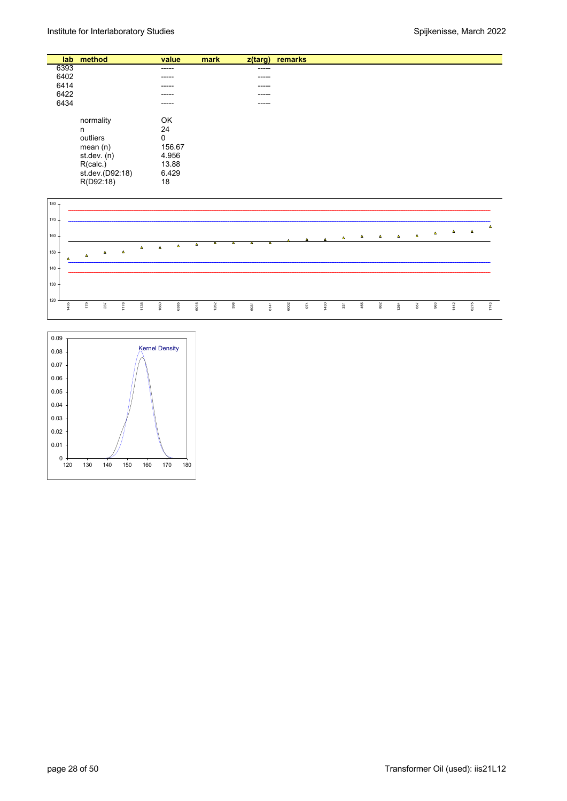|      |                 |        |      |         | remarks |
|------|-----------------|--------|------|---------|---------|
|      | lab method      | value  | mark | z(targ) |         |
| 6393 |                 | -----  |      | -----   |         |
| 6402 |                 | ------ |      | ------  |         |
| 6414 |                 | -----  |      | -----   |         |
| 6422 |                 | -----  |      | ------  |         |
| 6434 |                 |        |      |         |         |
|      |                 | -----  |      | ------  |         |
|      |                 |        |      |         |         |
|      | normality       | OK     |      |         |         |
|      | n               | 24     |      |         |         |
|      | outliers        | 0      |      |         |         |
|      | mean(n)         | 156.67 |      |         |         |
|      | st.dev. (n)     | 4.956  |      |         |         |
|      | R(calc.)        | 13.88  |      |         |         |
|      | st.dev.(D92:18) | 6.429  |      |         |         |
|      |                 |        |      |         |         |
|      | R(D92:18)       | 18     |      |         |         |



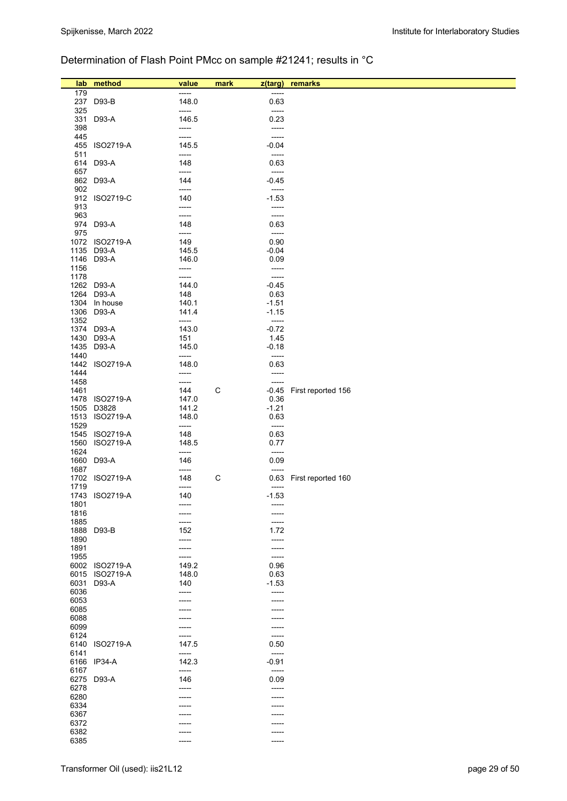## Determination of Flash Point PMcc on sample #21241; results in °C

| lab          | method                      | value          | mark | z(targ)            | remarks            |
|--------------|-----------------------------|----------------|------|--------------------|--------------------|
| 179          |                             | -----          |      | -----              |                    |
| 237          | D93-B                       | 148.0          |      | 0.63               |                    |
| 325          |                             | -----          |      | -----              |                    |
| 331          | D93-A                       | 146.5          |      | 0.23               |                    |
| 398<br>445   |                             | -----<br>----- |      | -----<br>-----     |                    |
| 455          | ISO2719-A                   | 145.5          |      | $-0.04$            |                    |
| 511          |                             | -----          |      | $-----$            |                    |
| 614          | D93-A                       | 148            |      | 0.63               |                    |
| 657          |                             | -----          |      | -----              |                    |
|              | 862 D93-A                   | 144            |      | $-0.45$            |                    |
| 902<br>912   | ISO2719-C                   | -----<br>140   |      | -----<br>$-1.53$   |                    |
| 913          |                             | -----          |      | -----              |                    |
| 963          |                             | -----          |      | -----              |                    |
| 974          | D93-A                       | 148            |      | 0.63               |                    |
| 975          |                             | -----          |      | -----              |                    |
| 1135         | 1072 ISO2719-A<br>D93-A     | 149<br>145.5   |      | 0.90<br>$-0.04$    |                    |
| 1146         | D93-A                       | 146.0          |      | 0.09               |                    |
| 1156         |                             | -----          |      | -----              |                    |
| 1178         |                             | -----          |      | -----              |                    |
|              | 1262 D93-A                  | 144.0          |      | $-0.45$            |                    |
| 1264         | D93-A                       | 148            |      | 0.63               |                    |
| 1304<br>1306 | In house<br>D93-A           | 140.1<br>141.4 |      | $-1.51$<br>$-1.15$ |                    |
| 1352         |                             | -----          |      | $-----$            |                    |
| 1374         | D93-A                       | 143.0          |      | $-0.72$            |                    |
| 1430         | D93-A                       | 151            |      | 1.45               |                    |
| 1435         | D93-A                       | 145.0          |      | $-0.18$            |                    |
| 1440         | 1442 ISO2719-A              | -----<br>148.0 |      | -----<br>0.63      |                    |
| 1444         |                             | -----          |      | -----              |                    |
| 1458         |                             | -----          |      | -----              |                    |
| 1461         |                             | 144            | C    | $-0.45$            | First reported 156 |
|              | 1478 ISO2719-A              | 147.0          |      | 0.36               |                    |
| 1505         | D3828<br>1513 ISO2719-A     | 141.2<br>148.0 |      | $-1.21$<br>0.63    |                    |
| 1529         |                             | -----          |      | $-----$            |                    |
| 1545         | <b>ISO2719-A</b>            | 148            |      | 0.63               |                    |
| 1560         | <b>ISO2719-A</b>            | 148.5          |      | 0.77               |                    |
| 1624         |                             | -----          |      | $-----$            |                    |
| 1660<br>1687 | D93-A                       | 146<br>-----   |      | 0.09<br>-----      |                    |
|              | 1702 ISO2719-A              | 148            | C    | 0.63               | First reported 160 |
| 1719         |                             | -----          |      | -----              |                    |
|              | 1743 ISO2719-A              | 140            |      | $-1.53$            |                    |
| 1801         |                             |                |      |                    |                    |
| 1816<br>1885 |                             | -----          |      | -----              |                    |
| 1888         | D93-B                       | 152            |      | 1.72               |                    |
| 1890         |                             | -----          |      | -----              |                    |
| 1891         |                             | -----          |      | ------             |                    |
| 1955         |                             | -----          |      | -----              |                    |
| 6015         | 6002 ISO2719-A<br>ISO2719-A | 149.2<br>148.0 |      | 0.96<br>0.63       |                    |
| 6031         | D93-A                       | 140            |      | $-1.53$            |                    |
| 6036         |                             | -----          |      | -----              |                    |
| 6053         |                             |                |      | -----              |                    |
| 6085         |                             |                |      |                    |                    |
| 6088<br>6099 |                             |                |      |                    |                    |
| 6124         |                             | -----          |      | -----              |                    |
| 6140         | ISO2719-A                   | 147.5          |      | 0.50               |                    |
| 6141         |                             | -----          |      | -----              |                    |
| 6166         | <b>IP34-A</b>               | 142.3          |      | $-0.91$            |                    |
| 6167<br>6275 | D93-A                       | -----<br>146   |      | -----<br>0.09      |                    |
| 6278         |                             | -----          |      | -----              |                    |
| 6280         |                             |                |      |                    |                    |
| 6334         |                             |                |      |                    |                    |
| 6367         |                             |                |      |                    |                    |
| 6372<br>6382 |                             |                |      |                    |                    |
| 6385         |                             |                |      |                    |                    |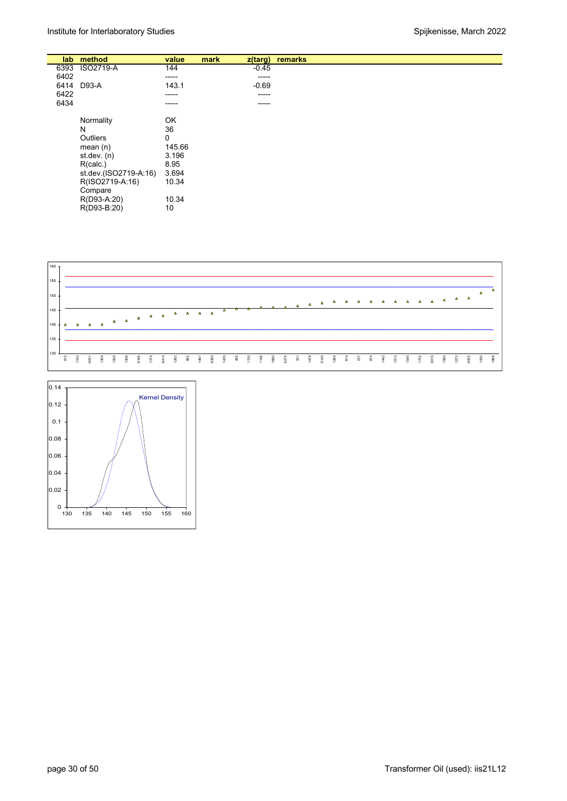|                      |                                                                                                                                                                                                       |                                                       |         | remarks            |
|----------------------|-------------------------------------------------------------------------------------------------------------------------------------------------------------------------------------------------------|-------------------------------------------------------|---------|--------------------|
|                      |                                                                                                                                                                                                       |                                                       |         |                    |
|                      | -----                                                                                                                                                                                                 |                                                       | -----   |                    |
|                      | 143.1                                                                                                                                                                                                 |                                                       | $-0.69$ |                    |
|                      | -----                                                                                                                                                                                                 |                                                       | -----   |                    |
|                      | ------                                                                                                                                                                                                |                                                       | ------  |                    |
|                      |                                                                                                                                                                                                       |                                                       |         |                    |
|                      | OK                                                                                                                                                                                                    |                                                       |         |                    |
| N                    | 36                                                                                                                                                                                                    |                                                       |         |                    |
|                      | 0                                                                                                                                                                                                     |                                                       |         |                    |
|                      | 145.66                                                                                                                                                                                                |                                                       |         |                    |
|                      | 3.196                                                                                                                                                                                                 |                                                       |         |                    |
|                      |                                                                                                                                                                                                       |                                                       |         |                    |
|                      |                                                                                                                                                                                                       |                                                       |         |                    |
|                      |                                                                                                                                                                                                       |                                                       |         |                    |
|                      |                                                                                                                                                                                                       |                                                       |         |                    |
|                      |                                                                                                                                                                                                       |                                                       |         |                    |
|                      |                                                                                                                                                                                                       |                                                       |         |                    |
| 6393<br>6402<br>6422 | lab method<br><b>ISO2719-A</b><br>6414 D93-A<br>Normality<br>Outliers<br>mean $(n)$<br>st.dev. $(n)$<br>R(calc.)<br>st.dev.(ISO2719-A:16)<br>R(ISO2719-A:16)<br>Compare<br>R(D93-A:20)<br>R(D93-B:20) | value<br>144<br>8.95<br>3.694<br>10.34<br>10.34<br>10 | mark    | z(targ)<br>$-0.45$ |



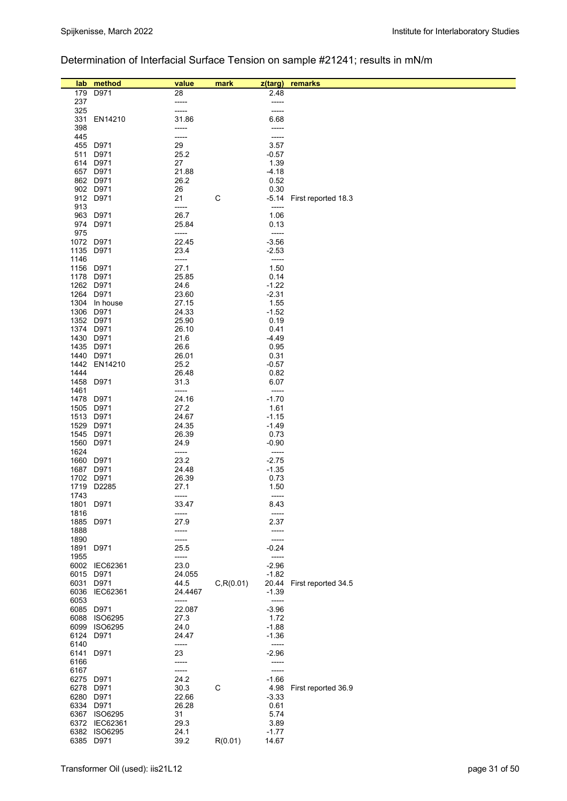## Determination of Interfacial Surface Tension on sample #21241; results in mN/m

| lab<br>179   | method<br>D971         | value<br>28    | mark        | z(targ)<br>2.48  | remarks             |
|--------------|------------------------|----------------|-------------|------------------|---------------------|
| 237          |                        | -----          |             | -----            |                     |
| 325          |                        | -----          |             | -----            |                     |
| 331          | EN14210                | 31.86          |             | 6.68             |                     |
| 398          |                        | -----          |             | -----            |                     |
| 445          |                        | -----          |             | -----            |                     |
| 455          | D971                   | 29             |             | 3.57             |                     |
| 511          | D971                   | 25.2           |             | $-0.57$          |                     |
| 614          | D971                   | 27             |             | 1.39             |                     |
|              | 657 D971               | 21.88          |             | $-4.18$          |                     |
|              | 862 D971               | 26.2           |             | 0.52             |                     |
|              | 902 D971               | 26             |             | 0.30             |                     |
|              | 912 D971               | 21             | $\mathsf C$ | $-5.14$          | First reported 18.3 |
| 913          |                        | -----          |             | -----            |                     |
|              | 963 D971               | 26.7           |             | 1.06             |                     |
| 974          | D971                   | 25.84          |             | 0.13             |                     |
| 975          |                        | -----          |             | -----            |                     |
|              | 1072 D971              | 22.45          |             | $-3.56$          |                     |
| 1135         | D971                   | 23.4           |             | $-2.53$          |                     |
| 1146         |                        | -----          |             | -----            |                     |
|              | 1156 D971              | 27.1           |             | 1.50             |                     |
| 1178         | D971                   | 25.85          |             | 0.14             |                     |
|              | 1262 D971              | 24.6           |             | $-1.22$          |                     |
|              | 1264 D971              | 23.60          |             | $-2.31$          |                     |
|              | 1304 In house          | 27.15          |             | 1.55             |                     |
|              | 1306 D971              | 24.33          |             | $-1.52$          |                     |
|              | 1352 D971              | 25.90          |             | 0.19             |                     |
|              | 1374 D971              | 26.10          |             | 0.41<br>$-4.49$  |                     |
|              | 1430 D971<br>1435 D971 | 21.6<br>26.6   |             | 0.95             |                     |
|              | 1440 D971              | 26.01          |             | 0.31             |                     |
|              | 1442 EN14210           | 25.2           |             | $-0.57$          |                     |
| 1444         |                        | 26.48          |             | 0.82             |                     |
| 1458         | D971                   | 31.3           |             | 6.07             |                     |
| 1461         |                        | -----          |             | -----            |                     |
|              | 1478 D971              | 24.16          |             | $-1.70$          |                     |
| 1505         | D971                   | 27.2           |             | 1.61             |                     |
| 1513         | D971                   | 24.67          |             | $-1.15$          |                     |
|              | 1529 D971              | 24.35          |             | $-1.49$          |                     |
| 1545         | D971                   | 26.39          |             | 0.73             |                     |
| 1560         | D971                   | 24.9           |             | $-0.90$          |                     |
| 1624         |                        | -----          |             | -----            |                     |
| 1660         | D971                   | 23.2           |             | $-2.75$          |                     |
| 1687         | D971                   | 24.48          |             | $-1.35$          |                     |
|              | 1702 D971<br>D2285     | 26.39          |             | 0.73             |                     |
| 1719<br>1743 |                        | 27.1           |             | 1.50<br>-----    |                     |
| 1801         | D971                   | -----<br>33.47 |             | 8.43             |                     |
| 1816         |                        | -----          |             | $-----$          |                     |
| 1885         | D971                   | 27.9           |             | 2.37             |                     |
| 1888         |                        | -----          |             | -----            |                     |
| 1890         |                        |                |             | -----            |                     |
| 1891         | D971                   | 25.5           |             | $-0.24$          |                     |
| 1955         |                        | -----          |             | -----            |                     |
|              | 6002 IEC62361          | 23.0           |             | $-2.96$          |                     |
| 6015         | D971                   | 24.055         |             | $-1.82$          |                     |
| 6031         | D971                   | 44.5           | C, R(0.01)  | 20.44            | First reported 34.5 |
|              | 6036 IEC62361          | 24.4467        |             | $-1.39$          |                     |
| 6053         |                        | -----          |             | -----            |                     |
| 6085         | D971                   | 22.087         |             | $-3.96$          |                     |
| 6088         | <b>ISO6295</b>         | 27.3           |             | 1.72             |                     |
| 6099         | <b>ISO6295</b>         | 24.0           |             | $-1.88$          |                     |
| 6124         | D971                   | 24.47          |             | $-1.36$          |                     |
| 6140         |                        | -----          |             | -----            |                     |
| 6141         | D971                   | 23             |             | $-2.96$          |                     |
| 6166         |                        | -----          |             | -----            |                     |
| 6167<br>6275 |                        | -----<br>24.2  |             | -----<br>$-1.66$ |                     |
| 6278         | D971<br>D971           | 30.3           | C           | 4.98             | First reported 36.9 |
| 6280 D971    |                        | 22.66          |             | $-3.33$          |                     |
| 6334 D971    |                        | 26.28          |             | 0.61             |                     |
|              | 6367 ISO6295           | 31             |             | 5.74             |                     |
|              | 6372 IEC62361          | 29.3           |             | 3.89             |                     |
|              | 6382 ISO6295           | 24.1           |             | $-1.77$          |                     |
| 6385 D971    |                        | 39.2           | R(0.01)     | 14.67            |                     |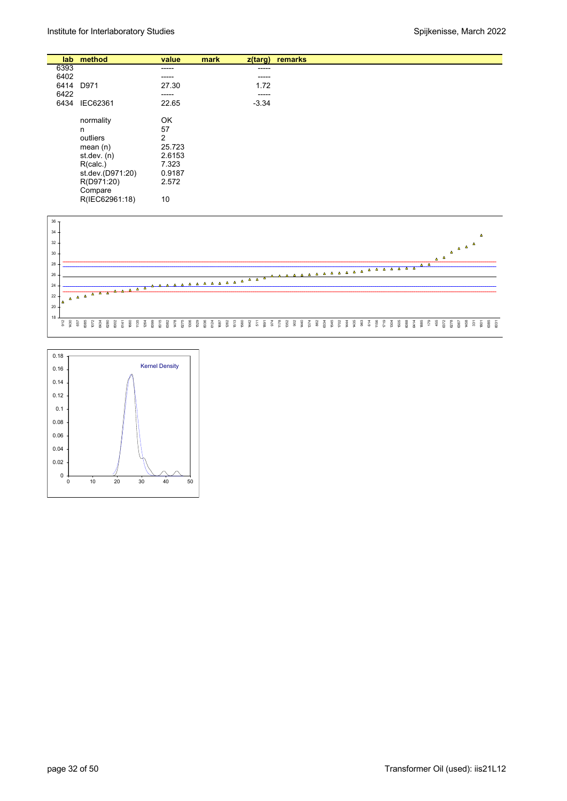|      | lab method       | value  | mark |         | z(targ) remarks |  |
|------|------------------|--------|------|---------|-----------------|--|
| 6393 |                  | -----  |      | ------  |                 |  |
| 6402 |                  | -----  |      | -----   |                 |  |
|      | 6414 D971        | 27.30  |      | 1.72    |                 |  |
| 6422 |                  | -----  |      | -----   |                 |  |
| 6434 | IEC62361         | 22.65  |      | $-3.34$ |                 |  |
|      |                  |        |      |         |                 |  |
|      | normality        | OK     |      |         |                 |  |
|      | n                | 57     |      |         |                 |  |
|      | outliers         | 2      |      |         |                 |  |
|      | mean $(n)$       | 25.723 |      |         |                 |  |
|      | st.dev. $(n)$    | 2.6153 |      |         |                 |  |
|      | R(calc.)         | 7.323  |      |         |                 |  |
|      | st.dev.(D971:20) | 0.9187 |      |         |                 |  |
|      | R(D971:20)       | 2.572  |      |         |                 |  |
|      | Compare          |        |      |         |                 |  |
|      | R(IEC62961:18)   | 10     |      |         |                 |  |



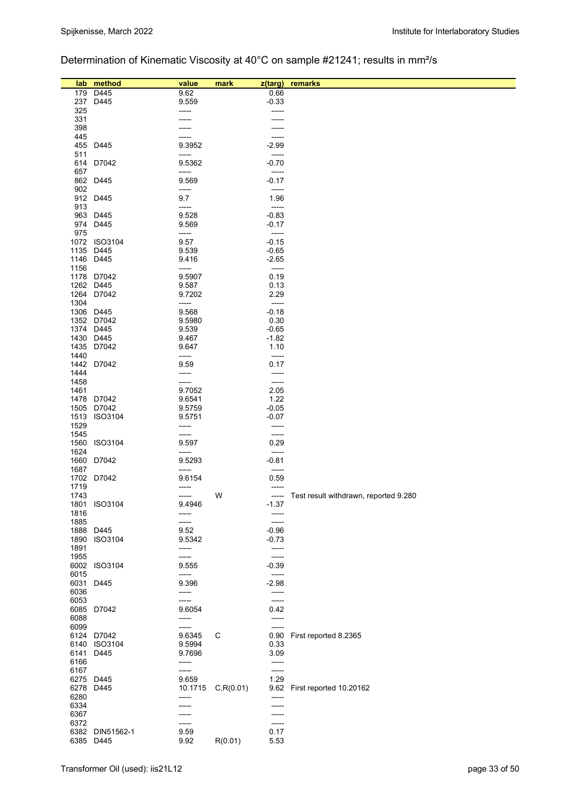# Determination of Kinematic Viscosity at 40°C on sample #21241; results in mm²/s

| lab          | method         | value            | mark       | z(targ)            | remarks                               |
|--------------|----------------|------------------|------------|--------------------|---------------------------------------|
| 179          | D445           | 9.62             |            | 0.66               |                                       |
| 237          | D445           | 9.559            |            | $-0.33$            |                                       |
| 325          |                | -----            |            | -----              |                                       |
| 331          |                |                  |            | -----              |                                       |
| 398          |                |                  |            |                    |                                       |
| 445          |                |                  |            | -----              |                                       |
| 455<br>511   | D445           | 9.3952<br>-----  |            | $-2.99$<br>-----   |                                       |
| 614          | D7042          | 9.5362           |            | $-0.70$            |                                       |
| 657          |                | -----            |            | -----              |                                       |
| 862          | D445           | 9.569            |            | $-0.17$            |                                       |
| 902          |                | -----            |            | -----              |                                       |
| 912          | D445           | 9.7              |            | 1.96               |                                       |
| 913<br>963   | D445           | -----<br>9.528   |            | -----<br>$-0.83$   |                                       |
| 974          | D445           | 9.569            |            | $-0.17$            |                                       |
| 975          |                | -----            |            | -----              |                                       |
|              | 1072 ISO3104   | 9.57             |            | $-0.15$            |                                       |
| 1135         | D445           | 9.539            |            | $-0.65$            |                                       |
| 1146         | D445           | 9.416            |            | $-2.65$            |                                       |
| 1156<br>1178 | D7042          | -----<br>9.5907  |            | -----<br>0.19      |                                       |
| 1262         | D445           | 9.587            |            | 0.13               |                                       |
| 1264         | D7042          | 9.7202           |            | 2.29               |                                       |
| 1304         |                | -----            |            | -----              |                                       |
| 1306         | D445           | 9.568            |            | $-0.18$            |                                       |
| 1352         | D7042          | 9.5980           |            | 0.30               |                                       |
| 1374<br>1430 | D445<br>D445   | 9.539<br>9.467   |            | $-0.65$<br>$-1.82$ |                                       |
| 1435         | D7042          | 9.647            |            | 1.10               |                                       |
| 1440         |                | -----            |            | -----              |                                       |
| 1442         | D7042          | 9.59             |            | 0.17               |                                       |
| 1444         |                | -----            |            | -----              |                                       |
| 1458         |                | -----            |            | -----              |                                       |
| 1461<br>1478 | D7042          | 9.7052<br>9.6541 |            | 2.05<br>1.22       |                                       |
| 1505         | D7042          | 9.5759           |            | $-0.05$            |                                       |
| 1513         | ISO3104        | 9.5751           |            | $-0.07$            |                                       |
| 1529         |                | -----            |            | -----              |                                       |
| 1545         |                | -----            |            | -----              |                                       |
| 1560         | ISO3104        | 9.597            |            | 0.29               |                                       |
| 1624<br>1660 | D7042          | -----<br>9.5293  |            | -----<br>$-0.81$   |                                       |
| 1687         |                | -----            |            | -----              |                                       |
| 1702         | D7042          | 9.6154           |            | 0.59               |                                       |
| 1719         |                | -----            |            |                    |                                       |
| 1743         |                | -----            | W          | -----              | Test result withdrawn, reported 9.280 |
| 1816         | 1801 ISO3104   | 9.4946<br>-----  |            | $-1.37$<br>-----   |                                       |
| 1885         |                | -----            |            | -----              |                                       |
|              | 1888 D445      | 9.52             |            | $-0.96$            |                                       |
| 1890         | <b>ISO3104</b> | 9.5342           |            | $-0.73$            |                                       |
| 1891         |                | -----            |            | -----              |                                       |
| 1955         |                | -----            |            | -----              |                                       |
| 6015         | 6002 ISO3104   | 9.555<br>-----   |            | $-0.39$<br>-----   |                                       |
| 6031         | D445           | 9.396            |            | -2.98              |                                       |
| 6036         |                | -----            |            | -----              |                                       |
| 6053         |                | -----            |            | -----              |                                       |
| 6085         | D7042          | 9.6054           |            | 0.42               |                                       |
| 6088<br>6099 |                | -----<br>-----   |            | -----<br>-----     |                                       |
| 6124         | D7042          | 9.6345           | С          | 0.90               | First reported 8.2365                 |
| 6140         | ISO3104        | 9.5994           |            | 0.33               |                                       |
| 6141         | D445           | 9.7696           |            | 3.09               |                                       |
| 6166         |                | -----            |            | -----              |                                       |
| 6167         |                | -----            |            | -----              |                                       |
| 6275<br>6278 | D445<br>D445   | 9.659<br>10.1715 | C, R(0.01) | 1.29<br>9.62       | First reported 10.20162               |
| 6280         |                | -----            |            | -----              |                                       |
| 6334         |                |                  |            |                    |                                       |
| 6367         |                |                  |            |                    |                                       |
| 6372         |                |                  |            | -----              |                                       |
| 6382         | DIN51562-1     | 9.59             |            | 0.17               |                                       |
| 6385         | D445           | 9.92             | R(0.01)    | 5.53               |                                       |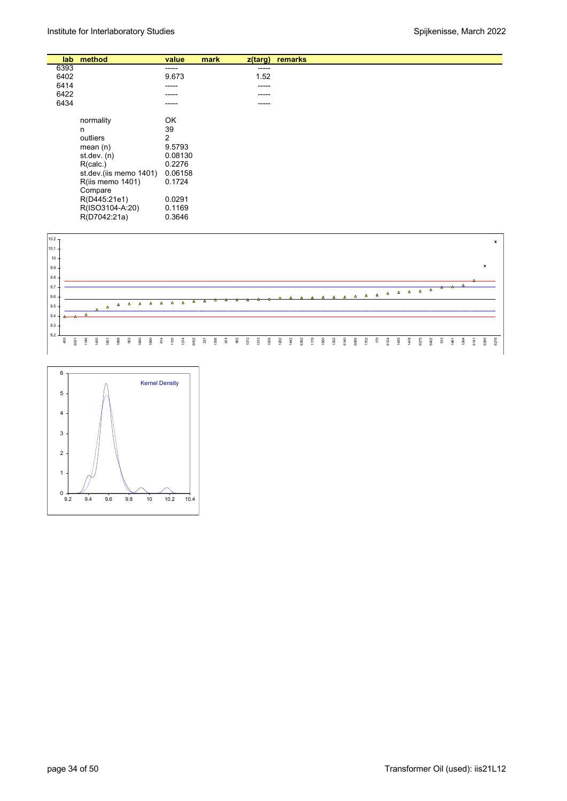|      | lab method             | value          | mark | z(targ) | remarks |
|------|------------------------|----------------|------|---------|---------|
| 6393 |                        | -----          |      | ------  |         |
| 6402 |                        | 9.673          |      | 1.52    |         |
| 6414 |                        | -----          |      | -----   |         |
| 6422 |                        | -----          |      | -----   |         |
| 6434 |                        | ------         |      | -----   |         |
|      |                        |                |      |         |         |
|      | normality              | OK             |      |         |         |
|      | n                      | 39             |      |         |         |
|      | outliers               | $\overline{2}$ |      |         |         |
|      | mean $(n)$             | 9.5793         |      |         |         |
|      | st.dev. $(n)$          | 0.08130        |      |         |         |
|      | R(calc.)               | 0.2276         |      |         |         |
|      | st.dev.(iis memo 1401) | 0.06158        |      |         |         |
|      | R(iis memo 1401)       | 0.1724         |      |         |         |
|      | Compare                |                |      |         |         |
|      | R(D445:21e1)           | 0.0291         |      |         |         |
|      | R(ISO3104-A:20)        | 0.1169         |      |         |         |
|      | R(D7042:21a)           | 0.3646         |      |         |         |



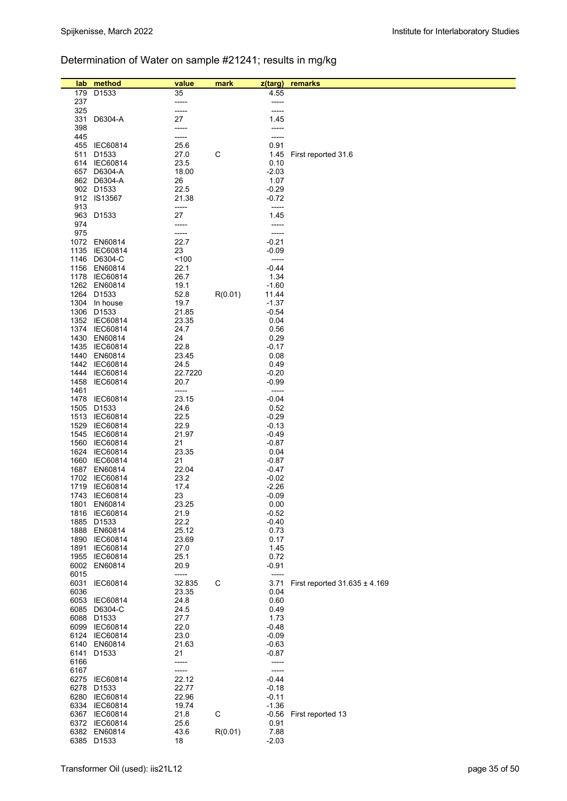# Determination of Water on sample #21241; results in mg/kg

|            |                   |               |             |                  | remarks                           |
|------------|-------------------|---------------|-------------|------------------|-----------------------------------|
| lab        | method            | value         | mark        | z(targ)          |                                   |
| 179        | D1533             | 35            |             | 4.55             |                                   |
| 237        |                   | -----         |             | -----            |                                   |
| 325        |                   | -----         |             | -----            |                                   |
| 331        | D6304-A           | 27            |             | 1.45             |                                   |
| 398        |                   | -----         |             | -----            |                                   |
| 445        |                   | -----         |             | -----            |                                   |
|            | 455 IEC60814      | 25.6          |             | 0.91             |                                   |
| 511        | D <sub>1533</sub> | 27.0          | $\mathsf C$ | 1.45             | First reported 31.6               |
|            | 614 IEC60814      | 23.5          |             | 0.10             |                                   |
| 657        | D6304-A           | 18.00         |             | $-2.03$          |                                   |
|            | 862 D6304-A       | 26            |             | 1.07             |                                   |
|            | 902 D1533         | 22.5          |             | $-0.29$          |                                   |
|            | 912 IS13567       | 21.38         |             | $-0.72$          |                                   |
| 913        |                   | -----         |             | -----            |                                   |
| 963        | D1533             | 27            |             | 1.45             |                                   |
| 974<br>975 |                   | -----         |             | -----            |                                   |
|            | 1072 EN60814      | -----<br>22.7 |             | -----<br>$-0.21$ |                                   |
| 1135       | IEC60814          | 23            |             | $-0.09$          |                                   |
|            | 1146 D6304-C      | 100           |             | -----            |                                   |
|            | 1156 EN60814      | 22.1          |             | -0.44            |                                   |
|            | 1178 IEC60814     | 26.7          |             | 1.34             |                                   |
|            | 1262 EN60814      | 19.1          |             | $-1.60$          |                                   |
|            | 1264 D1533        | 52.8          | R(0.01)     | 11.44            |                                   |
|            | 1304 In house     | 19.7          |             | $-1.37$          |                                   |
|            | 1306 D1533        | 21.85         |             | $-0.54$          |                                   |
|            | 1352 IEC60814     | 23.35         |             | 0.04             |                                   |
|            | 1374 IEC60814     | 24.7          |             | 0.56             |                                   |
|            | 1430 EN60814      | 24            |             | 0.29             |                                   |
|            | 1435 IEC60814     | 22.8          |             | -0.17            |                                   |
|            | 1440 EN60814      | 23.45         |             | 0.08             |                                   |
|            | 1442 IEC60814     | 24.5          |             | 0.49             |                                   |
|            | 1444 IEC60814     | 22.7220       |             | $-0.20$          |                                   |
|            | 1458 IEC60814     | 20.7          |             | $-0.99$          |                                   |
| 1461       |                   | -----         |             | -----            |                                   |
| 1478       | IEC60814          | 23.15         |             | -0.04            |                                   |
|            | 1505 D1533        | 24.6          |             | 0.52             |                                   |
| 1513       | IEC60814          | 22.5          |             | $-0.29$          |                                   |
|            | 1529 IEC60814     | 22.9          |             | $-0.13$          |                                   |
|            | 1545 IEC60814     | 21.97         |             | $-0.49$          |                                   |
|            | 1560 IEC60814     | 21            |             | $-0.87$          |                                   |
|            | 1624 IEC60814     | 23.35         |             | 0.04             |                                   |
|            | 1660 IEC60814     | 21            |             | $-0.87$          |                                   |
| 1687       | EN60814           | 22.04         |             | $-0.47$          |                                   |
|            | 1702 IEC60814     | 23.2          |             | $-0.02$          |                                   |
|            | 1719 IEC60814     | 17.4          |             | $-2.26$          |                                   |
|            | 1743 IEC60814     | 23            |             | $-0.09$          |                                   |
|            | 1801 EN60814      | 23.25         |             | 0.00             |                                   |
|            | 1816 IEC60814     | 21.9          |             | $-0.52$          |                                   |
|            | 1885 D1533        | 22.2          |             | $-0.40$          |                                   |
|            | 1888 EN60814      | 25.12         |             | 0.73             |                                   |
|            | 1890 IEC60814     | 23.69         |             | 0.17             |                                   |
| 1891       | IEC60814          | 27.0          |             | 1.45             |                                   |
|            | 1955 IEC60814     | 25.1          |             | 0.72             |                                   |
|            | 6002 EN60814      | 20.9          |             | $-0.91$          |                                   |
| 6015       |                   | -----         |             | -----            |                                   |
|            | 6031 IEC60814     | 32.835        | С           | 3.71             | First reported $31.635 \pm 4.169$ |
| 6036       |                   | 23.35         |             | 0.04             |                                   |
|            | 6053 IEC60814     | 24.8          |             | 0.60             |                                   |
|            | 6085 D6304-C      | 24.5          |             | 0.49             |                                   |
|            | 6088 D1533        | 27.7          |             | 1.73             |                                   |
|            | 6099 IEC60814     | 22.0          |             | $-0.48$          |                                   |
|            | 6124 IEC60814     | 23.0          |             | $-0.09$          |                                   |
|            | 6140 EN60814      | 21.63         |             | $-0.63$          |                                   |
|            | 6141 D1533        | 21            |             | $-0.87$          |                                   |
| 6166       |                   | -----         |             | -----            |                                   |
| 6167       |                   | -----         |             | -----            |                                   |
|            | 6275 IEC60814     | 22.12         |             | $-0.44$          |                                   |
|            | 6278 D1533        | 22.77         |             | -0.18            |                                   |
|            | 6280 IEC60814     | 22.96         |             | -0.11            |                                   |
|            | 6334 IEC60814     | 19.74         |             | $-1.36$          |                                   |
|            | 6367 IEC60814     | 21.8          | С           | -0.56            | First reported 13                 |
|            | 6372 IEC60814     | 25.6          |             | 0.91             |                                   |
|            | 6382 EN60814      | 43.6          | R(0.01)     | 7.88             |                                   |
|            | 6385 D1533        | 18            |             | $-2.03$          |                                   |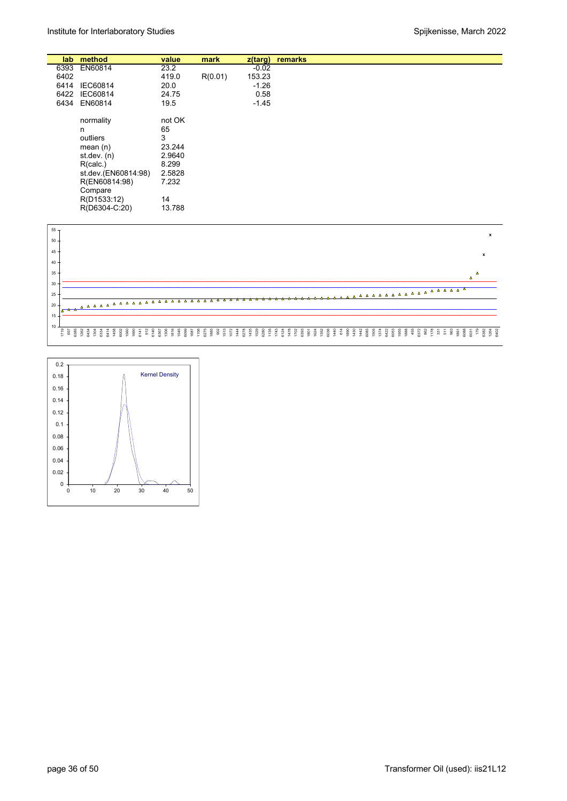|      | lab method          | value  | mark    | $z$ (targ) | remarks |
|------|---------------------|--------|---------|------------|---------|
| 6393 | EN60814             | 23.2   |         | $-0.02$    |         |
| 6402 |                     | 419.0  | R(0.01) | 153.23     |         |
| 6414 | IEC60814            | 20.0   |         | $-1.26$    |         |
| 6422 | <b>IEC60814</b>     | 24.75  |         | 0.58       |         |
|      | 6434 EN60814        | 19.5   |         | $-1.45$    |         |
|      |                     |        |         |            |         |
|      | normality           | not OK |         |            |         |
|      | n                   | 65     |         |            |         |
|      | outliers            | 3      |         |            |         |
|      | mean $(n)$          | 23.244 |         |            |         |
|      | st.dev. $(n)$       | 2.9640 |         |            |         |
|      | R(calc.)            | 8.299  |         |            |         |
|      | st.dev.(EN60814:98) | 2.5828 |         |            |         |
|      | R(EN60814:98)       | 7.232  |         |            |         |
|      | Compare             |        |         |            |         |
|      | R(D1533:12)         | 14     |         |            |         |
|      | R(D6304-C:20)       | 13.788 |         |            |         |



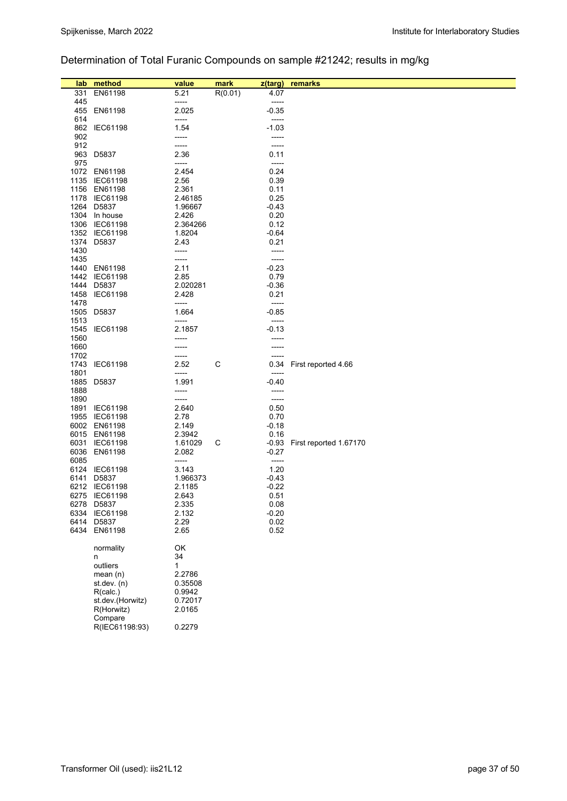# Determination of Total Furanic Compounds on sample #21242; results in mg/kg

| lab. | method                        | value             | mark    | z(targ)          | remarks                |
|------|-------------------------------|-------------------|---------|------------------|------------------------|
| 331  | EN61198                       | 5.21              | R(0.01) | 4.07             |                        |
| 445  |                               | -----             |         | -----            |                        |
| 455  | EN61198                       | 2.025             |         | $-0.35$          |                        |
| 614  | 862 IEC61198                  | -----<br>1.54     |         | -----<br>$-1.03$ |                        |
| 902  |                               | -----             |         | -----            |                        |
| 912  |                               | -----             |         | -----            |                        |
| 963  | D5837                         | 2.36              |         | 0.11             |                        |
| 975  |                               | -----             |         | -----            |                        |
|      | 1072 EN61198<br>1135 IEC61198 | 2.454<br>2.56     |         | 0.24<br>0.39     |                        |
|      | 1156 EN61198                  | 2.361             |         | 0.11             |                        |
|      | 1178 IEC61198                 | 2.46185           |         | 0.25             |                        |
|      | 1264 D5837                    | 1.96667           |         | $-0.43$          |                        |
|      | 1304 In house                 | 2.426             |         | 0.20             |                        |
|      | 1306 IEC61198                 | 2.364266          |         | 0.12             |                        |
|      | 1352 IEC61198<br>1374 D5837   | 1.8204            |         | $-0.64$          |                        |
| 1430 |                               | 2.43<br>-----     |         | 0.21<br>-----    |                        |
| 1435 |                               | -----             |         | -----            |                        |
|      | 1440 EN61198                  | 2.11              |         | $-0.23$          |                        |
|      | 1442 IEC61198                 | 2.85              |         | 0.79             |                        |
|      | 1444 D5837                    | 2.020281          |         | $-0.36$          |                        |
| 1478 | 1458 IEC61198                 | 2.428             |         | 0.21<br>-----    |                        |
|      | 1505 D5837                    | -----<br>1.664    |         | $-0.85$          |                        |
| 1513 |                               | -----             |         | $-----$          |                        |
|      | 1545 IEC61198                 | 2.1857            |         | $-0.13$          |                        |
| 1560 |                               | -----             |         | -----            |                        |
| 1660 |                               | -----             |         | -----            |                        |
| 1702 | 1743 IEC61198                 | -----<br>2.52     | С       | -----<br>0.34    | First reported 4.66    |
| 1801 |                               | -----             |         | -----            |                        |
|      | 1885 D5837                    | 1.991             |         | $-0.40$          |                        |
| 1888 |                               | -----             |         | -----            |                        |
| 1890 |                               | -----             |         | -----            |                        |
|      | 1891 IEC61198                 | 2.640             |         | 0.50             |                        |
|      | 1955 IEC61198<br>6002 EN61198 | 2.78<br>2.149     |         | 0.70<br>$-0.18$  |                        |
|      | 6015 EN61198                  | 2.3942            |         | 0.16             |                        |
|      | 6031 IEC61198                 | 1.61029           | С       | $-0.93$          | First reported 1.67170 |
|      | 6036 EN61198                  | 2.082             |         | $-0.27$          |                        |
| 6085 |                               | -----             |         | -----            |                        |
|      | 6124 IEC61198<br>6141 D5837   | 3.143<br>1.966373 |         | 1.20<br>$-0.43$  |                        |
|      | 6212 IEC61198                 | 2.1185            |         | $-0.22$          |                        |
|      | 6275 IEC61198                 | 2.643             |         | 0.51             |                        |
|      | 6278 D5837                    | 2.335             |         | 0.08             |                        |
|      | 6334 IEC61198                 | 2.132             |         | $-0.20$          |                        |
|      | 6414 D5837                    | 2.29              |         | 0.02             |                        |
|      | 6434 EN61198                  | 2.65              |         | 0.52             |                        |
|      | normality                     | OK                |         |                  |                        |
|      | n                             | 34                |         |                  |                        |
|      | outliers                      | $\mathbf{1}$      |         |                  |                        |
|      | mean $(n)$                    | 2.2786            |         |                  |                        |
|      | st. dev. (n)<br>R(calc.)      | 0.35508<br>0.9942 |         |                  |                        |
|      | st.dev.(Horwitz)              | 0.72017           |         |                  |                        |
|      | R(Horwitz)                    | 2.0165            |         |                  |                        |
|      | Compare                       |                   |         |                  |                        |
|      | R(IEC61198:93)                | 0.2279            |         |                  |                        |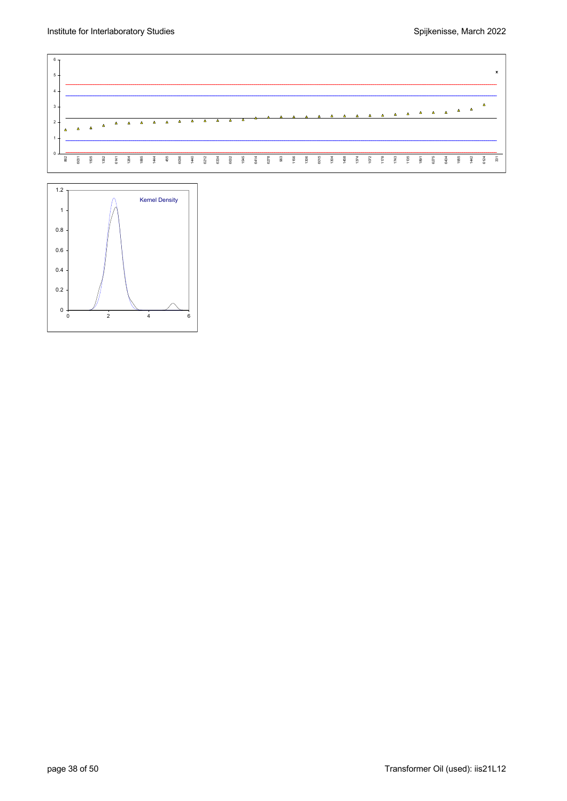

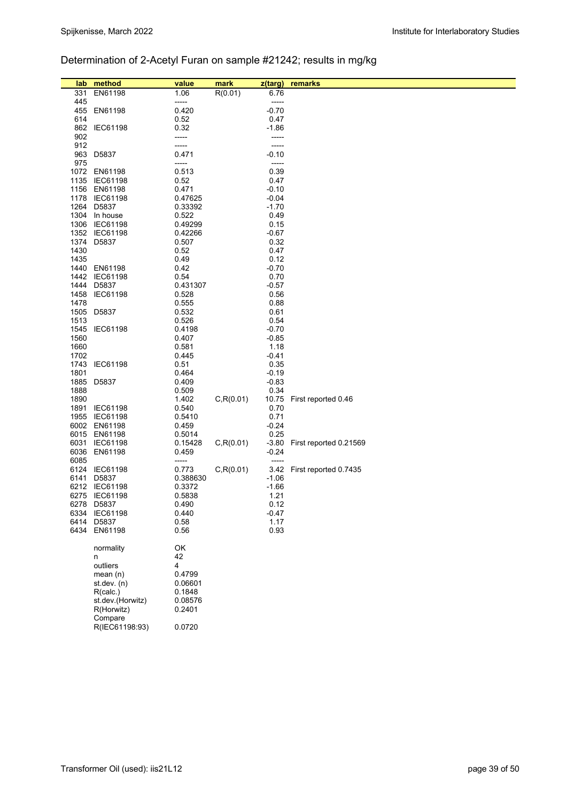# Determination of 2-Acetyl Furan on sample #21242; results in mg/kg

| lab          | method<br>EN61198            | value<br>1.06     | mark       | z(targ)            | remarks                |
|--------------|------------------------------|-------------------|------------|--------------------|------------------------|
| 331<br>445   |                              | -----             | R(0.01)    | 6.76<br>-----      |                        |
|              | 455 EN61198                  | 0.420             |            | $-0.70$            |                        |
| 614          |                              | 0.52              |            | 0.47               |                        |
|              | 862 IEC61198                 | 0.32              |            | $-1.86$            |                        |
| 902          |                              | -----             |            | -----              |                        |
| 912          |                              | -----             |            | -----              |                        |
|              | 963 D5837                    | 0.471             |            | $-0.10$            |                        |
| 975          |                              | -----             |            | -----              |                        |
|              | 1072 EN61198                 | 0.513             |            | 0.39               |                        |
|              | 1135 IEC61198                | 0.52              |            | 0.47               |                        |
|              | 1156 EN61198                 | 0.471             |            | $-0.10$            |                        |
|              | 1178 IEC61198                | 0.47625           |            | $-0.04$            |                        |
|              | 1264 D5837                   | 0.33392           |            | $-1.70$            |                        |
|              | 1304 In house                | 0.522             |            | 0.49               |                        |
|              | 1306 IEC61198                | 0.49299           |            | 0.15               |                        |
|              | 1352 IEC61198                | 0.42266           |            | $-0.67$            |                        |
|              | 1374 D5837                   | 0.507<br>0.52     |            | 0.32               |                        |
| 1430<br>1435 |                              | 0.49              |            | 0.47<br>0.12       |                        |
|              | 1440 EN61198                 | 0.42              |            | $-0.70$            |                        |
|              | 1442 IEC61198                | 0.54              |            | 0.70               |                        |
|              | 1444 D5837                   | 0.431307          |            | $-0.57$            |                        |
|              | 1458 IEC61198                | 0.528             |            | 0.56               |                        |
| 1478         |                              | 0.555             |            | 0.88               |                        |
|              | 1505 D5837                   | 0.532             |            | 0.61               |                        |
| 1513         |                              | 0.526             |            | 0.54               |                        |
|              | 1545 IEC61198                | 0.4198            |            | $-0.70$            |                        |
| 1560         |                              | 0.407             |            | $-0.85$            |                        |
| 1660         |                              | 0.581             |            | 1.18               |                        |
| 1702         |                              | 0.445             |            | $-0.41$            |                        |
|              | 1743 IEC61198                | 0.51              |            | 0.35               |                        |
| 1801         | 1885 D5837                   | 0.464<br>0.409    |            | $-0.19$<br>$-0.83$ |                        |
| 1888         |                              | 0.509             |            | 0.34               |                        |
| 1890         |                              | 1.402             | C, R(0.01) | 10.75              | First reported 0.46    |
|              | 1891 IEC61198                | 0.540             |            | 0.70               |                        |
|              | 1955 IEC61198                | 0.5410            |            | 0.71               |                        |
|              | 6002 EN61198                 | 0.459             |            | $-0.24$            |                        |
|              | 6015 EN61198                 | 0.5014            |            | 0.25               |                        |
|              | 6031 IEC61198                | 0.15428           | C, R(0.01) | $-3.80$            | First reported 0.21569 |
|              | 6036 EN61198                 | 0.459             |            | $-0.24$            |                        |
| 6085         |                              | -----             |            | -----              |                        |
|              | 6124 IEC61198                | 0.773             | C, R(0.01) | 3.42               | First reported 0.7435  |
|              | 6141 D5837                   | 0.388630          |            | $-1.06$            |                        |
|              | 6212 IEC61198                | 0.3372            |            | $-1.66$            |                        |
|              | 6275 IEC61198                | 0.5838<br>0.490   |            | 1.21               |                        |
|              | 6278 D5837<br>6334 IEC61198  | 0.440             |            | 0.12<br>$-0.47$    |                        |
|              | 6414 D5837                   | 0.58              |            | 1.17               |                        |
|              | 6434 EN61198                 | 0.56              |            | 0.93               |                        |
|              |                              |                   |            |                    |                        |
|              | normality                    | OK                |            |                    |                        |
|              | n                            | 42                |            |                    |                        |
|              | outliers                     | 4                 |            |                    |                        |
|              | mean(n)                      | 0.4799            |            |                    |                        |
|              | st. dev. (n)                 | 0.06601           |            |                    |                        |
|              | R(calc.)<br>st.dev.(Horwitz) | 0.1848<br>0.08576 |            |                    |                        |
|              | R(Horwitz)                   | 0.2401            |            |                    |                        |
|              | Compare                      |                   |            |                    |                        |
|              | R(IEC61198:93)               | 0.0720            |            |                    |                        |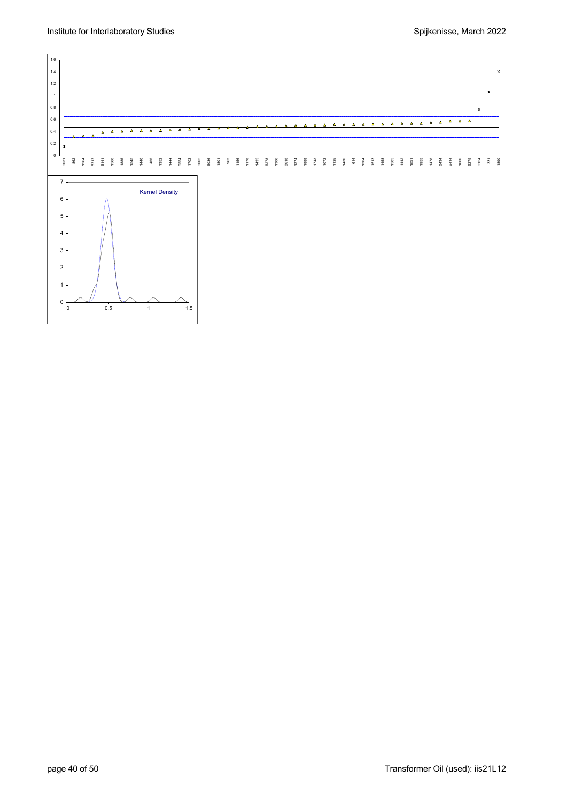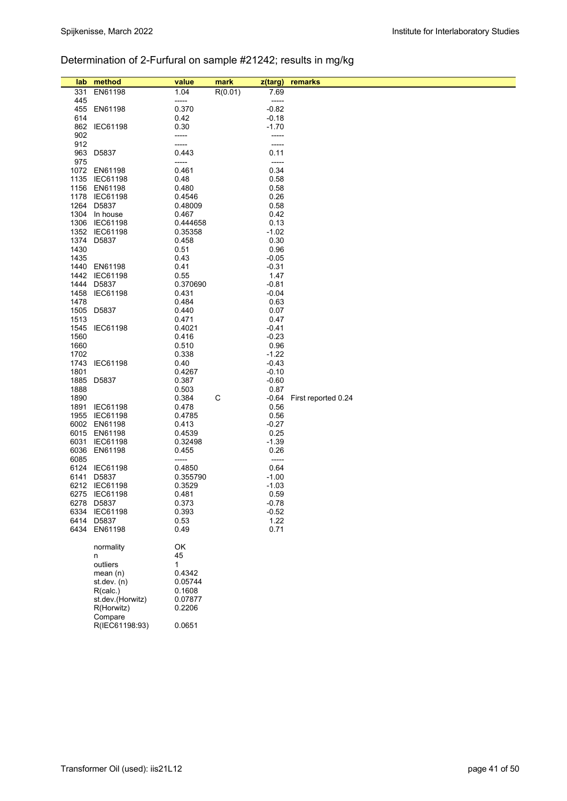# Determination of 2-Furfural on sample #21242; results in mg/kg

| lab<br>331 | method<br>EN61198      | value<br>1.04   | <u>mark</u><br>R(0.01) | z(targ)<br>7.69    | remarks             |
|------------|------------------------|-----------------|------------------------|--------------------|---------------------|
| 445        |                        | -----           |                        | -----              |                     |
| 455        | EN61198                | 0.370           |                        | $-0.82$            |                     |
| 614        |                        | 0.42            |                        | $-0.18$            |                     |
|            | 862 IEC61198           | 0.30            |                        | $-1.70$            |                     |
| 902        |                        | -----           |                        | -----              |                     |
| 912        |                        | -----           |                        | -----              |                     |
|            | 963 D5837              | 0.443           |                        | 0.11               |                     |
| 975        |                        | -----           |                        | -----              |                     |
|            | 1072 EN61198           | 0.461           |                        | 0.34               |                     |
|            | 1135 IEC61198          | 0.48            |                        | 0.58               |                     |
|            | 1156 EN61198           | 0.480           |                        | 0.58               |                     |
|            | 1178 IEC61198          | 0.4546          |                        | 0.26               |                     |
|            | 1264 D5837             | 0.48009         |                        | 0.58               |                     |
|            | 1304 In house          | 0.467           |                        | 0.42               |                     |
|            | 1306 IEC61198          | 0.444658        |                        | 0.13               |                     |
|            | 1352 IEC61198          | 0.35358         |                        | $-1.02$            |                     |
|            | 1374 D5837             | 0.458           |                        | 0.30               |                     |
| 1430       |                        | 0.51            |                        | 0.96               |                     |
| 1435       |                        | 0.43            |                        | $-0.05$            |                     |
|            | 1440 EN61198           | 0.41            |                        | $-0.31$            |                     |
|            | 1442 IEC61198          | 0.55            |                        | 1.47               |                     |
|            | 1444 D5837             | 0.370690        |                        | $-0.81$            |                     |
|            | 1458 IEC61198          | 0.431           |                        | $-0.04$            |                     |
| 1478       |                        | 0.484           |                        | 0.63               |                     |
|            | 1505 D5837             | 0.440           |                        | 0.07               |                     |
| 1513       |                        | 0.471           |                        | 0.47               |                     |
| 1560       | 1545 IEC61198          | 0.4021<br>0.416 |                        | $-0.41$<br>$-0.23$ |                     |
| 1660       |                        | 0.510           |                        | 0.96               |                     |
| 1702       |                        | 0.338           |                        | $-1.22$            |                     |
|            | 1743 IEC61198          | 0.40            |                        | $-0.43$            |                     |
| 1801       |                        | 0.4267          |                        | $-0.10$            |                     |
|            | 1885 D5837             | 0.387           |                        | $-0.60$            |                     |
| 1888       |                        | 0.503           |                        | 0.87               |                     |
| 1890       |                        | 0.384           | С                      | -0.64              | First reported 0.24 |
|            | 1891 IEC61198          | 0.478           |                        | 0.56               |                     |
|            | 1955 IEC61198          | 0.4785          |                        | 0.56               |                     |
|            | 6002 EN61198           | 0.413           |                        | $-0.27$            |                     |
|            | 6015 EN61198           | 0.4539          |                        | 0.25               |                     |
|            | 6031 IEC61198          | 0.32498         |                        | $-1.39$            |                     |
|            | 6036 EN61198           | 0.455           |                        | 0.26               |                     |
| 6085       |                        | -----           |                        | -----              |                     |
|            | 6124 IEC61198          | 0.4850          |                        | 0.64               |                     |
| 6141       | D5837                  | 0.355790        |                        | $-1.00$            |                     |
|            | 6212 IEC61198          | 0.3529          |                        | $-1.03$            |                     |
|            | 6275 IEC61198          | 0.481           |                        | 0.59               |                     |
|            | 6278 D5837             | 0.373           |                        | $-0.78$            |                     |
| 6414       | 6334 IEC61198<br>D5837 | 0.393<br>0.53   |                        | $-0.52$<br>1.22    |                     |
|            | 6434 EN61198           | 0.49            |                        | 0.71               |                     |
|            |                        |                 |                        |                    |                     |
|            | normality              | OK              |                        |                    |                     |
|            | n                      | 45              |                        |                    |                     |
|            | outliers               | 1               |                        |                    |                     |
|            | mean $(n)$             | 0.4342          |                        |                    |                     |
|            | st. dev. (n)           | 0.05744         |                        |                    |                     |
|            | R(calc.)               | 0.1608          |                        |                    |                     |
|            | st.dev.(Horwitz)       | 0.07877         |                        |                    |                     |
|            | R(Horwitz)             | 0.2206          |                        |                    |                     |
|            | Compare                |                 |                        |                    |                     |
|            | R(IEC61198:93)         | 0.0651          |                        |                    |                     |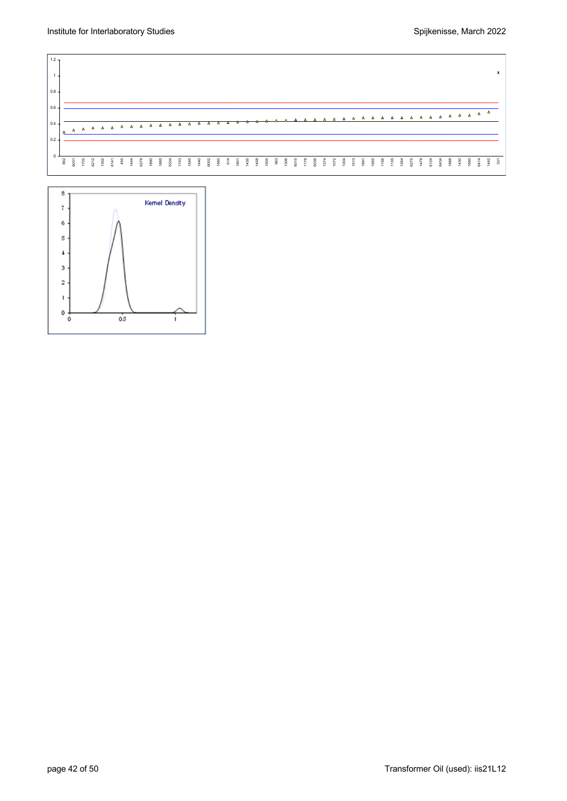

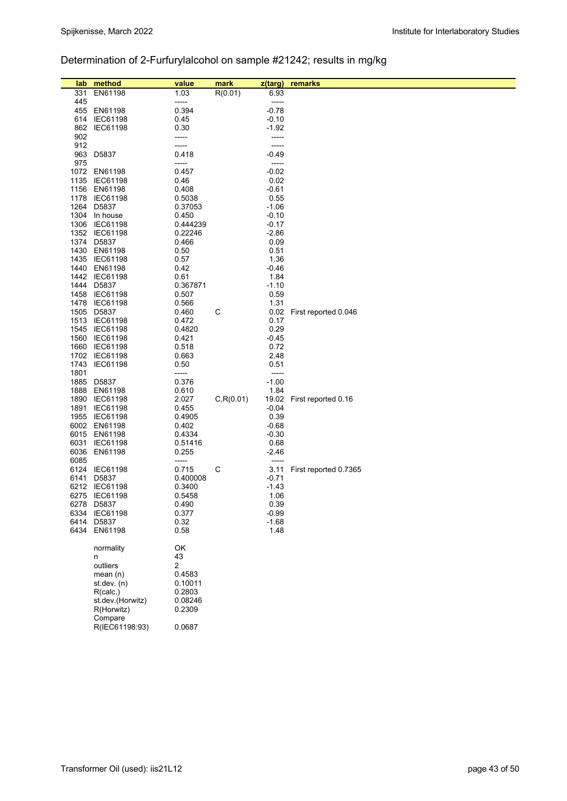# Determination of 2-Furfurylalcohol on sample #21242; results in mg/kg

| lab          | method                         | value            | mark       | z(targ)          | remarks               |
|--------------|--------------------------------|------------------|------------|------------------|-----------------------|
| 331          | EN61198                        | 1.03             | R(0.01)    | 6.93             |                       |
| 445          |                                | -----            |            | -----            |                       |
|              | 455 EN61198                    | 0.394            |            | $-0.78$          |                       |
|              | 614 IEC61198                   | 0.45             |            | $-0.10$          |                       |
|              | 862 IEC61198                   | 0.30             |            | $-1.92$          |                       |
| 902          |                                | -----            |            | -----            |                       |
| 912          |                                | -----            |            | -----            |                       |
| 963          | D5837                          | 0.418            |            | $-0.49$          |                       |
| 975          | 1072 EN61198                   | -----<br>0.457   |            | -----<br>$-0.02$ |                       |
| 1135         | <b>IEC61198</b>                | 0.46             |            | 0.02             |                       |
|              | 1156 EN61198                   | 0.408            |            | $-0.61$          |                       |
|              | 1178 IEC61198                  | 0.5038           |            | 0.55             |                       |
|              | 1264 D5837                     | 0.37053          |            | $-1.06$          |                       |
|              | 1304 In house                  | 0.450            |            | $-0.10$          |                       |
|              | 1306 IEC61198                  | 0.444239         |            | $-0.17$          |                       |
|              | 1352 IEC61198                  | 0.22246          |            | $-2.86$          |                       |
|              | 1374 D5837                     | 0.466            |            | 0.09             |                       |
|              | 1430 EN61198                   | 0.50             |            | 0.51             |                       |
|              | 1435 IEC61198<br>1440 EN61198  | 0.57<br>0.42     |            | 1.36<br>$-0.46$  |                       |
|              | 1442 IEC61198                  | 0.61             |            | 1.84             |                       |
|              | 1444 D5837                     | 0.367871         |            | $-1.10$          |                       |
|              | 1458 IEC61198                  | 0.507            |            | 0.59             |                       |
|              | 1478 IEC61198                  | 0.566            |            | 1.31             |                       |
|              | 1505 D5837                     | 0.460            | С          | 0.02             | First reported 0.046  |
|              | 1513 IEC61198                  | 0.472            |            | 0.17             |                       |
|              | 1545 IEC61198                  | 0.4820           |            | 0.29             |                       |
|              | 1560 IEC61198                  | 0.421            |            | -0.45            |                       |
|              | 1660 IEC61198                  | 0.518            |            | 0.72             |                       |
|              | 1702 IEC61198<br>1743 IEC61198 | 0.663<br>0.50    |            | 2.48<br>0.51     |                       |
| 1801         |                                | -----            |            | -----            |                       |
|              | 1885 D5837                     | 0.376            |            | $-1.00$          |                       |
|              | 1888 EN61198                   | 0.610            |            | 1.84             |                       |
|              | 1890 IEC61198                  | 2.027            | C, R(0.01) | 19.02            | First reported 0.16   |
| 1891         | <b>IEC61198</b>                | 0.455            |            | $-0.04$          |                       |
|              | 1955 IEC61198                  | 0.4905           |            | 0.39             |                       |
|              | 6002 EN61198                   | 0.402            |            | $-0.68$          |                       |
|              | 6015 EN61198                   | 0.4334           |            | $-0.30$          |                       |
| 6031<br>6036 | <b>IEC61198</b><br>EN61198     | 0.51416<br>0.255 |            | 0.68<br>-2.46    |                       |
| 6085         |                                | -----            |            | -----            |                       |
|              | 6124 IEC61198                  | 0.715            | C          | 3.11             | First reported 0.7365 |
| 6141         | D5837                          | 0.400008         |            | $-0.71$          |                       |
|              | 6212 IEC61198                  | 0.3400           |            | $-1.43$          |                       |
|              | 6275 IEC61198                  | 0.5458           |            | 1.06             |                       |
|              | 6278 D5837                     | 0.490            |            | 0.39             |                       |
|              | 6334 IEC61198                  | 0.377            |            | $-0.99$          |                       |
| 6414         | D5837<br>6434 EN61198          | 0.32<br>0.58     |            | $-1.68$<br>1.48  |                       |
|              |                                |                  |            |                  |                       |
|              | normality                      | OK               |            |                  |                       |
|              | n                              | 43               |            |                  |                       |
|              | outliers                       | $\overline{2}$   |            |                  |                       |
|              | mean $(n)$                     | 0.4583           |            |                  |                       |
|              | st. dev. (n)                   | 0.10011          |            |                  |                       |
|              | R(calc.)                       | 0.2803           |            |                  |                       |
|              | st.dev.(Horwitz)               | 0.08246          |            |                  |                       |
|              | R(Horwitz)<br>Compare          | 0.2309           |            |                  |                       |
|              | R(IEC61198:93)                 | 0.0687           |            |                  |                       |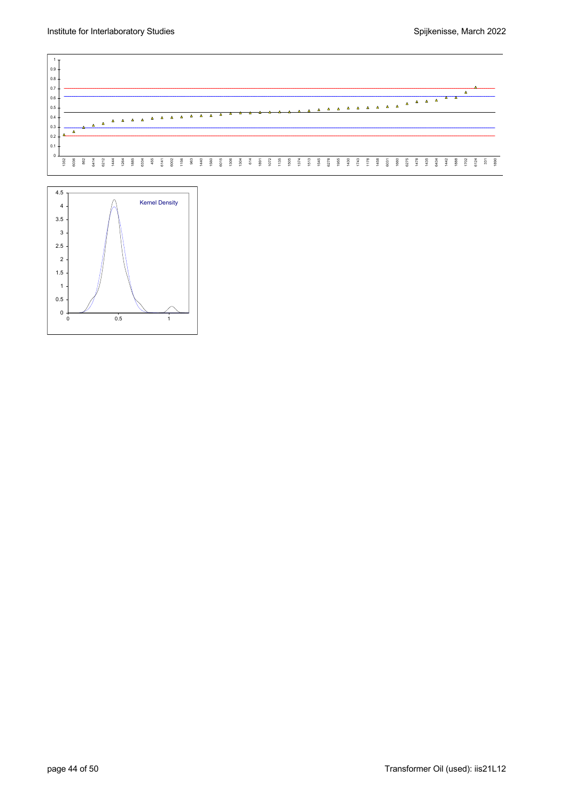

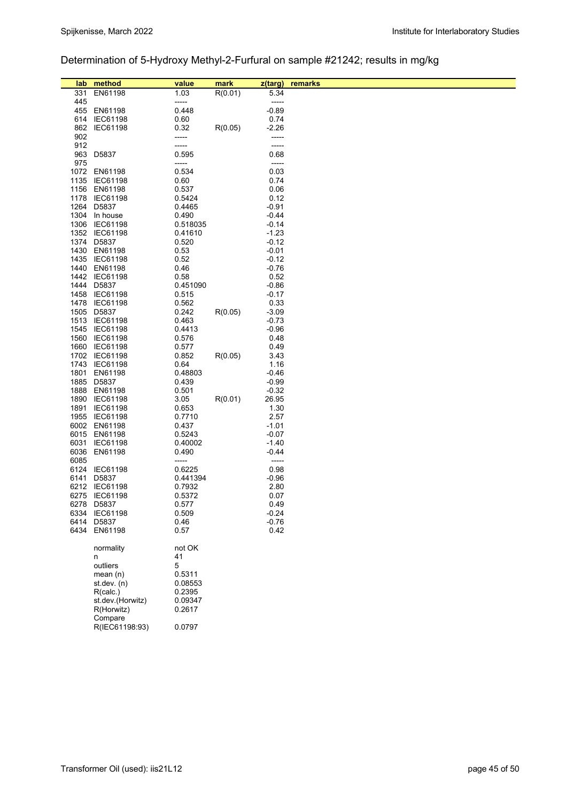# Determination of 5-Hydroxy Methyl-2-Furfural on sample #21242; results in mg/kg

| method<br>lab<br>value<br>mark<br>remarks<br>z(targ)<br>331<br>EN61198<br>5.34<br>1.03<br>R(0.01)<br>445<br>-----<br>-----<br>455 EN61198<br>0.448<br>$-0.89$<br><b>IEC61198</b><br>0.60<br>0.74<br>614<br>$-2.26$<br>862 IEC61198<br>0.32<br>R(0.05)<br>902<br>-----<br>-----<br>912<br>-----<br>-----<br>963<br>D5837<br>0.595<br>0.68<br>975<br>-----<br>-----<br>1072<br>EN61198<br>0.534<br>0.03<br>1135<br>0.60<br>0.74<br><b>IEC61198</b><br>1156 EN61198<br>0.537<br>0.06<br>1178<br>IEC61198<br>0.5424<br>0.12<br>1264<br>D5837<br>0.4465<br>-0.91<br>1304 In house<br>0.490<br>-0.44<br>1306 IEC61198<br>0.518035<br>-0.14<br>1352 IEC61198<br>$-1.23$<br>0.41610<br>1374 D5837<br>0.520<br>$-0.12$<br>1430 EN61198<br>0.53<br>$-0.01$<br>1435 IEC61198<br>0.52<br>$-0.12$<br>1440 EN61198<br>0.46<br>$-0.76$<br>0.58<br>0.52<br>1442 IEC61198<br>1444 D5837<br>0.451090<br>$-0.86$<br>1458 IEC61198<br>0.515<br>-0.17<br>1478 IEC61198<br>0.562<br>0.33<br>1505 D5837<br>0.242<br>$-3.09$<br>R(0.05)<br>1513 IEC61198<br>0.463<br>$-0.73$<br>1545 IEC61198<br>0.4413<br>$-0.96$<br>1560 IEC61198<br>0.576<br>0.48<br>1660 IEC61198<br>0.577<br>0.49<br>1702 IEC61198<br>0.852<br>R(0.05)<br>3.43<br>1743 IEC61198<br>0.64<br>1.16<br>1801 EN61198<br>0.48803<br>-0.46<br>1885 D5837<br>0.439<br>$-0.99$ |  |
|--------------------------------------------------------------------------------------------------------------------------------------------------------------------------------------------------------------------------------------------------------------------------------------------------------------------------------------------------------------------------------------------------------------------------------------------------------------------------------------------------------------------------------------------------------------------------------------------------------------------------------------------------------------------------------------------------------------------------------------------------------------------------------------------------------------------------------------------------------------------------------------------------------------------------------------------------------------------------------------------------------------------------------------------------------------------------------------------------------------------------------------------------------------------------------------------------------------------------------------------------------------------------------------------------------------------|--|
|                                                                                                                                                                                                                                                                                                                                                                                                                                                                                                                                                                                                                                                                                                                                                                                                                                                                                                                                                                                                                                                                                                                                                                                                                                                                                                                    |  |
|                                                                                                                                                                                                                                                                                                                                                                                                                                                                                                                                                                                                                                                                                                                                                                                                                                                                                                                                                                                                                                                                                                                                                                                                                                                                                                                    |  |
|                                                                                                                                                                                                                                                                                                                                                                                                                                                                                                                                                                                                                                                                                                                                                                                                                                                                                                                                                                                                                                                                                                                                                                                                                                                                                                                    |  |
|                                                                                                                                                                                                                                                                                                                                                                                                                                                                                                                                                                                                                                                                                                                                                                                                                                                                                                                                                                                                                                                                                                                                                                                                                                                                                                                    |  |
|                                                                                                                                                                                                                                                                                                                                                                                                                                                                                                                                                                                                                                                                                                                                                                                                                                                                                                                                                                                                                                                                                                                                                                                                                                                                                                                    |  |
|                                                                                                                                                                                                                                                                                                                                                                                                                                                                                                                                                                                                                                                                                                                                                                                                                                                                                                                                                                                                                                                                                                                                                                                                                                                                                                                    |  |
|                                                                                                                                                                                                                                                                                                                                                                                                                                                                                                                                                                                                                                                                                                                                                                                                                                                                                                                                                                                                                                                                                                                                                                                                                                                                                                                    |  |
|                                                                                                                                                                                                                                                                                                                                                                                                                                                                                                                                                                                                                                                                                                                                                                                                                                                                                                                                                                                                                                                                                                                                                                                                                                                                                                                    |  |
|                                                                                                                                                                                                                                                                                                                                                                                                                                                                                                                                                                                                                                                                                                                                                                                                                                                                                                                                                                                                                                                                                                                                                                                                                                                                                                                    |  |
|                                                                                                                                                                                                                                                                                                                                                                                                                                                                                                                                                                                                                                                                                                                                                                                                                                                                                                                                                                                                                                                                                                                                                                                                                                                                                                                    |  |
|                                                                                                                                                                                                                                                                                                                                                                                                                                                                                                                                                                                                                                                                                                                                                                                                                                                                                                                                                                                                                                                                                                                                                                                                                                                                                                                    |  |
|                                                                                                                                                                                                                                                                                                                                                                                                                                                                                                                                                                                                                                                                                                                                                                                                                                                                                                                                                                                                                                                                                                                                                                                                                                                                                                                    |  |
|                                                                                                                                                                                                                                                                                                                                                                                                                                                                                                                                                                                                                                                                                                                                                                                                                                                                                                                                                                                                                                                                                                                                                                                                                                                                                                                    |  |
|                                                                                                                                                                                                                                                                                                                                                                                                                                                                                                                                                                                                                                                                                                                                                                                                                                                                                                                                                                                                                                                                                                                                                                                                                                                                                                                    |  |
|                                                                                                                                                                                                                                                                                                                                                                                                                                                                                                                                                                                                                                                                                                                                                                                                                                                                                                                                                                                                                                                                                                                                                                                                                                                                                                                    |  |
|                                                                                                                                                                                                                                                                                                                                                                                                                                                                                                                                                                                                                                                                                                                                                                                                                                                                                                                                                                                                                                                                                                                                                                                                                                                                                                                    |  |
|                                                                                                                                                                                                                                                                                                                                                                                                                                                                                                                                                                                                                                                                                                                                                                                                                                                                                                                                                                                                                                                                                                                                                                                                                                                                                                                    |  |
|                                                                                                                                                                                                                                                                                                                                                                                                                                                                                                                                                                                                                                                                                                                                                                                                                                                                                                                                                                                                                                                                                                                                                                                                                                                                                                                    |  |
|                                                                                                                                                                                                                                                                                                                                                                                                                                                                                                                                                                                                                                                                                                                                                                                                                                                                                                                                                                                                                                                                                                                                                                                                                                                                                                                    |  |
|                                                                                                                                                                                                                                                                                                                                                                                                                                                                                                                                                                                                                                                                                                                                                                                                                                                                                                                                                                                                                                                                                                                                                                                                                                                                                                                    |  |
|                                                                                                                                                                                                                                                                                                                                                                                                                                                                                                                                                                                                                                                                                                                                                                                                                                                                                                                                                                                                                                                                                                                                                                                                                                                                                                                    |  |
|                                                                                                                                                                                                                                                                                                                                                                                                                                                                                                                                                                                                                                                                                                                                                                                                                                                                                                                                                                                                                                                                                                                                                                                                                                                                                                                    |  |
|                                                                                                                                                                                                                                                                                                                                                                                                                                                                                                                                                                                                                                                                                                                                                                                                                                                                                                                                                                                                                                                                                                                                                                                                                                                                                                                    |  |
|                                                                                                                                                                                                                                                                                                                                                                                                                                                                                                                                                                                                                                                                                                                                                                                                                                                                                                                                                                                                                                                                                                                                                                                                                                                                                                                    |  |
|                                                                                                                                                                                                                                                                                                                                                                                                                                                                                                                                                                                                                                                                                                                                                                                                                                                                                                                                                                                                                                                                                                                                                                                                                                                                                                                    |  |
|                                                                                                                                                                                                                                                                                                                                                                                                                                                                                                                                                                                                                                                                                                                                                                                                                                                                                                                                                                                                                                                                                                                                                                                                                                                                                                                    |  |
|                                                                                                                                                                                                                                                                                                                                                                                                                                                                                                                                                                                                                                                                                                                                                                                                                                                                                                                                                                                                                                                                                                                                                                                                                                                                                                                    |  |
|                                                                                                                                                                                                                                                                                                                                                                                                                                                                                                                                                                                                                                                                                                                                                                                                                                                                                                                                                                                                                                                                                                                                                                                                                                                                                                                    |  |
|                                                                                                                                                                                                                                                                                                                                                                                                                                                                                                                                                                                                                                                                                                                                                                                                                                                                                                                                                                                                                                                                                                                                                                                                                                                                                                                    |  |
|                                                                                                                                                                                                                                                                                                                                                                                                                                                                                                                                                                                                                                                                                                                                                                                                                                                                                                                                                                                                                                                                                                                                                                                                                                                                                                                    |  |
|                                                                                                                                                                                                                                                                                                                                                                                                                                                                                                                                                                                                                                                                                                                                                                                                                                                                                                                                                                                                                                                                                                                                                                                                                                                                                                                    |  |
|                                                                                                                                                                                                                                                                                                                                                                                                                                                                                                                                                                                                                                                                                                                                                                                                                                                                                                                                                                                                                                                                                                                                                                                                                                                                                                                    |  |
| 1888 EN61198<br>0.501<br>$-0.32$                                                                                                                                                                                                                                                                                                                                                                                                                                                                                                                                                                                                                                                                                                                                                                                                                                                                                                                                                                                                                                                                                                                                                                                                                                                                                   |  |
| 1890 IEC61198<br>3.05<br>R(0.01)<br>26.95<br>1891<br><b>IEC61198</b><br>0.653<br>1.30                                                                                                                                                                                                                                                                                                                                                                                                                                                                                                                                                                                                                                                                                                                                                                                                                                                                                                                                                                                                                                                                                                                                                                                                                              |  |
| 1955 IEC61198<br>2.57<br>0.7710                                                                                                                                                                                                                                                                                                                                                                                                                                                                                                                                                                                                                                                                                                                                                                                                                                                                                                                                                                                                                                                                                                                                                                                                                                                                                    |  |
| 6002 EN61198<br>0.437<br>$-1.01$                                                                                                                                                                                                                                                                                                                                                                                                                                                                                                                                                                                                                                                                                                                                                                                                                                                                                                                                                                                                                                                                                                                                                                                                                                                                                   |  |
| 6015<br>EN61198<br>0.5243<br>-0.07                                                                                                                                                                                                                                                                                                                                                                                                                                                                                                                                                                                                                                                                                                                                                                                                                                                                                                                                                                                                                                                                                                                                                                                                                                                                                 |  |
| 6031<br>IEC61198<br>0.40002<br>$-1.40$                                                                                                                                                                                                                                                                                                                                                                                                                                                                                                                                                                                                                                                                                                                                                                                                                                                                                                                                                                                                                                                                                                                                                                                                                                                                             |  |
| 6036<br>EN61198<br>0.490<br>-0.44                                                                                                                                                                                                                                                                                                                                                                                                                                                                                                                                                                                                                                                                                                                                                                                                                                                                                                                                                                                                                                                                                                                                                                                                                                                                                  |  |
| 6085<br>-----<br>-----                                                                                                                                                                                                                                                                                                                                                                                                                                                                                                                                                                                                                                                                                                                                                                                                                                                                                                                                                                                                                                                                                                                                                                                                                                                                                             |  |
| 6124 IEC61198<br>0.6225<br>0.98                                                                                                                                                                                                                                                                                                                                                                                                                                                                                                                                                                                                                                                                                                                                                                                                                                                                                                                                                                                                                                                                                                                                                                                                                                                                                    |  |
| 6141<br>D5837<br>0.441394<br>$-0.96$                                                                                                                                                                                                                                                                                                                                                                                                                                                                                                                                                                                                                                                                                                                                                                                                                                                                                                                                                                                                                                                                                                                                                                                                                                                                               |  |
| 6212 IEC61198<br>0.7932<br>2.80<br>6275 IEC61198<br>0.5372<br>0.07                                                                                                                                                                                                                                                                                                                                                                                                                                                                                                                                                                                                                                                                                                                                                                                                                                                                                                                                                                                                                                                                                                                                                                                                                                                 |  |
| 6278 D5837<br>0.577<br>0.49                                                                                                                                                                                                                                                                                                                                                                                                                                                                                                                                                                                                                                                                                                                                                                                                                                                                                                                                                                                                                                                                                                                                                                                                                                                                                        |  |
| 6334 IEC61198<br>0.509<br>$-0.24$                                                                                                                                                                                                                                                                                                                                                                                                                                                                                                                                                                                                                                                                                                                                                                                                                                                                                                                                                                                                                                                                                                                                                                                                                                                                                  |  |
| 6414 D5837<br>0.46<br>$-0.76$                                                                                                                                                                                                                                                                                                                                                                                                                                                                                                                                                                                                                                                                                                                                                                                                                                                                                                                                                                                                                                                                                                                                                                                                                                                                                      |  |
| 6434 EN61198<br>0.57<br>0.42                                                                                                                                                                                                                                                                                                                                                                                                                                                                                                                                                                                                                                                                                                                                                                                                                                                                                                                                                                                                                                                                                                                                                                                                                                                                                       |  |
| normality<br>not OK                                                                                                                                                                                                                                                                                                                                                                                                                                                                                                                                                                                                                                                                                                                                                                                                                                                                                                                                                                                                                                                                                                                                                                                                                                                                                                |  |
| 41<br>n                                                                                                                                                                                                                                                                                                                                                                                                                                                                                                                                                                                                                                                                                                                                                                                                                                                                                                                                                                                                                                                                                                                                                                                                                                                                                                            |  |
| 5<br>outliers                                                                                                                                                                                                                                                                                                                                                                                                                                                                                                                                                                                                                                                                                                                                                                                                                                                                                                                                                                                                                                                                                                                                                                                                                                                                                                      |  |
| 0.5311<br>mean $(n)$                                                                                                                                                                                                                                                                                                                                                                                                                                                                                                                                                                                                                                                                                                                                                                                                                                                                                                                                                                                                                                                                                                                                                                                                                                                                                               |  |
| st. dev. (n)<br>0.08553                                                                                                                                                                                                                                                                                                                                                                                                                                                                                                                                                                                                                                                                                                                                                                                                                                                                                                                                                                                                                                                                                                                                                                                                                                                                                            |  |
| 0.2395<br>R(calc.)                                                                                                                                                                                                                                                                                                                                                                                                                                                                                                                                                                                                                                                                                                                                                                                                                                                                                                                                                                                                                                                                                                                                                                                                                                                                                                 |  |
| st.dev.(Horwitz)<br>0.09347                                                                                                                                                                                                                                                                                                                                                                                                                                                                                                                                                                                                                                                                                                                                                                                                                                                                                                                                                                                                                                                                                                                                                                                                                                                                                        |  |
| R(Horwitz)<br>0.2617                                                                                                                                                                                                                                                                                                                                                                                                                                                                                                                                                                                                                                                                                                                                                                                                                                                                                                                                                                                                                                                                                                                                                                                                                                                                                               |  |
| Compare<br>R(IEC61198:93)<br>0.0797                                                                                                                                                                                                                                                                                                                                                                                                                                                                                                                                                                                                                                                                                                                                                                                                                                                                                                                                                                                                                                                                                                                                                                                                                                                                                |  |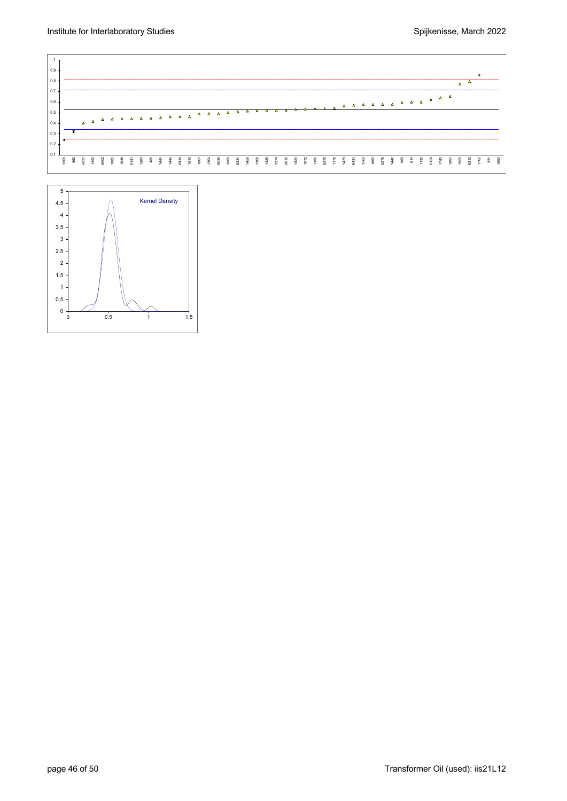

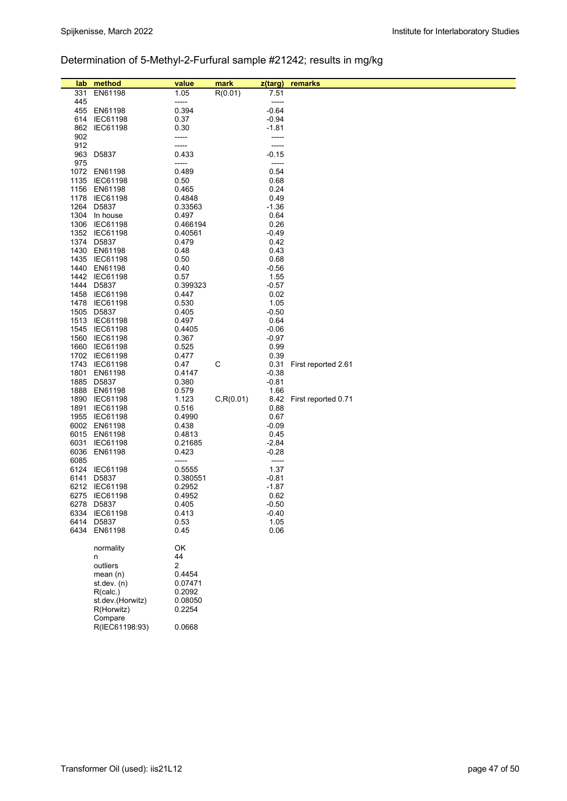# Determination of 5-Methyl-2-Furfural sample #21242; results in mg/kg

| lab  | method                          | value             | mark       | $z$ (targ)       | remarks             |
|------|---------------------------------|-------------------|------------|------------------|---------------------|
| 331  | EN61198                         | 1.05              | R(0.01)    | 7.51             |                     |
| 445  |                                 | -----             |            | -----            |                     |
|      | 455 EN61198                     | 0.394             |            | $-0.64$          |                     |
|      | 614 IEC61198                    | 0.37              |            | $-0.94$          |                     |
|      | 862 IEC61198                    | 0.30              |            | $-1.81$          |                     |
| 902  |                                 | -----             |            | -----            |                     |
| 912  | 963 D5837                       | 0.433             |            | -----<br>$-0.15$ |                     |
| 975  |                                 | -----             |            | -----            |                     |
|      | 1072 EN61198                    | 0.489             |            | 0.54             |                     |
| 1135 | <b>IEC61198</b>                 | 0.50              |            | 0.68             |                     |
|      | 1156 EN61198                    | 0.465             |            | 0.24             |                     |
|      | 1178 IEC61198                   | 0.4848            |            | 0.49             |                     |
|      | 1264 D5837                      | 0.33563           |            | $-1.36$          |                     |
|      | 1304 In house                   | 0.497             |            | 0.64             |                     |
|      | 1306 IEC61198                   | 0.466194          |            | 0.26             |                     |
|      | 1352 IEC61198                   | 0.40561           |            | -0.49            |                     |
|      | 1374 D5837                      | 0.479             |            | 0.42             |                     |
|      | 1430 EN61198                    | 0.48              |            | 0.43             |                     |
|      | 1435 IEC61198                   | 0.50              |            | 0.68             |                     |
|      | 1440 EN61198                    | 0.40              |            | $-0.56$          |                     |
|      | 1442 IEC61198                   | 0.57              |            | 1.55             |                     |
|      | 1444 D5837                      | 0.399323          |            | $-0.57$          |                     |
|      | 1458 IEC61198                   | 0.447             |            | 0.02             |                     |
|      | 1478 IEC61198                   | 0.530             |            | 1.05             |                     |
|      | 1505 D5837                      | 0.405             |            | $-0.50$          |                     |
|      | 1513 IEC61198                   | 0.497             |            | 0.64             |                     |
|      | 1545 IEC61198                   | 0.4405            |            | $-0.06$          |                     |
|      | 1560 IEC61198                   | 0.367             |            | $-0.97$          |                     |
|      | 1660 IEC61198                   | 0.525             |            | 0.99             |                     |
|      | 1702 IEC61198                   | 0.477             |            | 0.39             |                     |
|      | 1743 IEC61198                   | 0.47              | C          | 0.31             | First reported 2.61 |
| 1801 | EN61198                         | 0.4147            |            | $-0.38$          |                     |
|      | 1885 D5837                      | 0.380             |            | $-0.81$          |                     |
|      | 1888 EN61198                    | 0.579             |            | 1.66             |                     |
|      | 1890 IEC61198                   | 1.123             | C, R(0.01) | 8.42             | First reported 0.71 |
| 1891 | <b>IEC61198</b>                 | 0.516             |            | 0.88             |                     |
|      | 1955 IEC61198                   | 0.4990            |            | 0.67             |                     |
|      | 6002 EN61198                    | 0.438             |            | $-0.09$          |                     |
| 6031 | 6015 EN61198<br><b>IEC61198</b> | 0.4813<br>0.21685 |            | 0.45<br>$-2.84$  |                     |
|      | 6036 EN61198                    | 0.423             |            | $-0.28$          |                     |
| 6085 |                                 | -----             |            | -----            |                     |
|      | 6124 IEC61198                   | 0.5555            |            | 1.37             |                     |
| 6141 | D5837                           | 0.380551          |            | $-0.81$          |                     |
|      | 6212 IEC61198                   | 0.2952            |            | $-1.87$          |                     |
|      | 6275 IEC61198                   | 0.4952            |            | 0.62             |                     |
|      | 6278 D5837                      | 0.405             |            | $-0.50$          |                     |
|      | 6334 IEC61198                   | 0.413             |            | $-0.40$          |                     |
| 6414 | D5837                           | 0.53              |            | 1.05             |                     |
|      | 6434 EN61198                    | 0.45              |            | 0.06             |                     |
|      |                                 |                   |            |                  |                     |
|      | normality                       | OK                |            |                  |                     |
|      | n                               | 44                |            |                  |                     |
|      | outliers                        | 2                 |            |                  |                     |
|      | mean $(n)$                      | 0.4454            |            |                  |                     |
|      | st. dev. (n)                    | 0.07471           |            |                  |                     |
|      | R(calc.)                        | 0.2092            |            |                  |                     |
|      | st.dev.(Horwitz)                | 0.08050           |            |                  |                     |
|      | R(Horwitz)                      | 0.2254            |            |                  |                     |
|      | Compare                         |                   |            |                  |                     |
|      | R(IEC61198:93)                  | 0.0668            |            |                  |                     |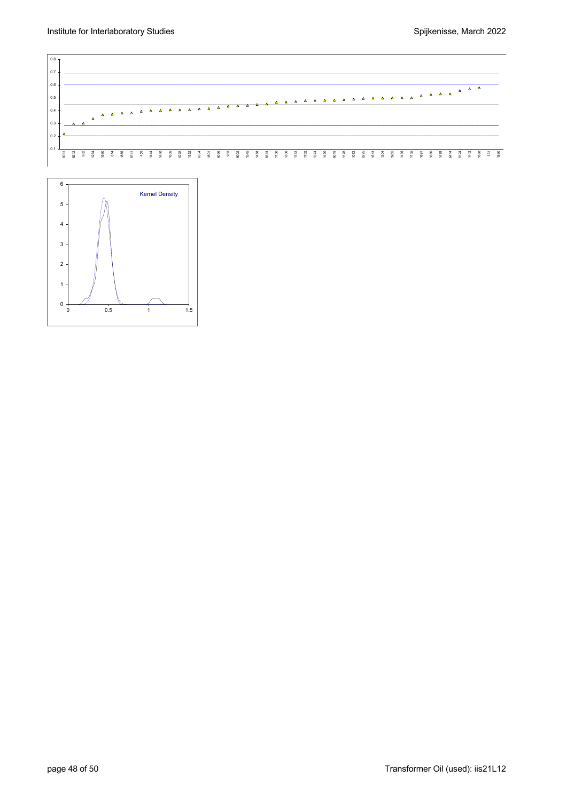

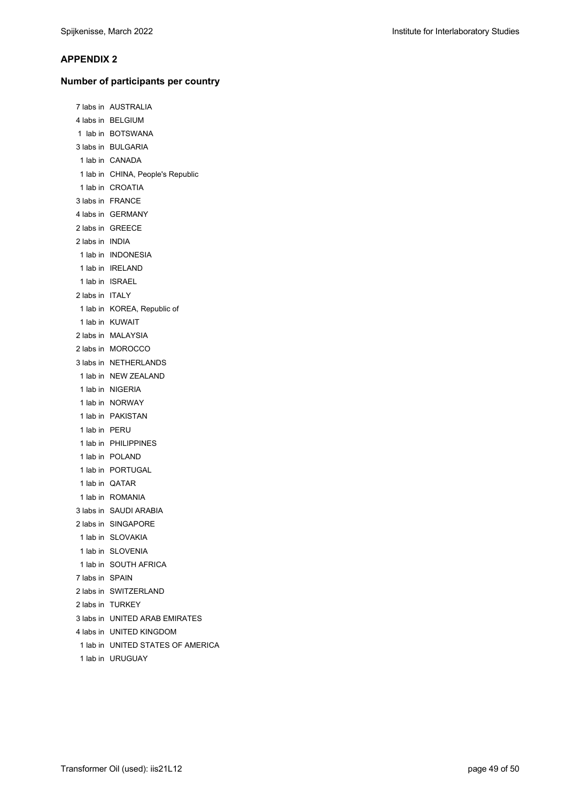#### **APPENDIX 2**

#### **Number of participants per country**

 7 labs in AUSTRALIA 4 labs in BELGIUM 1 lab in BOTSWANA 3 labs in BULGARIA 1 lab in CANADA 1 lab in CHINA, People's Republic 1 lab in CROATIA 3 labs in FRANCE 4 labs in GERMANY 2 labs in GREECE 2 labs in INDIA 1 lab in INDONESIA 1 lab in IRELAND 1 lab in ISRAEL 2 labs in ITALY 1 lab in KOREA, Republic of 1 lab in KUWAIT 2 labs in MALAYSIA 2 labs in MOROCCO 3 labs in NETHERLANDS 1 lab in NEW ZEALAND 1 lab in NIGERIA 1 lab in NORWAY 1 lab in PAKISTAN 1 lab in PERU 1 lab in PHILIPPINES 1 lab in POLAND 1 lab in PORTUGAL 1 lab in QATAR 1 lab in ROMANIA 3 labs in SAUDI ARABIA 2 labs in SINGAPORE 1 lab in SLOVAKIA 1 lab in SLOVENIA 1 lab in SOUTH AFRICA 7 labs in SPAIN 2 labs in SWITZERLAND 2 labs in TURKEY 3 labs in UNITED ARAB EMIRATES 4 labs in UNITED KINGDOM 1 lab in UNITED STATES OF AMERICA 1 lab in URUGUAY